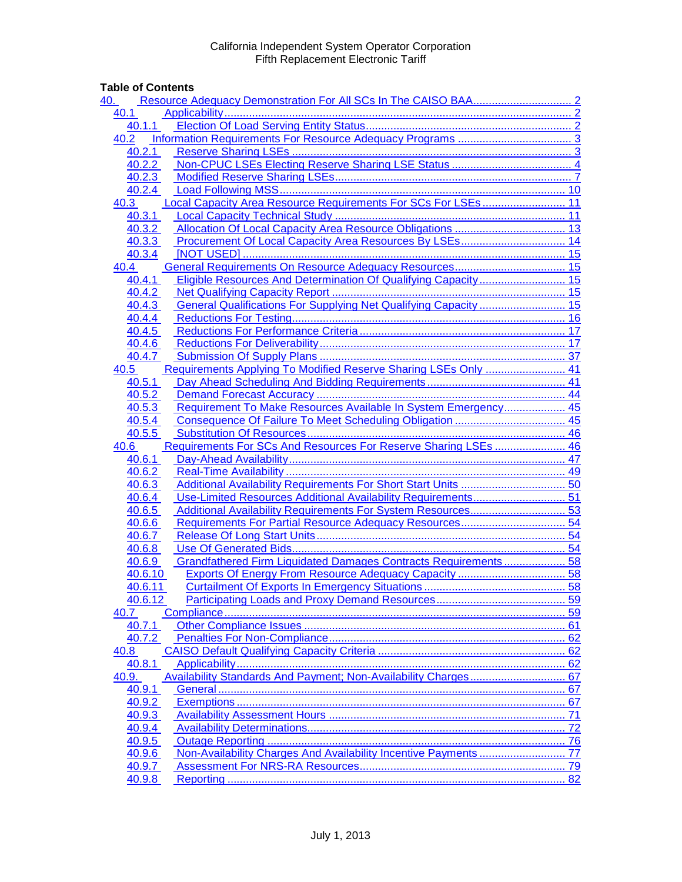# **Table of Contents**

| 40.   |                                                                            |  |
|-------|----------------------------------------------------------------------------|--|
| 40.1  |                                                                            |  |
|       | 40.1.1                                                                     |  |
| 40.2  |                                                                            |  |
|       | 40.2.1                                                                     |  |
|       | 40.2.2                                                                     |  |
|       | 40.2.3                                                                     |  |
|       | 40.2.4                                                                     |  |
| 40.3  | Local Capacity Area Resource Requirements For SCs For LSEs 11              |  |
|       | 40.3.1                                                                     |  |
|       | 40.3.2                                                                     |  |
|       | 40.3.3                                                                     |  |
|       | 40.3.4                                                                     |  |
| 40.4  |                                                                            |  |
|       | Eligible Resources And Determination Of Qualifying Capacity 15<br>40.4.1   |  |
|       | 40.4.2                                                                     |  |
|       | General Qualifications For Supplying Net Qualifying Capacity  15<br>40.4.3 |  |
|       | 40.4.4                                                                     |  |
|       | 40.4.5                                                                     |  |
|       | 40.4.6                                                                     |  |
|       | 40.4.7                                                                     |  |
| 40.5  | Requirements Applying To Modified Reserve Sharing LSEs Only  41            |  |
|       | 40.5.1                                                                     |  |
|       | 40.5.2                                                                     |  |
|       | Requirement To Make Resources Available In System Emergency 45<br>40.5.3   |  |
|       | 40.5.4                                                                     |  |
|       | 40.5.5                                                                     |  |
| 40.6  | Requirements For SCs And Resources For Reserve Sharing LSEs  46            |  |
|       | 40.6.1                                                                     |  |
|       | 40.6.2                                                                     |  |
|       | 40.6.3                                                                     |  |
|       | Use-Limited Resources Additional Availability Requirements 51<br>40.6.4    |  |
|       | 40.6.5                                                                     |  |
|       | 40.6.6                                                                     |  |
|       | 40.6.7                                                                     |  |
|       | 40.6.8                                                                     |  |
|       | Grandfathered Firm Liquidated Damages Contracts Requirements  58<br>40.6.9 |  |
|       | 40.6.10                                                                    |  |
|       | 40.6.11                                                                    |  |
| 40.7  | 40.6.12                                                                    |  |
|       | 40.7.1                                                                     |  |
|       | 40.7.2                                                                     |  |
| 40.8  |                                                                            |  |
|       |                                                                            |  |
| 40.9. | 40.8.1                                                                     |  |
|       | 40.9.1                                                                     |  |
|       | 40.9.2                                                                     |  |
|       | 40.9.3                                                                     |  |
|       | 40.9.4                                                                     |  |
|       | 40.9.5                                                                     |  |
|       | 40.9.6                                                                     |  |
|       | 40.9.7                                                                     |  |
|       | 40.9.8                                                                     |  |
|       |                                                                            |  |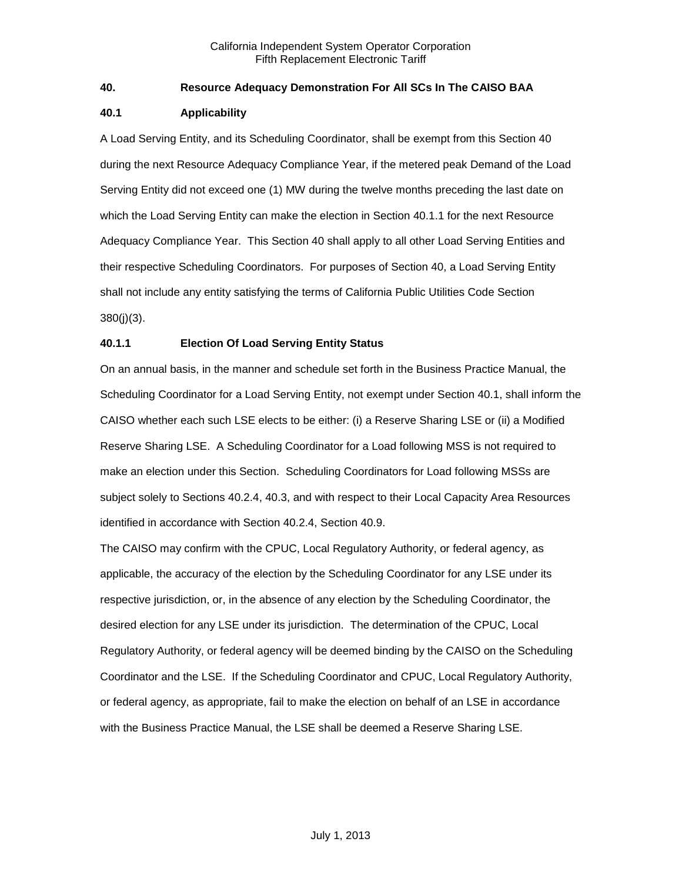## <span id="page-1-0"></span>**40. Resource Adequacy Demonstration For All SCs In The CAISO BAA**

## <span id="page-1-1"></span>**40.1 Applicability**

A Load Serving Entity, and its Scheduling Coordinator, shall be exempt from this Section 40 during the next Resource Adequacy Compliance Year, if the metered peak Demand of the Load Serving Entity did not exceed one (1) MW during the twelve months preceding the last date on which the Load Serving Entity can make the election in Section 40.1.1 for the next Resource Adequacy Compliance Year. This Section 40 shall apply to all other Load Serving Entities and their respective Scheduling Coordinators. For purposes of Section 40, a Load Serving Entity shall not include any entity satisfying the terms of California Public Utilities Code Section 380(j)(3).

## <span id="page-1-2"></span>**40.1.1 Election Of Load Serving Entity Status**

On an annual basis, in the manner and schedule set forth in the Business Practice Manual, the Scheduling Coordinator for a Load Serving Entity, not exempt under Section 40.1, shall inform the CAISO whether each such LSE elects to be either: (i) a Reserve Sharing LSE or (ii) a Modified Reserve Sharing LSE. A Scheduling Coordinator for a Load following MSS is not required to make an election under this Section. Scheduling Coordinators for Load following MSSs are subject solely to Sections 40.2.4, 40.3, and with respect to their Local Capacity Area Resources identified in accordance with Section 40.2.4, Section 40.9.

The CAISO may confirm with the CPUC, Local Regulatory Authority, or federal agency, as applicable, the accuracy of the election by the Scheduling Coordinator for any LSE under its respective jurisdiction, or, in the absence of any election by the Scheduling Coordinator, the desired election for any LSE under its jurisdiction. The determination of the CPUC, Local Regulatory Authority, or federal agency will be deemed binding by the CAISO on the Scheduling Coordinator and the LSE. If the Scheduling Coordinator and CPUC, Local Regulatory Authority, or federal agency, as appropriate, fail to make the election on behalf of an LSE in accordance with the Business Practice Manual, the LSE shall be deemed a Reserve Sharing LSE.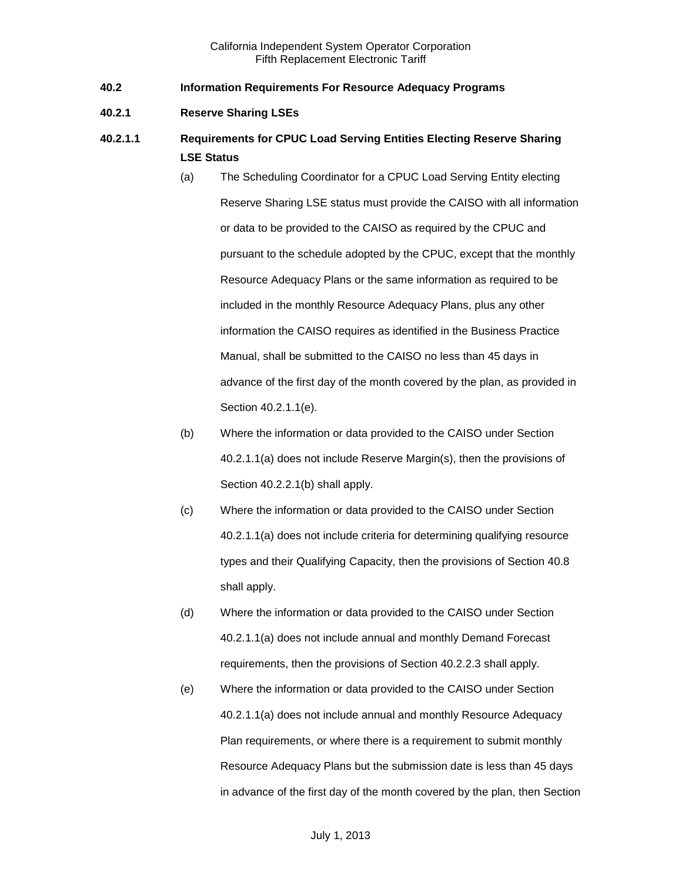- <span id="page-2-0"></span>**40.2 Information Requirements For Resource Adequacy Programs**
- <span id="page-2-1"></span>**40.2.1 Reserve Sharing LSEs**
- **40.2.1.1 Requirements for CPUC Load Serving Entities Electing Reserve Sharing LSE Status**
	- (a) The Scheduling Coordinator for a CPUC Load Serving Entity electing Reserve Sharing LSE status must provide the CAISO with all information or data to be provided to the CAISO as required by the CPUC and pursuant to the schedule adopted by the CPUC, except that the monthly Resource Adequacy Plans or the same information as required to be included in the monthly Resource Adequacy Plans, plus any other information the CAISO requires as identified in the Business Practice Manual, shall be submitted to the CAISO no less than 45 days in advance of the first day of the month covered by the plan, as provided in Section 40.2.1.1(e).
	- (b) Where the information or data provided to the CAISO under Section 40.2.1.1(a) does not include Reserve Margin(s), then the provisions of Section 40.2.2.1(b) shall apply.
	- (c) Where the information or data provided to the CAISO under Section 40.2.1.1(a) does not include criteria for determining qualifying resource types and their Qualifying Capacity, then the provisions of Section 40.8 shall apply.
	- (d) Where the information or data provided to the CAISO under Section 40.2.1.1(a) does not include annual and monthly Demand Forecast requirements, then the provisions of Section 40.2.2.3 shall apply.
	- (e) Where the information or data provided to the CAISO under Section 40.2.1.1(a) does not include annual and monthly Resource Adequacy Plan requirements, or where there is a requirement to submit monthly Resource Adequacy Plans but the submission date is less than 45 days in advance of the first day of the month covered by the plan, then Section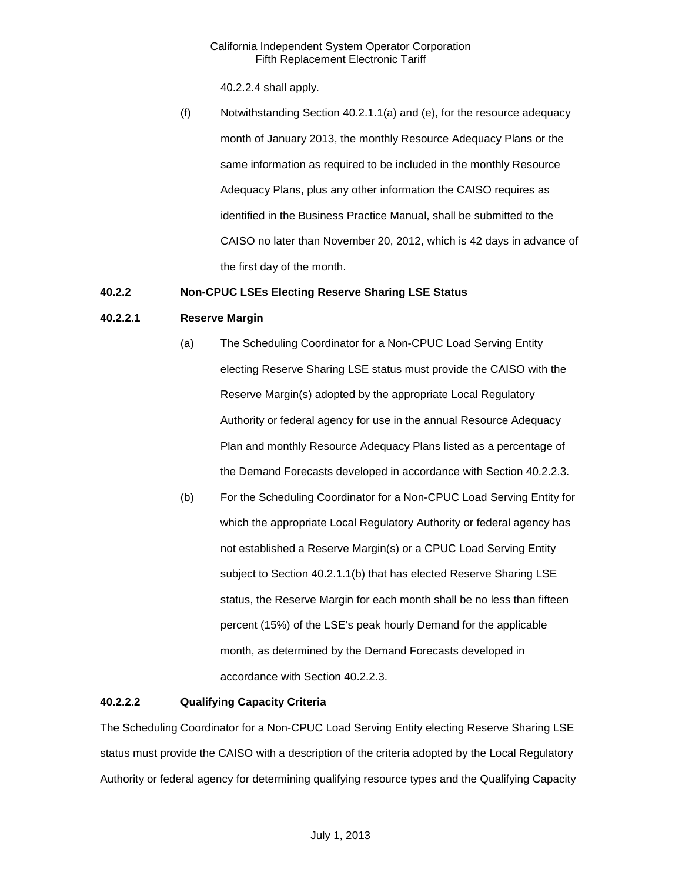40.2.2.4 shall apply.

(f) Notwithstanding Section 40.2.1.1(a) and (e), for the resource adequacy month of January 2013, the monthly Resource Adequacy Plans or the same information as required to be included in the monthly Resource Adequacy Plans, plus any other information the CAISO requires as identified in the Business Practice Manual, shall be submitted to the CAISO no later than November 20, 2012, which is 42 days in advance of the first day of the month.

## <span id="page-3-0"></span>**40.2.2 Non-CPUC LSEs Electing Reserve Sharing LSE Status**

## **40.2.2.1 Reserve Margin**

- (a) The Scheduling Coordinator for a Non-CPUC Load Serving Entity electing Reserve Sharing LSE status must provide the CAISO with the Reserve Margin(s) adopted by the appropriate Local Regulatory Authority or federal agency for use in the annual Resource Adequacy Plan and monthly Resource Adequacy Plans listed as a percentage of the Demand Forecasts developed in accordance with Section 40.2.2.3.
- (b) For the Scheduling Coordinator for a Non-CPUC Load Serving Entity for which the appropriate Local Regulatory Authority or federal agency has not established a Reserve Margin(s) or a CPUC Load Serving Entity subject to Section 40.2.1.1(b) that has elected Reserve Sharing LSE status, the Reserve Margin for each month shall be no less than fifteen percent (15%) of the LSE's peak hourly Demand for the applicable month, as determined by the Demand Forecasts developed in accordance with Section 40.2.2.3.

## **40.2.2.2 Qualifying Capacity Criteria**

The Scheduling Coordinator for a Non-CPUC Load Serving Entity electing Reserve Sharing LSE status must provide the CAISO with a description of the criteria adopted by the Local Regulatory Authority or federal agency for determining qualifying resource types and the Qualifying Capacity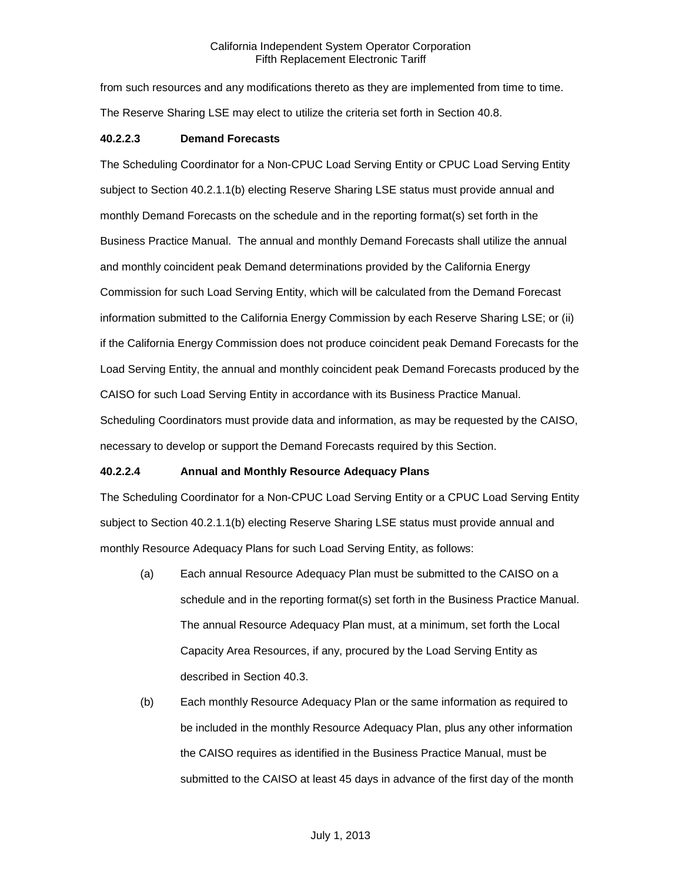from such resources and any modifications thereto as they are implemented from time to time. The Reserve Sharing LSE may elect to utilize the criteria set forth in Section 40.8.

## **40.2.2.3 Demand Forecasts**

The Scheduling Coordinator for a Non-CPUC Load Serving Entity or CPUC Load Serving Entity subject to Section 40.2.1.1(b) electing Reserve Sharing LSE status must provide annual and monthly Demand Forecasts on the schedule and in the reporting format(s) set forth in the Business Practice Manual. The annual and monthly Demand Forecasts shall utilize the annual and monthly coincident peak Demand determinations provided by the California Energy Commission for such Load Serving Entity, which will be calculated from the Demand Forecast information submitted to the California Energy Commission by each Reserve Sharing LSE; or (ii) if the California Energy Commission does not produce coincident peak Demand Forecasts for the Load Serving Entity, the annual and monthly coincident peak Demand Forecasts produced by the CAISO for such Load Serving Entity in accordance with its Business Practice Manual. Scheduling Coordinators must provide data and information, as may be requested by the CAISO, necessary to develop or support the Demand Forecasts required by this Section.

## **40.2.2.4 Annual and Monthly Resource Adequacy Plans**

The Scheduling Coordinator for a Non-CPUC Load Serving Entity or a CPUC Load Serving Entity subject to Section 40.2.1.1(b) electing Reserve Sharing LSE status must provide annual and monthly Resource Adequacy Plans for such Load Serving Entity, as follows:

- (a) Each annual Resource Adequacy Plan must be submitted to the CAISO on a schedule and in the reporting format(s) set forth in the Business Practice Manual. The annual Resource Adequacy Plan must, at a minimum, set forth the Local Capacity Area Resources, if any, procured by the Load Serving Entity as described in Section 40.3.
- (b) Each monthly Resource Adequacy Plan or the same information as required to be included in the monthly Resource Adequacy Plan, plus any other information the CAISO requires as identified in the Business Practice Manual, must be submitted to the CAISO at least 45 days in advance of the first day of the month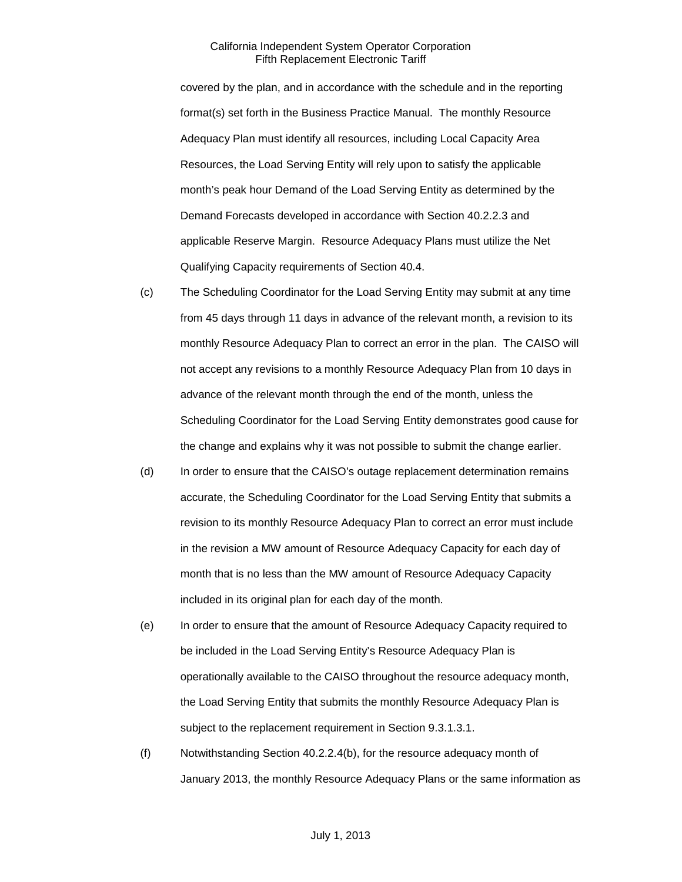covered by the plan, and in accordance with the schedule and in the reporting format(s) set forth in the Business Practice Manual. The monthly Resource Adequacy Plan must identify all resources, including Local Capacity Area Resources, the Load Serving Entity will rely upon to satisfy the applicable month's peak hour Demand of the Load Serving Entity as determined by the Demand Forecasts developed in accordance with Section 40.2.2.3 and applicable Reserve Margin. Resource Adequacy Plans must utilize the Net Qualifying Capacity requirements of Section 40.4.

- (c) The Scheduling Coordinator for the Load Serving Entity may submit at any time from 45 days through 11 days in advance of the relevant month, a revision to its monthly Resource Adequacy Plan to correct an error in the plan. The CAISO will not accept any revisions to a monthly Resource Adequacy Plan from 10 days in advance of the relevant month through the end of the month, unless the Scheduling Coordinator for the Load Serving Entity demonstrates good cause for the change and explains why it was not possible to submit the change earlier.
- (d) In order to ensure that the CAISO's outage replacement determination remains accurate, the Scheduling Coordinator for the Load Serving Entity that submits a revision to its monthly Resource Adequacy Plan to correct an error must include in the revision a MW amount of Resource Adequacy Capacity for each day of month that is no less than the MW amount of Resource Adequacy Capacity included in its original plan for each day of the month.
- (e) In order to ensure that the amount of Resource Adequacy Capacity required to be included in the Load Serving Entity's Resource Adequacy Plan is operationally available to the CAISO throughout the resource adequacy month, the Load Serving Entity that submits the monthly Resource Adequacy Plan is subject to the replacement requirement in Section 9.3.1.3.1.
- (f) Notwithstanding Section 40.2.2.4(b), for the resource adequacy month of January 2013, the monthly Resource Adequacy Plans or the same information as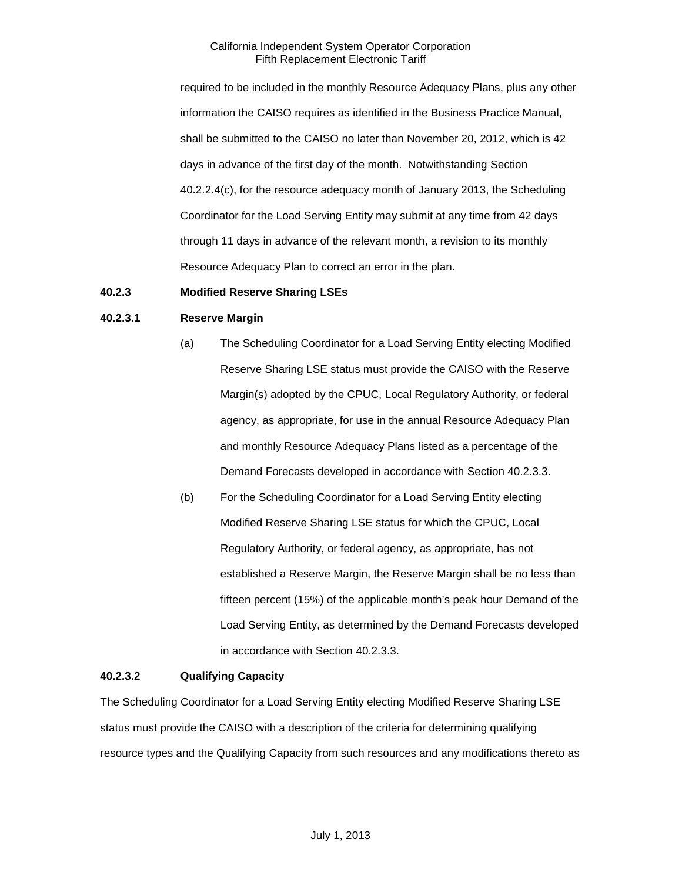required to be included in the monthly Resource Adequacy Plans, plus any other information the CAISO requires as identified in the Business Practice Manual, shall be submitted to the CAISO no later than November 20, 2012, which is 42 days in advance of the first day of the month. Notwithstanding Section 40.2.2.4(c), for the resource adequacy month of January 2013, the Scheduling Coordinator for the Load Serving Entity may submit at any time from 42 days through 11 days in advance of the relevant month, a revision to its monthly Resource Adequacy Plan to correct an error in the plan.

## <span id="page-6-0"></span>**40.2.3 Modified Reserve Sharing LSEs**

#### **40.2.3.1 Reserve Margin**

- (a) The Scheduling Coordinator for a Load Serving Entity electing Modified Reserve Sharing LSE status must provide the CAISO with the Reserve Margin(s) adopted by the CPUC, Local Regulatory Authority, or federal agency, as appropriate, for use in the annual Resource Adequacy Plan and monthly Resource Adequacy Plans listed as a percentage of the Demand Forecasts developed in accordance with Section 40.2.3.3.
- (b) For the Scheduling Coordinator for a Load Serving Entity electing Modified Reserve Sharing LSE status for which the CPUC, Local Regulatory Authority, or federal agency, as appropriate, has not established a Reserve Margin, the Reserve Margin shall be no less than fifteen percent (15%) of the applicable month's peak hour Demand of the Load Serving Entity, as determined by the Demand Forecasts developed in accordance with Section 40.2.3.3.

#### **40.2.3.2 Qualifying Capacity**

The Scheduling Coordinator for a Load Serving Entity electing Modified Reserve Sharing LSE status must provide the CAISO with a description of the criteria for determining qualifying resource types and the Qualifying Capacity from such resources and any modifications thereto as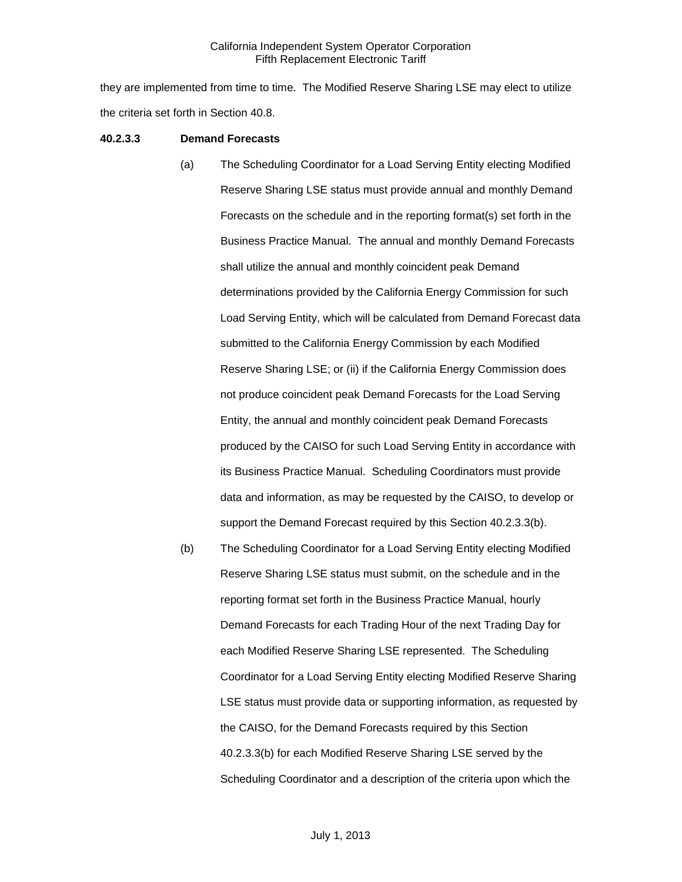they are implemented from time to time. The Modified Reserve Sharing LSE may elect to utilize the criteria set forth in Section 40.8.

#### **40.2.3.3 Demand Forecasts**

- (a) The Scheduling Coordinator for a Load Serving Entity electing Modified Reserve Sharing LSE status must provide annual and monthly Demand Forecasts on the schedule and in the reporting format(s) set forth in the Business Practice Manual. The annual and monthly Demand Forecasts shall utilize the annual and monthly coincident peak Demand determinations provided by the California Energy Commission for such Load Serving Entity, which will be calculated from Demand Forecast data submitted to the California Energy Commission by each Modified Reserve Sharing LSE; or (ii) if the California Energy Commission does not produce coincident peak Demand Forecasts for the Load Serving Entity, the annual and monthly coincident peak Demand Forecasts produced by the CAISO for such Load Serving Entity in accordance with its Business Practice Manual. Scheduling Coordinators must provide data and information, as may be requested by the CAISO, to develop or support the Demand Forecast required by this Section 40.2.3.3(b).
- (b) The Scheduling Coordinator for a Load Serving Entity electing Modified Reserve Sharing LSE status must submit, on the schedule and in the reporting format set forth in the Business Practice Manual, hourly Demand Forecasts for each Trading Hour of the next Trading Day for each Modified Reserve Sharing LSE represented. The Scheduling Coordinator for a Load Serving Entity electing Modified Reserve Sharing LSE status must provide data or supporting information, as requested by the CAISO, for the Demand Forecasts required by this Section 40.2.3.3(b) for each Modified Reserve Sharing LSE served by the Scheduling Coordinator and a description of the criteria upon which the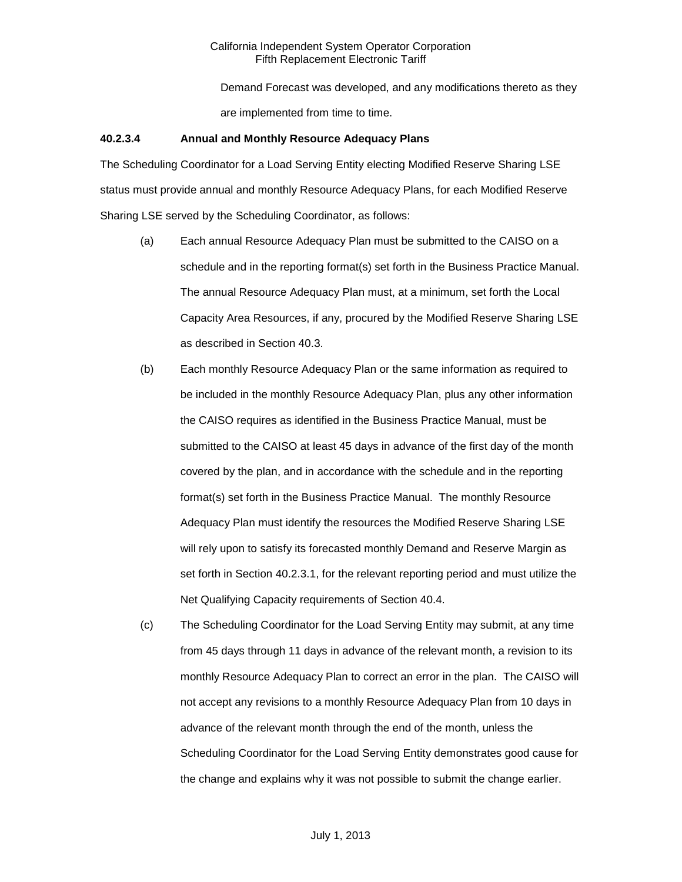Demand Forecast was developed, and any modifications thereto as they are implemented from time to time.

#### **40.2.3.4 Annual and Monthly Resource Adequacy Plans**

The Scheduling Coordinator for a Load Serving Entity electing Modified Reserve Sharing LSE status must provide annual and monthly Resource Adequacy Plans, for each Modified Reserve Sharing LSE served by the Scheduling Coordinator, as follows:

- (a) Each annual Resource Adequacy Plan must be submitted to the CAISO on a schedule and in the reporting format(s) set forth in the Business Practice Manual. The annual Resource Adequacy Plan must, at a minimum, set forth the Local Capacity Area Resources, if any, procured by the Modified Reserve Sharing LSE as described in Section 40.3.
- (b) Each monthly Resource Adequacy Plan or the same information as required to be included in the monthly Resource Adequacy Plan, plus any other information the CAISO requires as identified in the Business Practice Manual, must be submitted to the CAISO at least 45 days in advance of the first day of the month covered by the plan, and in accordance with the schedule and in the reporting format(s) set forth in the Business Practice Manual. The monthly Resource Adequacy Plan must identify the resources the Modified Reserve Sharing LSE will rely upon to satisfy its forecasted monthly Demand and Reserve Margin as set forth in Section 40.2.3.1, for the relevant reporting period and must utilize the Net Qualifying Capacity requirements of Section 40.4.
- (c) The Scheduling Coordinator for the Load Serving Entity may submit, at any time from 45 days through 11 days in advance of the relevant month, a revision to its monthly Resource Adequacy Plan to correct an error in the plan. The CAISO will not accept any revisions to a monthly Resource Adequacy Plan from 10 days in advance of the relevant month through the end of the month, unless the Scheduling Coordinator for the Load Serving Entity demonstrates good cause for the change and explains why it was not possible to submit the change earlier.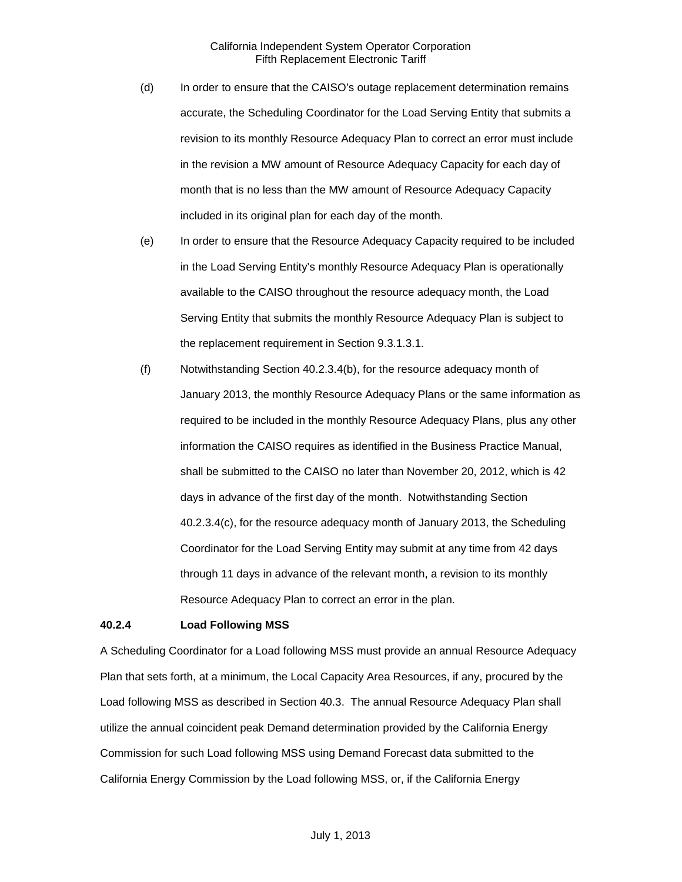- (d) In order to ensure that the CAISO's outage replacement determination remains accurate, the Scheduling Coordinator for the Load Serving Entity that submits a revision to its monthly Resource Adequacy Plan to correct an error must include in the revision a MW amount of Resource Adequacy Capacity for each day of month that is no less than the MW amount of Resource Adequacy Capacity included in its original plan for each day of the month.
- (e) In order to ensure that the Resource Adequacy Capacity required to be included in the Load Serving Entity's monthly Resource Adequacy Plan is operationally available to the CAISO throughout the resource adequacy month, the Load Serving Entity that submits the monthly Resource Adequacy Plan is subject to the replacement requirement in Section 9.3.1.3.1.
- (f) Notwithstanding Section 40.2.3.4(b), for the resource adequacy month of January 2013, the monthly Resource Adequacy Plans or the same information as required to be included in the monthly Resource Adequacy Plans, plus any other information the CAISO requires as identified in the Business Practice Manual, shall be submitted to the CAISO no later than November 20, 2012, which is 42 days in advance of the first day of the month. Notwithstanding Section 40.2.3.4(c), for the resource adequacy month of January 2013, the Scheduling Coordinator for the Load Serving Entity may submit at any time from 42 days through 11 days in advance of the relevant month, a revision to its monthly Resource Adequacy Plan to correct an error in the plan.

#### <span id="page-9-0"></span>**40.2.4 Load Following MSS**

A Scheduling Coordinator for a Load following MSS must provide an annual Resource Adequacy Plan that sets forth, at a minimum, the Local Capacity Area Resources, if any, procured by the Load following MSS as described in Section 40.3. The annual Resource Adequacy Plan shall utilize the annual coincident peak Demand determination provided by the California Energy Commission for such Load following MSS using Demand Forecast data submitted to the California Energy Commission by the Load following MSS, or, if the California Energy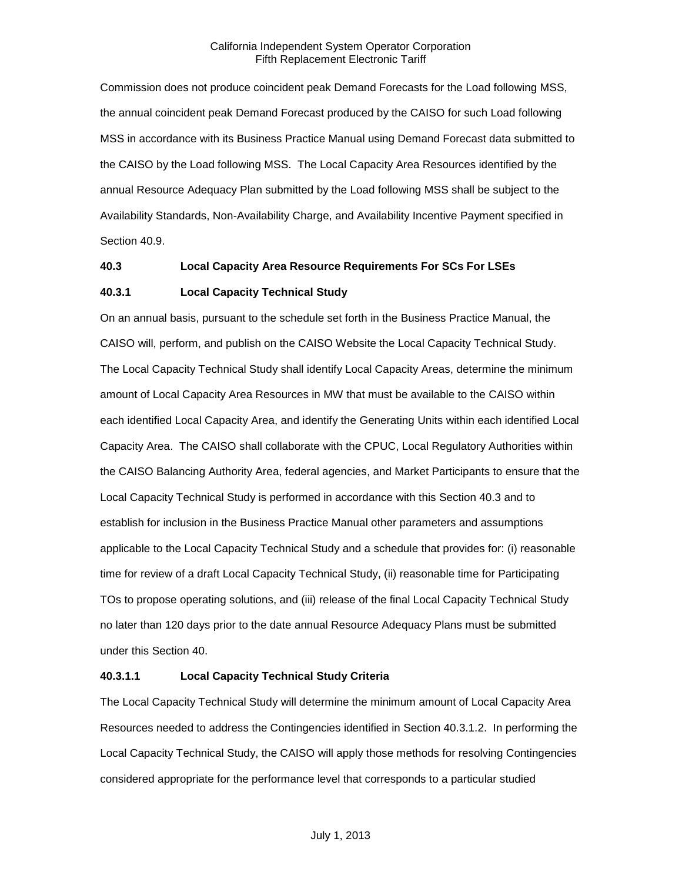Commission does not produce coincident peak Demand Forecasts for the Load following MSS, the annual coincident peak Demand Forecast produced by the CAISO for such Load following MSS in accordance with its Business Practice Manual using Demand Forecast data submitted to the CAISO by the Load following MSS. The Local Capacity Area Resources identified by the annual Resource Adequacy Plan submitted by the Load following MSS shall be subject to the Availability Standards, Non-Availability Charge, and Availability Incentive Payment specified in Section 40.9.

#### <span id="page-10-0"></span>**40.3 Local Capacity Area Resource Requirements For SCs For LSEs**

## <span id="page-10-1"></span>**40.3.1 Local Capacity Technical Study**

On an annual basis, pursuant to the schedule set forth in the Business Practice Manual, the CAISO will, perform, and publish on the CAISO Website the Local Capacity Technical Study. The Local Capacity Technical Study shall identify Local Capacity Areas, determine the minimum amount of Local Capacity Area Resources in MW that must be available to the CAISO within each identified Local Capacity Area, and identify the Generating Units within each identified Local Capacity Area. The CAISO shall collaborate with the CPUC, Local Regulatory Authorities within the CAISO Balancing Authority Area, federal agencies, and Market Participants to ensure that the Local Capacity Technical Study is performed in accordance with this Section 40.3 and to establish for inclusion in the Business Practice Manual other parameters and assumptions applicable to the Local Capacity Technical Study and a schedule that provides for: (i) reasonable time for review of a draft Local Capacity Technical Study, (ii) reasonable time for Participating TOs to propose operating solutions, and (iii) release of the final Local Capacity Technical Study no later than 120 days prior to the date annual Resource Adequacy Plans must be submitted under this Section 40.

## **40.3.1.1 Local Capacity Technical Study Criteria**

The Local Capacity Technical Study will determine the minimum amount of Local Capacity Area Resources needed to address the Contingencies identified in Section 40.3.1.2. In performing the Local Capacity Technical Study, the CAISO will apply those methods for resolving Contingencies considered appropriate for the performance level that corresponds to a particular studied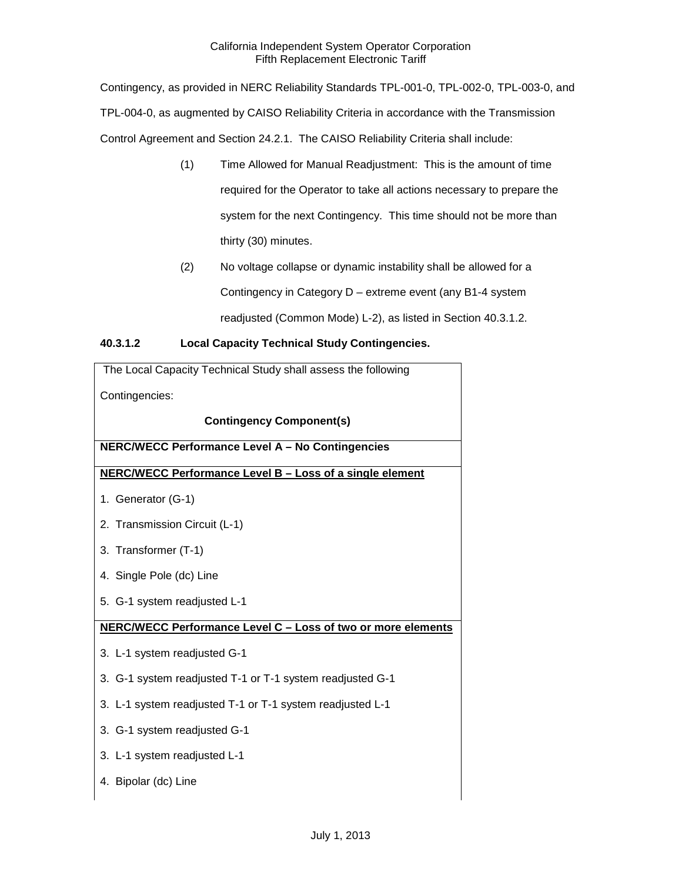Contingency, as provided in NERC Reliability Standards TPL-001-0, TPL-002-0, TPL-003-0, and TPL-004-0, as augmented by CAISO Reliability Criteria in accordance with the Transmission Control Agreement and Section 24.2.1. The CAISO Reliability Criteria shall include:

- (1) Time Allowed for Manual Readjustment: This is the amount of time required for the Operator to take all actions necessary to prepare the system for the next Contingency. This time should not be more than thirty (30) minutes.
- (2) No voltage collapse or dynamic instability shall be allowed for a Contingency in Category D – extreme event (any B1-4 system readjusted (Common Mode) L-2), as listed in Section 40.3.1.2.

## **40.3.1.2 Local Capacity Technical Study Contingencies.**

| The Local Capacity Technical Study shall assess the following |  |  |
|---------------------------------------------------------------|--|--|
| Contingencies:                                                |  |  |
| <b>Contingency Component(s)</b>                               |  |  |
| NERC/WECC Performance Level A - No Contingencies              |  |  |
| NERC/WECC Performance Level B - Loss of a single element      |  |  |
| 1. Generator (G-1)                                            |  |  |
| 2. Transmission Circuit (L-1)                                 |  |  |
| 3. Transformer (T-1)                                          |  |  |
| 4. Single Pole (dc) Line                                      |  |  |
| 5. G-1 system readjusted L-1                                  |  |  |
| NERC/WECC Performance Level C - Loss of two or more elements  |  |  |
| 3. L-1 system readjusted G-1                                  |  |  |
| 3. G-1 system readjusted T-1 or T-1 system readjusted G-1     |  |  |
| 3. L-1 system readjusted T-1 or T-1 system readjusted L-1     |  |  |
| 3. G-1 system readjusted G-1                                  |  |  |
| 3. L-1 system readjusted L-1                                  |  |  |
| 4. Bipolar (dc) Line                                          |  |  |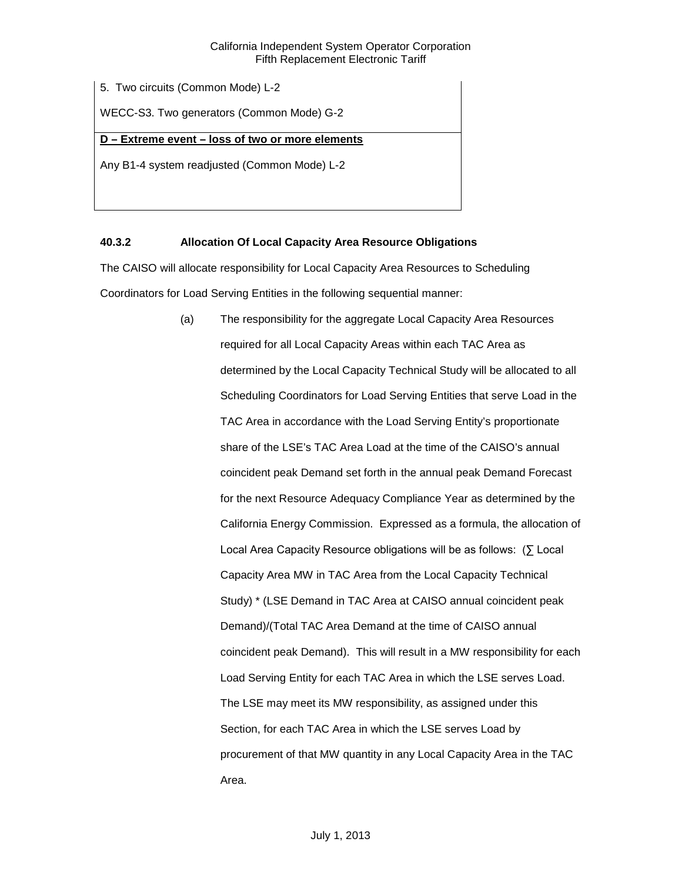5. Two circuits (Common Mode) L-2

WECC-S3. Two generators (Common Mode) G-2

## **D – Extreme event – loss of two or more elements**

Any B1-4 system readjusted (Common Mode) L-2

## <span id="page-12-0"></span>**40.3.2 Allocation Of Local Capacity Area Resource Obligations**

The CAISO will allocate responsibility for Local Capacity Area Resources to Scheduling Coordinators for Load Serving Entities in the following sequential manner:

> (a) The responsibility for the aggregate Local Capacity Area Resources required for all Local Capacity Areas within each TAC Area as determined by the Local Capacity Technical Study will be allocated to all Scheduling Coordinators for Load Serving Entities that serve Load in the TAC Area in accordance with the Load Serving Entity's proportionate share of the LSE's TAC Area Load at the time of the CAISO's annual coincident peak Demand set forth in the annual peak Demand Forecast for the next Resource Adequacy Compliance Year as determined by the California Energy Commission. Expressed as a formula, the allocation of Local Area Capacity Resource obligations will be as follows: (∑ Local Capacity Area MW in TAC Area from the Local Capacity Technical Study) \* (LSE Demand in TAC Area at CAISO annual coincident peak Demand)/(Total TAC Area Demand at the time of CAISO annual coincident peak Demand). This will result in a MW responsibility for each Load Serving Entity for each TAC Area in which the LSE serves Load. The LSE may meet its MW responsibility, as assigned under this Section, for each TAC Area in which the LSE serves Load by procurement of that MW quantity in any Local Capacity Area in the TAC Area.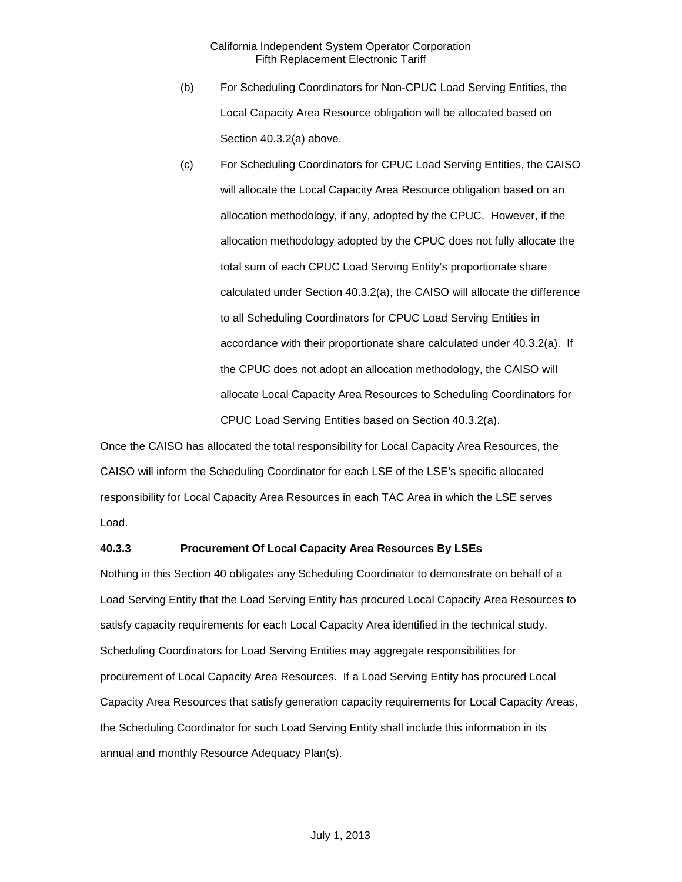- (b) For Scheduling Coordinators for Non-CPUC Load Serving Entities, the Local Capacity Area Resource obligation will be allocated based on Section 40.3.2(a) above.
- (c) For Scheduling Coordinators for CPUC Load Serving Entities, the CAISO will allocate the Local Capacity Area Resource obligation based on an allocation methodology, if any, adopted by the CPUC. However, if the allocation methodology adopted by the CPUC does not fully allocate the total sum of each CPUC Load Serving Entity's proportionate share calculated under Section 40.3.2(a), the CAISO will allocate the difference to all Scheduling Coordinators for CPUC Load Serving Entities in accordance with their proportionate share calculated under 40.3.2(a). If the CPUC does not adopt an allocation methodology, the CAISO will allocate Local Capacity Area Resources to Scheduling Coordinators for CPUC Load Serving Entities based on Section 40.3.2(a).

Once the CAISO has allocated the total responsibility for Local Capacity Area Resources, the CAISO will inform the Scheduling Coordinator for each LSE of the LSE's specific allocated responsibility for Local Capacity Area Resources in each TAC Area in which the LSE serves Load.

#### <span id="page-13-0"></span>**40.3.3 Procurement Of Local Capacity Area Resources By LSEs**

Nothing in this Section 40 obligates any Scheduling Coordinator to demonstrate on behalf of a Load Serving Entity that the Load Serving Entity has procured Local Capacity Area Resources to satisfy capacity requirements for each Local Capacity Area identified in the technical study. Scheduling Coordinators for Load Serving Entities may aggregate responsibilities for procurement of Local Capacity Area Resources. If a Load Serving Entity has procured Local Capacity Area Resources that satisfy generation capacity requirements for Local Capacity Areas, the Scheduling Coordinator for such Load Serving Entity shall include this information in its annual and monthly Resource Adequacy Plan(s).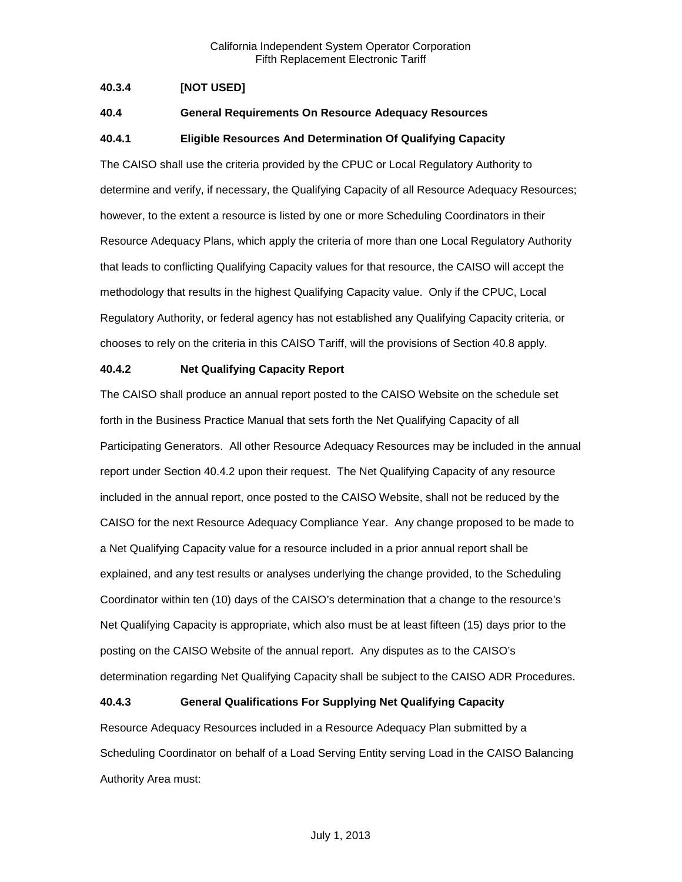## <span id="page-14-0"></span>**40.3.4 [NOT USED]**

## <span id="page-14-1"></span>**40.4 General Requirements On Resource Adequacy Resources**

## <span id="page-14-2"></span>**40.4.1 Eligible Resources And Determination Of Qualifying Capacity**

The CAISO shall use the criteria provided by the CPUC or Local Regulatory Authority to determine and verify, if necessary, the Qualifying Capacity of all Resource Adequacy Resources; however, to the extent a resource is listed by one or more Scheduling Coordinators in their Resource Adequacy Plans, which apply the criteria of more than one Local Regulatory Authority that leads to conflicting Qualifying Capacity values for that resource, the CAISO will accept the methodology that results in the highest Qualifying Capacity value. Only if the CPUC, Local Regulatory Authority, or federal agency has not established any Qualifying Capacity criteria, or chooses to rely on the criteria in this CAISO Tariff, will the provisions of Section 40.8 apply.

#### <span id="page-14-3"></span>**40.4.2 Net Qualifying Capacity Report**

The CAISO shall produce an annual report posted to the CAISO Website on the schedule set forth in the Business Practice Manual that sets forth the Net Qualifying Capacity of all Participating Generators. All other Resource Adequacy Resources may be included in the annual report under Section 40.4.2 upon their request. The Net Qualifying Capacity of any resource included in the annual report, once posted to the CAISO Website, shall not be reduced by the CAISO for the next Resource Adequacy Compliance Year. Any change proposed to be made to a Net Qualifying Capacity value for a resource included in a prior annual report shall be explained, and any test results or analyses underlying the change provided, to the Scheduling Coordinator within ten (10) days of the CAISO's determination that a change to the resource's Net Qualifying Capacity is appropriate, which also must be at least fifteen (15) days prior to the posting on the CAISO Website of the annual report. Any disputes as to the CAISO's determination regarding Net Qualifying Capacity shall be subject to the CAISO ADR Procedures.

## <span id="page-14-4"></span>**40.4.3 General Qualifications For Supplying Net Qualifying Capacity**

Resource Adequacy Resources included in a Resource Adequacy Plan submitted by a Scheduling Coordinator on behalf of a Load Serving Entity serving Load in the CAISO Balancing Authority Area must: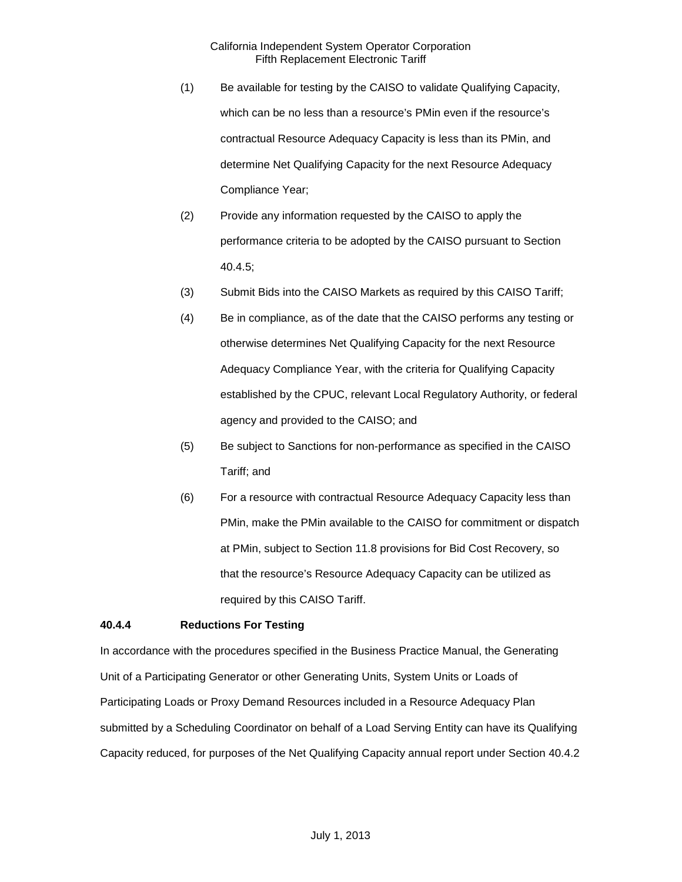- (1) Be available for testing by the CAISO to validate Qualifying Capacity, which can be no less than a resource's PMin even if the resource's contractual Resource Adequacy Capacity is less than its PMin, and determine Net Qualifying Capacity for the next Resource Adequacy Compliance Year;
- (2) Provide any information requested by the CAISO to apply the performance criteria to be adopted by the CAISO pursuant to Section 40.4.5;
- (3) Submit Bids into the CAISO Markets as required by this CAISO Tariff;
- (4) Be in compliance, as of the date that the CAISO performs any testing or otherwise determines Net Qualifying Capacity for the next Resource Adequacy Compliance Year, with the criteria for Qualifying Capacity established by the CPUC, relevant Local Regulatory Authority, or federal agency and provided to the CAISO; and
- (5) Be subject to Sanctions for non-performance as specified in the CAISO Tariff; and
- (6) For a resource with contractual Resource Adequacy Capacity less than PMin, make the PMin available to the CAISO for commitment or dispatch at PMin, subject to Section 11.8 provisions for Bid Cost Recovery, so that the resource's Resource Adequacy Capacity can be utilized as required by this CAISO Tariff.

## <span id="page-15-0"></span>**40.4.4 Reductions For Testing**

In accordance with the procedures specified in the Business Practice Manual, the Generating Unit of a Participating Generator or other Generating Units, System Units or Loads of Participating Loads or Proxy Demand Resources included in a Resource Adequacy Plan submitted by a Scheduling Coordinator on behalf of a Load Serving Entity can have its Qualifying Capacity reduced, for purposes of the Net Qualifying Capacity annual report under Section 40.4.2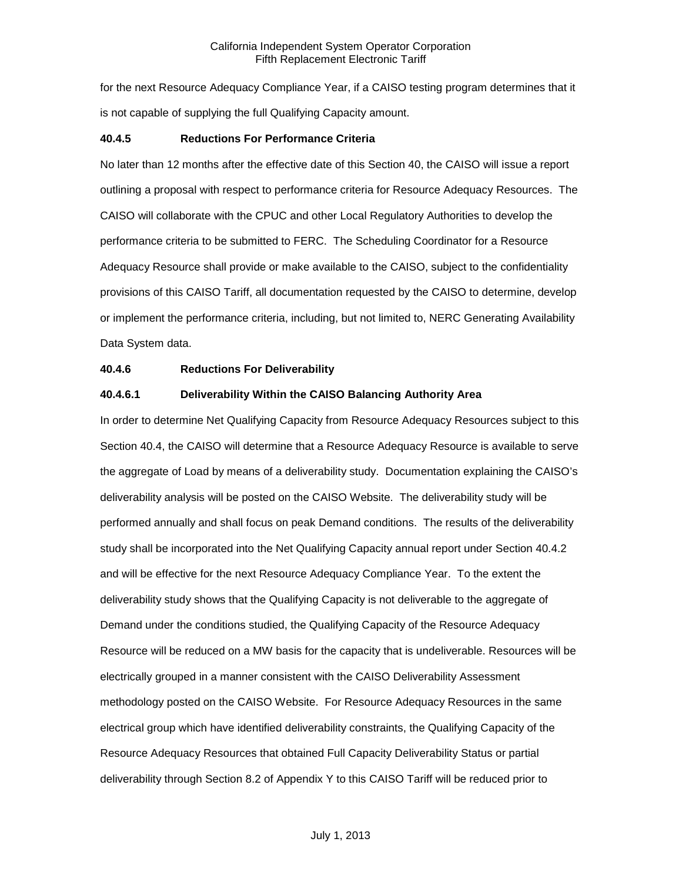for the next Resource Adequacy Compliance Year, if a CAISO testing program determines that it is not capable of supplying the full Qualifying Capacity amount.

#### <span id="page-16-0"></span>**40.4.5 Reductions For Performance Criteria**

No later than 12 months after the effective date of this Section 40, the CAISO will issue a report outlining a proposal with respect to performance criteria for Resource Adequacy Resources. The CAISO will collaborate with the CPUC and other Local Regulatory Authorities to develop the performance criteria to be submitted to FERC. The Scheduling Coordinator for a Resource Adequacy Resource shall provide or make available to the CAISO, subject to the confidentiality provisions of this CAISO Tariff, all documentation requested by the CAISO to determine, develop or implement the performance criteria, including, but not limited to, NERC Generating Availability Data System data.

## <span id="page-16-1"></span>**40.4.6 Reductions For Deliverability**

## **40.4.6.1 Deliverability Within the CAISO Balancing Authority Area**

In order to determine Net Qualifying Capacity from Resource Adequacy Resources subject to this Section 40.4, the CAISO will determine that a Resource Adequacy Resource is available to serve the aggregate of Load by means of a deliverability study. Documentation explaining the CAISO's deliverability analysis will be posted on the CAISO Website. The deliverability study will be performed annually and shall focus on peak Demand conditions. The results of the deliverability study shall be incorporated into the Net Qualifying Capacity annual report under Section 40.4.2 and will be effective for the next Resource Adequacy Compliance Year. To the extent the deliverability study shows that the Qualifying Capacity is not deliverable to the aggregate of Demand under the conditions studied, the Qualifying Capacity of the Resource Adequacy Resource will be reduced on a MW basis for the capacity that is undeliverable. Resources will be electrically grouped in a manner consistent with the CAISO Deliverability Assessment methodology posted on the CAISO Website. For Resource Adequacy Resources in the same electrical group which have identified deliverability constraints, the Qualifying Capacity of the Resource Adequacy Resources that obtained Full Capacity Deliverability Status or partial deliverability through Section 8.2 of Appendix Y to this CAISO Tariff will be reduced prior to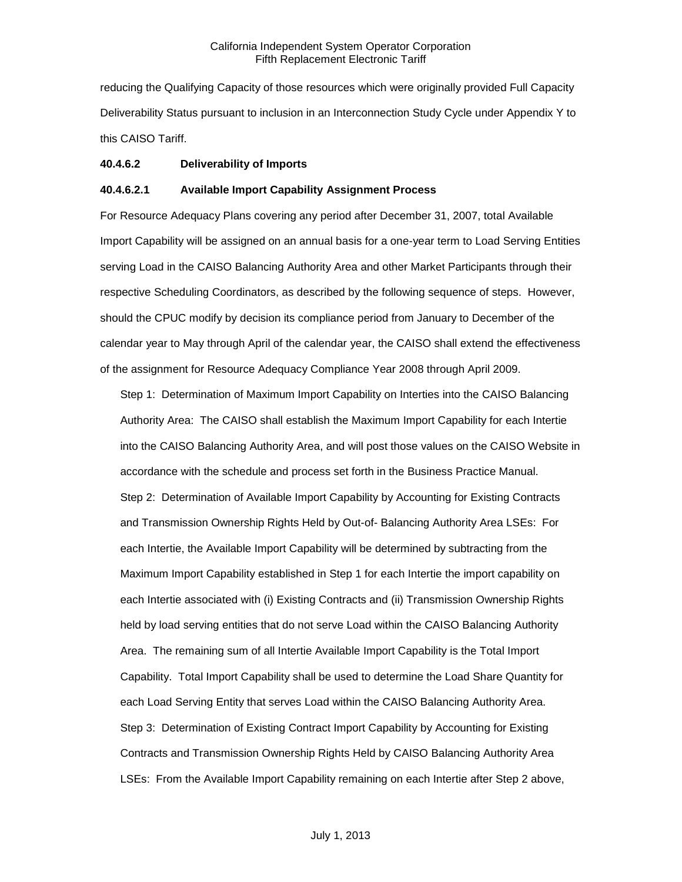reducing the Qualifying Capacity of those resources which were originally provided Full Capacity Deliverability Status pursuant to inclusion in an Interconnection Study Cycle under Appendix Y to this CAISO Tariff.

#### **40.4.6.2 Deliverability of Imports**

#### **40.4.6.2.1 Available Import Capability Assignment Process**

For Resource Adequacy Plans covering any period after December 31, 2007, total Available Import Capability will be assigned on an annual basis for a one-year term to Load Serving Entities serving Load in the CAISO Balancing Authority Area and other Market Participants through their respective Scheduling Coordinators, as described by the following sequence of steps. However, should the CPUC modify by decision its compliance period from January to December of the calendar year to May through April of the calendar year, the CAISO shall extend the effectiveness of the assignment for Resource Adequacy Compliance Year 2008 through April 2009.

Step 1: Determination of Maximum Import Capability on Interties into the CAISO Balancing Authority Area: The CAISO shall establish the Maximum Import Capability for each Intertie into the CAISO Balancing Authority Area, and will post those values on the CAISO Website in accordance with the schedule and process set forth in the Business Practice Manual. Step 2: Determination of Available Import Capability by Accounting for Existing Contracts and Transmission Ownership Rights Held by Out-of- Balancing Authority Area LSEs: For each Intertie, the Available Import Capability will be determined by subtracting from the Maximum Import Capability established in Step 1 for each Intertie the import capability on each Intertie associated with (i) Existing Contracts and (ii) Transmission Ownership Rights held by load serving entities that do not serve Load within the CAISO Balancing Authority Area. The remaining sum of all Intertie Available Import Capability is the Total Import Capability. Total Import Capability shall be used to determine the Load Share Quantity for each Load Serving Entity that serves Load within the CAISO Balancing Authority Area. Step 3: Determination of Existing Contract Import Capability by Accounting for Existing Contracts and Transmission Ownership Rights Held by CAISO Balancing Authority Area LSEs: From the Available Import Capability remaining on each Intertie after Step 2 above,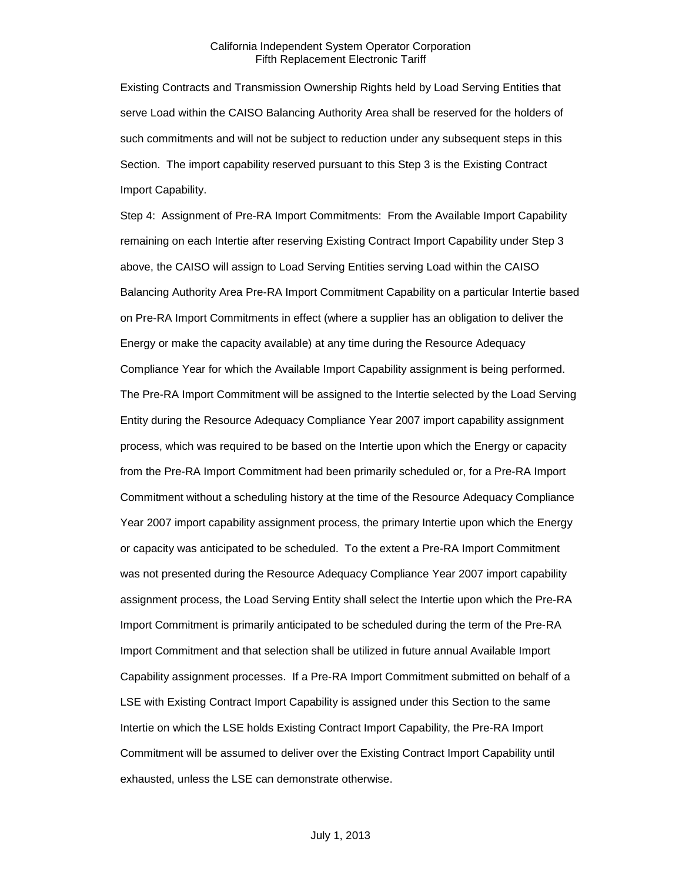Existing Contracts and Transmission Ownership Rights held by Load Serving Entities that serve Load within the CAISO Balancing Authority Area shall be reserved for the holders of such commitments and will not be subject to reduction under any subsequent steps in this Section. The import capability reserved pursuant to this Step 3 is the Existing Contract Import Capability.

Step 4: Assignment of Pre-RA Import Commitments: From the Available Import Capability remaining on each Intertie after reserving Existing Contract Import Capability under Step 3 above, the CAISO will assign to Load Serving Entities serving Load within the CAISO Balancing Authority Area Pre-RA Import Commitment Capability on a particular Intertie based on Pre-RA Import Commitments in effect (where a supplier has an obligation to deliver the Energy or make the capacity available) at any time during the Resource Adequacy Compliance Year for which the Available Import Capability assignment is being performed. The Pre-RA Import Commitment will be assigned to the Intertie selected by the Load Serving Entity during the Resource Adequacy Compliance Year 2007 import capability assignment process, which was required to be based on the Intertie upon which the Energy or capacity from the Pre-RA Import Commitment had been primarily scheduled or, for a Pre-RA Import Commitment without a scheduling history at the time of the Resource Adequacy Compliance Year 2007 import capability assignment process, the primary Intertie upon which the Energy or capacity was anticipated to be scheduled. To the extent a Pre-RA Import Commitment was not presented during the Resource Adequacy Compliance Year 2007 import capability assignment process, the Load Serving Entity shall select the Intertie upon which the Pre-RA Import Commitment is primarily anticipated to be scheduled during the term of the Pre-RA Import Commitment and that selection shall be utilized in future annual Available Import Capability assignment processes. If a Pre-RA Import Commitment submitted on behalf of a LSE with Existing Contract Import Capability is assigned under this Section to the same Intertie on which the LSE holds Existing Contract Import Capability, the Pre-RA Import Commitment will be assumed to deliver over the Existing Contract Import Capability until exhausted, unless the LSE can demonstrate otherwise.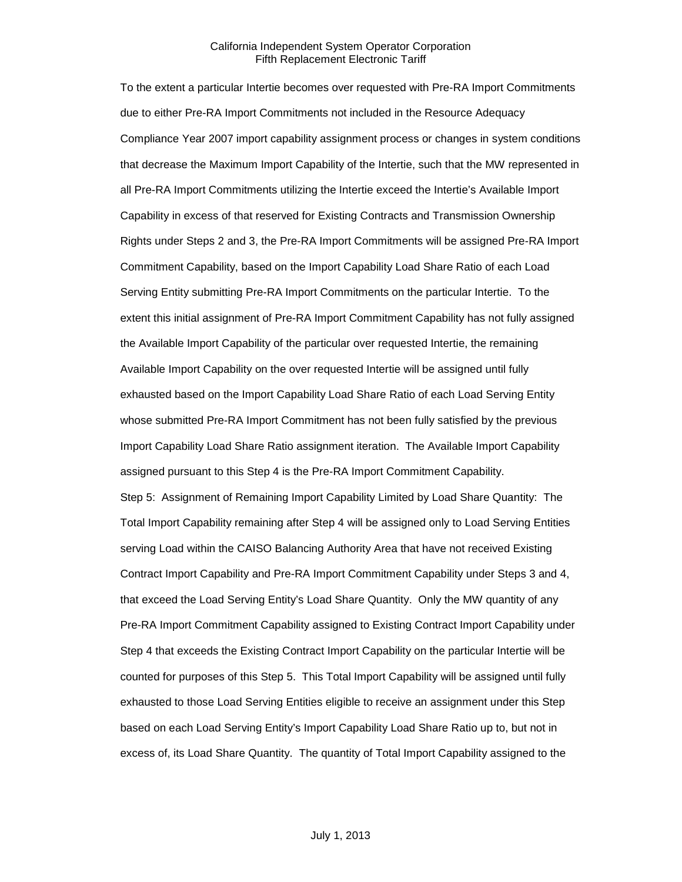To the extent a particular Intertie becomes over requested with Pre-RA Import Commitments due to either Pre-RA Import Commitments not included in the Resource Adequacy Compliance Year 2007 import capability assignment process or changes in system conditions that decrease the Maximum Import Capability of the Intertie, such that the MW represented in all Pre-RA Import Commitments utilizing the Intertie exceed the Intertie's Available Import Capability in excess of that reserved for Existing Contracts and Transmission Ownership Rights under Steps 2 and 3, the Pre-RA Import Commitments will be assigned Pre-RA Import Commitment Capability, based on the Import Capability Load Share Ratio of each Load Serving Entity submitting Pre-RA Import Commitments on the particular Intertie. To the extent this initial assignment of Pre-RA Import Commitment Capability has not fully assigned the Available Import Capability of the particular over requested Intertie, the remaining Available Import Capability on the over requested Intertie will be assigned until fully exhausted based on the Import Capability Load Share Ratio of each Load Serving Entity whose submitted Pre-RA Import Commitment has not been fully satisfied by the previous Import Capability Load Share Ratio assignment iteration. The Available Import Capability assigned pursuant to this Step 4 is the Pre-RA Import Commitment Capability. Step 5: Assignment of Remaining Import Capability Limited by Load Share Quantity: The Total Import Capability remaining after Step 4 will be assigned only to Load Serving Entities serving Load within the CAISO Balancing Authority Area that have not received Existing Contract Import Capability and Pre-RA Import Commitment Capability under Steps 3 and 4, that exceed the Load Serving Entity's Load Share Quantity. Only the MW quantity of any Pre-RA Import Commitment Capability assigned to Existing Contract Import Capability under Step 4 that exceeds the Existing Contract Import Capability on the particular Intertie will be counted for purposes of this Step 5. This Total Import Capability will be assigned until fully exhausted to those Load Serving Entities eligible to receive an assignment under this Step based on each Load Serving Entity's Import Capability Load Share Ratio up to, but not in excess of, its Load Share Quantity. The quantity of Total Import Capability assigned to the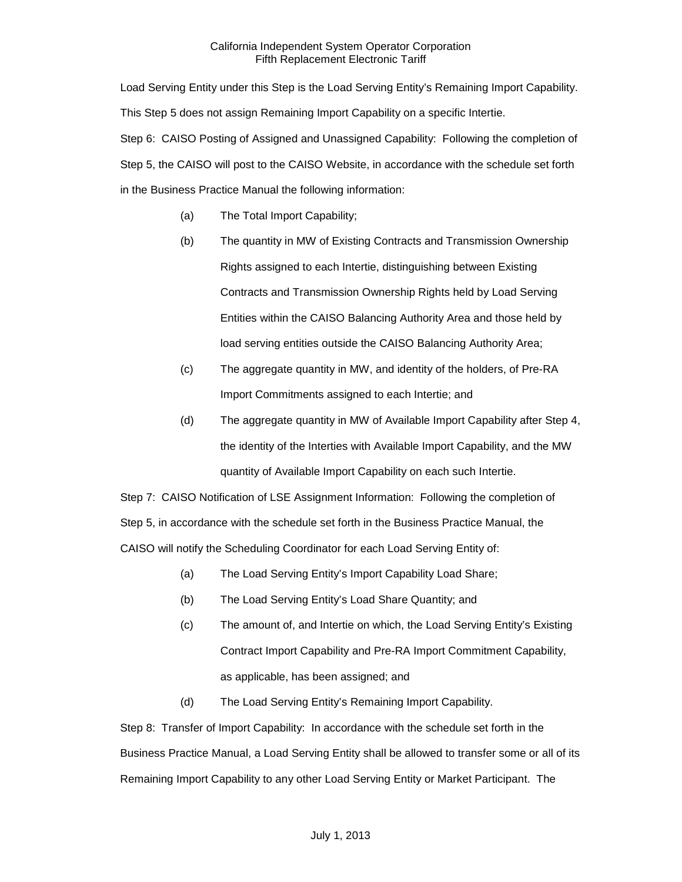Load Serving Entity under this Step is the Load Serving Entity's Remaining Import Capability. This Step 5 does not assign Remaining Import Capability on a specific Intertie. Step 6: CAISO Posting of Assigned and Unassigned Capability: Following the completion of Step 5, the CAISO will post to the CAISO Website, in accordance with the schedule set forth in the Business Practice Manual the following information:

- (a) The Total Import Capability;
- (b) The quantity in MW of Existing Contracts and Transmission Ownership Rights assigned to each Intertie, distinguishing between Existing Contracts and Transmission Ownership Rights held by Load Serving Entities within the CAISO Balancing Authority Area and those held by load serving entities outside the CAISO Balancing Authority Area;
- (c) The aggregate quantity in MW, and identity of the holders, of Pre-RA Import Commitments assigned to each Intertie; and
- (d) The aggregate quantity in MW of Available Import Capability after Step 4, the identity of the Interties with Available Import Capability, and the MW quantity of Available Import Capability on each such Intertie.

Step 7: CAISO Notification of LSE Assignment Information: Following the completion of Step 5, in accordance with the schedule set forth in the Business Practice Manual, the CAISO will notify the Scheduling Coordinator for each Load Serving Entity of:

- (a) The Load Serving Entity's Import Capability Load Share;
- (b) The Load Serving Entity's Load Share Quantity; and
- (c) The amount of, and Intertie on which, the Load Serving Entity's Existing Contract Import Capability and Pre-RA Import Commitment Capability, as applicable, has been assigned; and
- (d) The Load Serving Entity's Remaining Import Capability.

Step 8: Transfer of Import Capability: In accordance with the schedule set forth in the Business Practice Manual, a Load Serving Entity shall be allowed to transfer some or all of its Remaining Import Capability to any other Load Serving Entity or Market Participant. The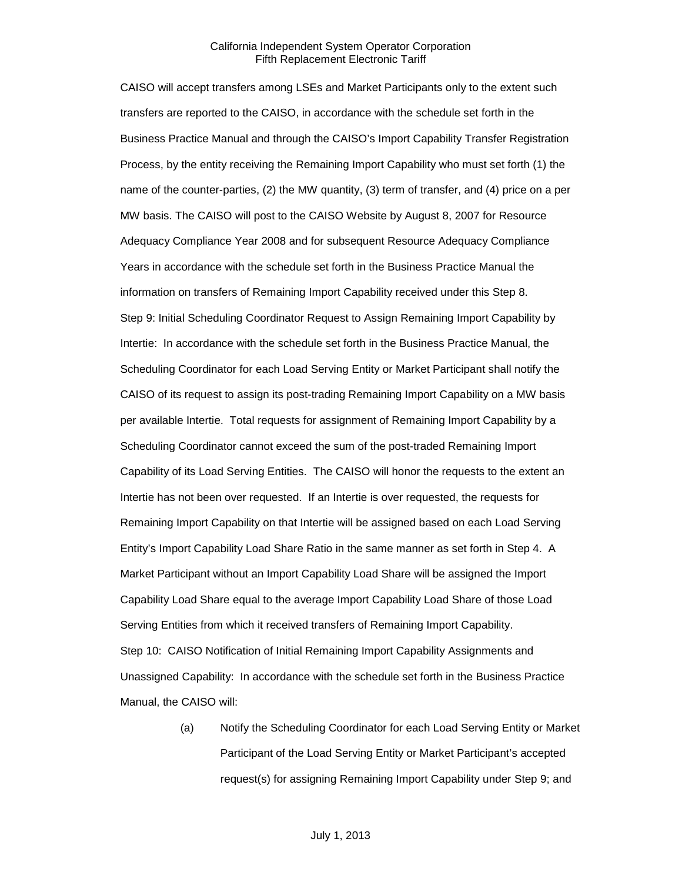CAISO will accept transfers among LSEs and Market Participants only to the extent such transfers are reported to the CAISO, in accordance with the schedule set forth in the Business Practice Manual and through the CAISO's Import Capability Transfer Registration Process, by the entity receiving the Remaining Import Capability who must set forth (1) the name of the counter-parties, (2) the MW quantity, (3) term of transfer, and (4) price on a per MW basis. The CAISO will post to the CAISO Website by August 8, 2007 for Resource Adequacy Compliance Year 2008 and for subsequent Resource Adequacy Compliance Years in accordance with the schedule set forth in the Business Practice Manual the information on transfers of Remaining Import Capability received under this Step 8. Step 9: Initial Scheduling Coordinator Request to Assign Remaining Import Capability by Intertie: In accordance with the schedule set forth in the Business Practice Manual, the Scheduling Coordinator for each Load Serving Entity or Market Participant shall notify the CAISO of its request to assign its post-trading Remaining Import Capability on a MW basis per available Intertie. Total requests for assignment of Remaining Import Capability by a Scheduling Coordinator cannot exceed the sum of the post-traded Remaining Import Capability of its Load Serving Entities. The CAISO will honor the requests to the extent an Intertie has not been over requested. If an Intertie is over requested, the requests for Remaining Import Capability on that Intertie will be assigned based on each Load Serving Entity's Import Capability Load Share Ratio in the same manner as set forth in Step 4. A Market Participant without an Import Capability Load Share will be assigned the Import Capability Load Share equal to the average Import Capability Load Share of those Load Serving Entities from which it received transfers of Remaining Import Capability. Step 10: CAISO Notification of Initial Remaining Import Capability Assignments and Unassigned Capability: In accordance with the schedule set forth in the Business Practice Manual, the CAISO will:

> (a) Notify the Scheduling Coordinator for each Load Serving Entity or Market Participant of the Load Serving Entity or Market Participant's accepted request(s) for assigning Remaining Import Capability under Step 9; and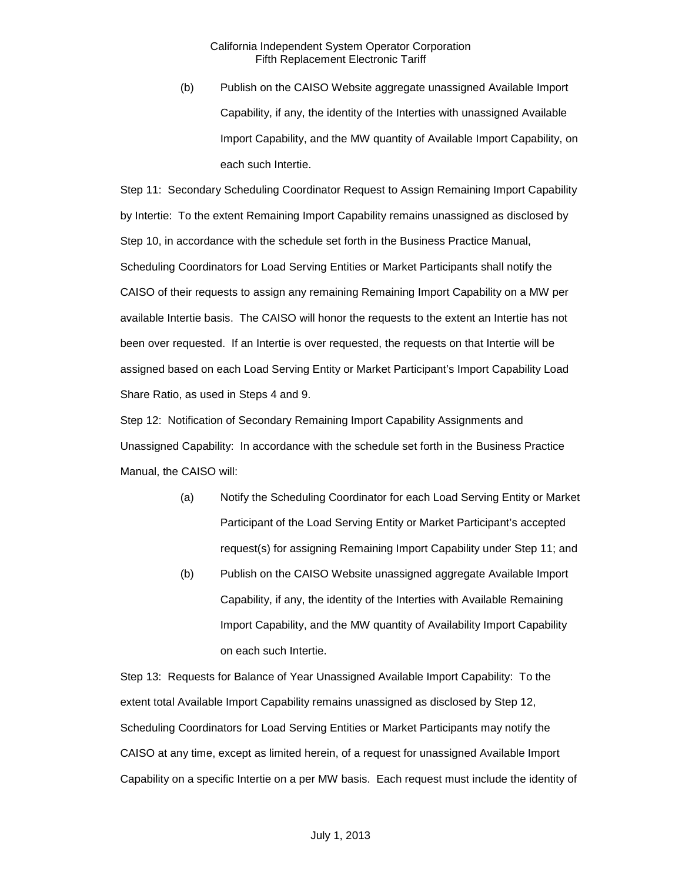(b) Publish on the CAISO Website aggregate unassigned Available Import Capability, if any, the identity of the Interties with unassigned Available Import Capability, and the MW quantity of Available Import Capability, on each such Intertie.

Step 11: Secondary Scheduling Coordinator Request to Assign Remaining Import Capability by Intertie: To the extent Remaining Import Capability remains unassigned as disclosed by Step 10, in accordance with the schedule set forth in the Business Practice Manual, Scheduling Coordinators for Load Serving Entities or Market Participants shall notify the CAISO of their requests to assign any remaining Remaining Import Capability on a MW per available Intertie basis. The CAISO will honor the requests to the extent an Intertie has not been over requested. If an Intertie is over requested, the requests on that Intertie will be assigned based on each Load Serving Entity or Market Participant's Import Capability Load Share Ratio, as used in Steps 4 and 9.

Step 12: Notification of Secondary Remaining Import Capability Assignments and Unassigned Capability: In accordance with the schedule set forth in the Business Practice Manual, the CAISO will:

- (a) Notify the Scheduling Coordinator for each Load Serving Entity or Market Participant of the Load Serving Entity or Market Participant's accepted request(s) for assigning Remaining Import Capability under Step 11; and
- (b) Publish on the CAISO Website unassigned aggregate Available Import Capability, if any, the identity of the Interties with Available Remaining Import Capability, and the MW quantity of Availability Import Capability on each such Intertie.

Step 13: Requests for Balance of Year Unassigned Available Import Capability: To the extent total Available Import Capability remains unassigned as disclosed by Step 12, Scheduling Coordinators for Load Serving Entities or Market Participants may notify the CAISO at any time, except as limited herein, of a request for unassigned Available Import Capability on a specific Intertie on a per MW basis. Each request must include the identity of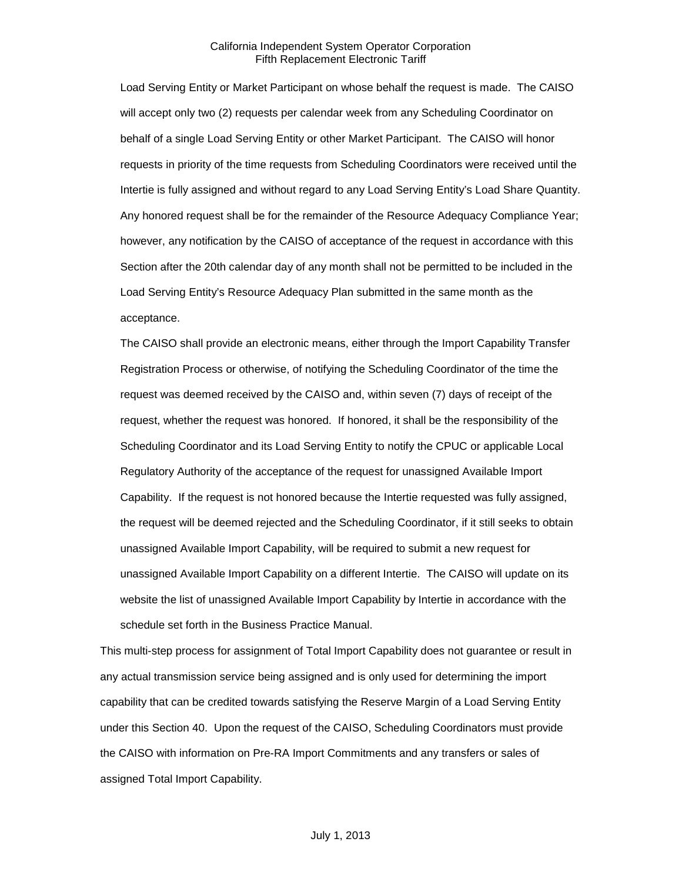Load Serving Entity or Market Participant on whose behalf the request is made. The CAISO will accept only two (2) requests per calendar week from any Scheduling Coordinator on behalf of a single Load Serving Entity or other Market Participant. The CAISO will honor requests in priority of the time requests from Scheduling Coordinators were received until the Intertie is fully assigned and without regard to any Load Serving Entity's Load Share Quantity. Any honored request shall be for the remainder of the Resource Adequacy Compliance Year; however, any notification by the CAISO of acceptance of the request in accordance with this Section after the 20th calendar day of any month shall not be permitted to be included in the Load Serving Entity's Resource Adequacy Plan submitted in the same month as the acceptance.

The CAISO shall provide an electronic means, either through the Import Capability Transfer Registration Process or otherwise, of notifying the Scheduling Coordinator of the time the request was deemed received by the CAISO and, within seven (7) days of receipt of the request, whether the request was honored. If honored, it shall be the responsibility of the Scheduling Coordinator and its Load Serving Entity to notify the CPUC or applicable Local Regulatory Authority of the acceptance of the request for unassigned Available Import Capability. If the request is not honored because the Intertie requested was fully assigned, the request will be deemed rejected and the Scheduling Coordinator, if it still seeks to obtain unassigned Available Import Capability, will be required to submit a new request for unassigned Available Import Capability on a different Intertie. The CAISO will update on its website the list of unassigned Available Import Capability by Intertie in accordance with the schedule set forth in the Business Practice Manual.

This multi-step process for assignment of Total Import Capability does not guarantee or result in any actual transmission service being assigned and is only used for determining the import capability that can be credited towards satisfying the Reserve Margin of a Load Serving Entity under this Section 40. Upon the request of the CAISO, Scheduling Coordinators must provide the CAISO with information on Pre-RA Import Commitments and any transfers or sales of assigned Total Import Capability.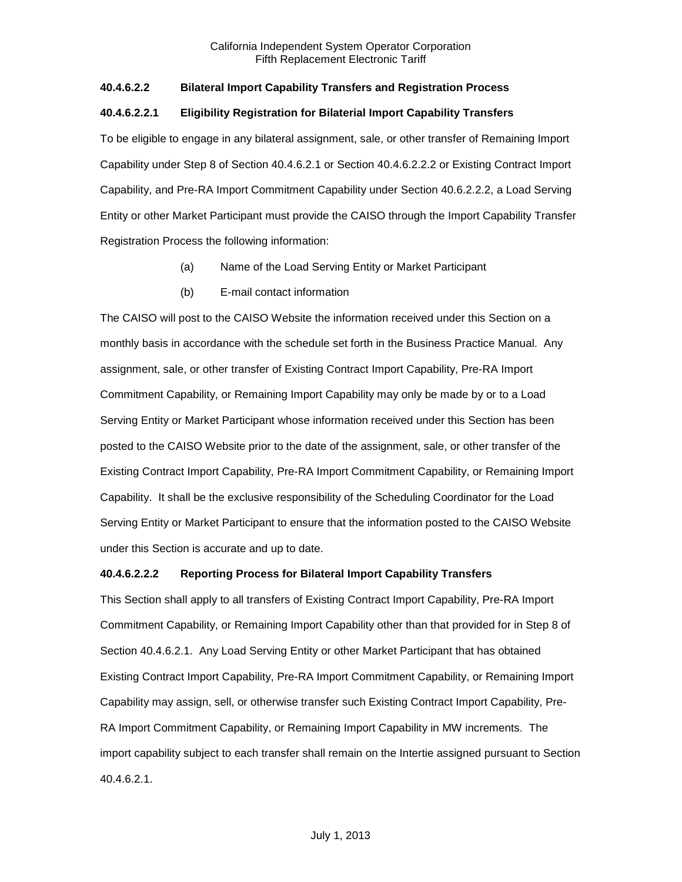## **40.4.6.2.2 Bilateral Import Capability Transfers and Registration Process**

## **40.4.6.2.2.1 Eligibility Registration for Bilaterial Import Capability Transfers**

To be eligible to engage in any bilateral assignment, sale, or other transfer of Remaining Import Capability under Step 8 of Section 40.4.6.2.1 or Section 40.4.6.2.2.2 or Existing Contract Import Capability, and Pre-RA Import Commitment Capability under Section 40.6.2.2.2, a Load Serving Entity or other Market Participant must provide the CAISO through the Import Capability Transfer Registration Process the following information:

- (a) Name of the Load Serving Entity or Market Participant
- (b) E-mail contact information

The CAISO will post to the CAISO Website the information received under this Section on a monthly basis in accordance with the schedule set forth in the Business Practice Manual. Any assignment, sale, or other transfer of Existing Contract Import Capability, Pre-RA Import Commitment Capability, or Remaining Import Capability may only be made by or to a Load Serving Entity or Market Participant whose information received under this Section has been posted to the CAISO Website prior to the date of the assignment, sale, or other transfer of the Existing Contract Import Capability, Pre-RA Import Commitment Capability, or Remaining Import Capability. It shall be the exclusive responsibility of the Scheduling Coordinator for the Load Serving Entity or Market Participant to ensure that the information posted to the CAISO Website under this Section is accurate and up to date.

## **40.4.6.2.2.2 Reporting Process for Bilateral Import Capability Transfers**

This Section shall apply to all transfers of Existing Contract Import Capability, Pre-RA Import Commitment Capability, or Remaining Import Capability other than that provided for in Step 8 of Section 40.4.6.2.1. Any Load Serving Entity or other Market Participant that has obtained Existing Contract Import Capability, Pre-RA Import Commitment Capability, or Remaining Import Capability may assign, sell, or otherwise transfer such Existing Contract Import Capability, Pre-RA Import Commitment Capability, or Remaining Import Capability in MW increments. The import capability subject to each transfer shall remain on the Intertie assigned pursuant to Section 40.4.6.2.1.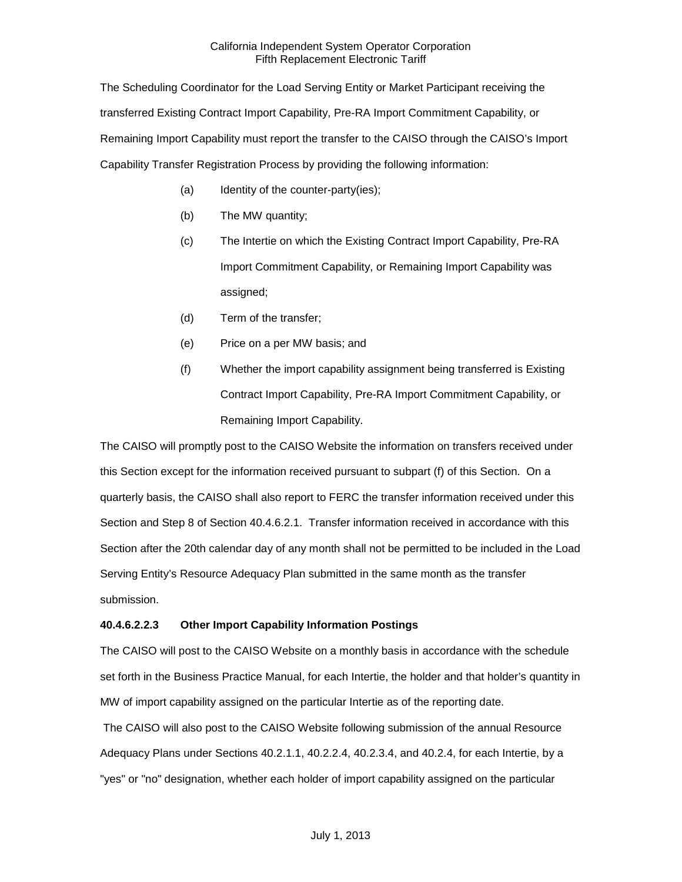The Scheduling Coordinator for the Load Serving Entity or Market Participant receiving the transferred Existing Contract Import Capability, Pre-RA Import Commitment Capability, or Remaining Import Capability must report the transfer to the CAISO through the CAISO's Import Capability Transfer Registration Process by providing the following information:

- (a) Identity of the counter-party(ies);
- (b) The MW quantity;
- (c) The Intertie on which the Existing Contract Import Capability, Pre-RA Import Commitment Capability, or Remaining Import Capability was assigned;
- (d) Term of the transfer;
- (e) Price on a per MW basis; and
- (f) Whether the import capability assignment being transferred is Existing Contract Import Capability, Pre-RA Import Commitment Capability, or Remaining Import Capability.

The CAISO will promptly post to the CAISO Website the information on transfers received under this Section except for the information received pursuant to subpart (f) of this Section. On a quarterly basis, the CAISO shall also report to FERC the transfer information received under this Section and Step 8 of Section 40.4.6.2.1. Transfer information received in accordance with this Section after the 20th calendar day of any month shall not be permitted to be included in the Load Serving Entity's Resource Adequacy Plan submitted in the same month as the transfer submission.

## **40.4.6.2.2.3 Other Import Capability Information Postings**

The CAISO will post to the CAISO Website on a monthly basis in accordance with the schedule set forth in the Business Practice Manual, for each Intertie, the holder and that holder's quantity in MW of import capability assigned on the particular Intertie as of the reporting date.

The CAISO will also post to the CAISO Website following submission of the annual Resource Adequacy Plans under Sections 40.2.1.1, 40.2.2.4, 40.2.3.4, and 40.2.4, for each Intertie, by a "yes" or "no" designation, whether each holder of import capability assigned on the particular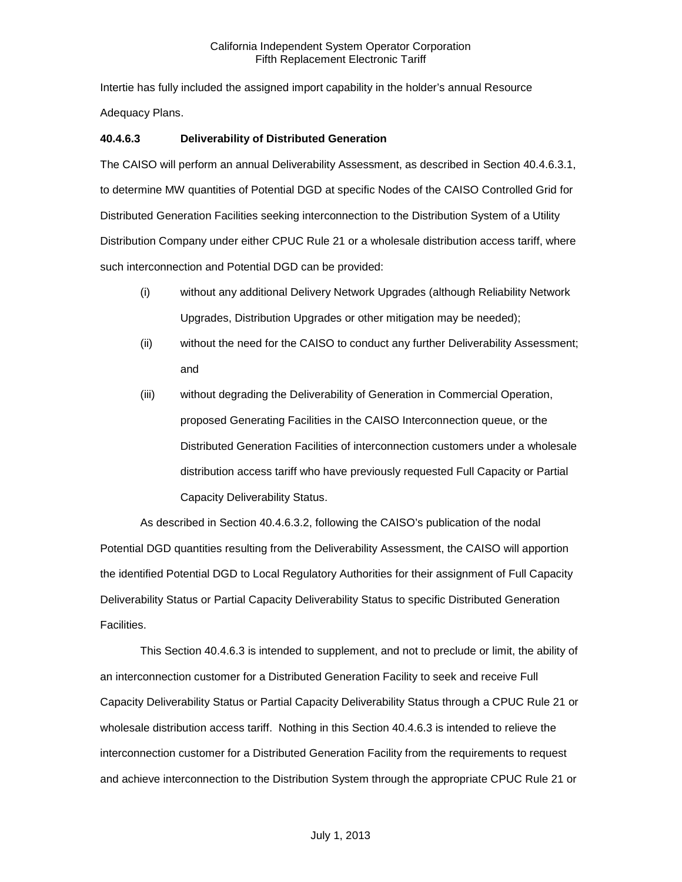Intertie has fully included the assigned import capability in the holder's annual Resource Adequacy Plans.

## **40.4.6.3 Deliverability of Distributed Generation**

The CAISO will perform an annual Deliverability Assessment, as described in Section 40.4.6.3.1, to determine MW quantities of Potential DGD at specific Nodes of the CAISO Controlled Grid for Distributed Generation Facilities seeking interconnection to the Distribution System of a Utility Distribution Company under either CPUC Rule 21 or a wholesale distribution access tariff, where such interconnection and Potential DGD can be provided:

- (i) without any additional Delivery Network Upgrades (although Reliability Network Upgrades, Distribution Upgrades or other mitigation may be needed);
- (ii) without the need for the CAISO to conduct any further Deliverability Assessment; and
- (iii) without degrading the Deliverability of Generation in Commercial Operation, proposed Generating Facilities in the CAISO Interconnection queue, or the Distributed Generation Facilities of interconnection customers under a wholesale distribution access tariff who have previously requested Full Capacity or Partial Capacity Deliverability Status.

As described in Section 40.4.6.3.2, following the CAISO's publication of the nodal Potential DGD quantities resulting from the Deliverability Assessment, the CAISO will apportion the identified Potential DGD to Local Regulatory Authorities for their assignment of Full Capacity Deliverability Status or Partial Capacity Deliverability Status to specific Distributed Generation Facilities.

This Section 40.4.6.3 is intended to supplement, and not to preclude or limit, the ability of an interconnection customer for a Distributed Generation Facility to seek and receive Full Capacity Deliverability Status or Partial Capacity Deliverability Status through a CPUC Rule 21 or wholesale distribution access tariff. Nothing in this Section 40.4.6.3 is intended to relieve the interconnection customer for a Distributed Generation Facility from the requirements to request and achieve interconnection to the Distribution System through the appropriate CPUC Rule 21 or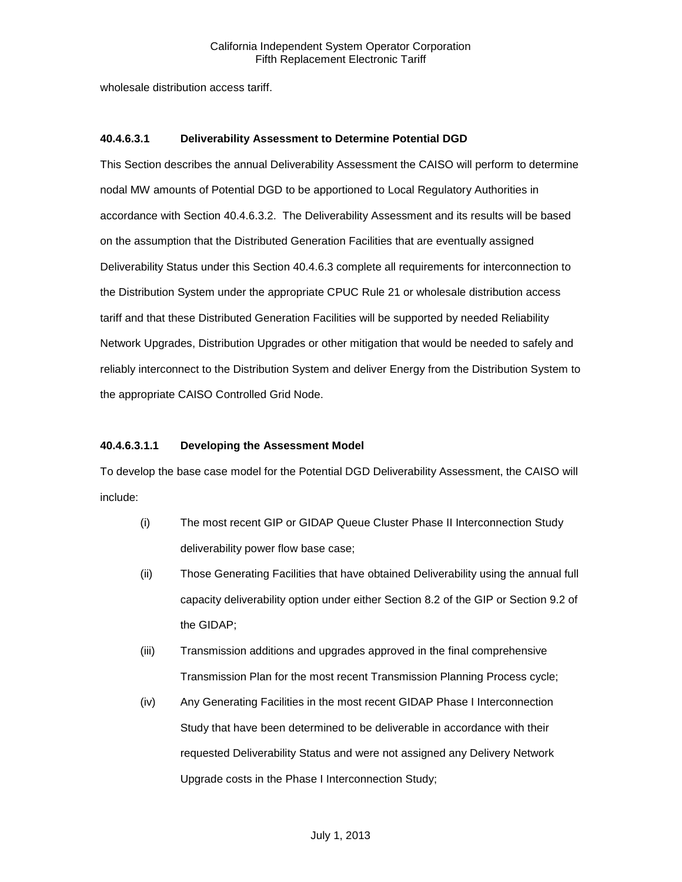wholesale distribution access tariff.

## **40.4.6.3.1 Deliverability Assessment to Determine Potential DGD**

This Section describes the annual Deliverability Assessment the CAISO will perform to determine nodal MW amounts of Potential DGD to be apportioned to Local Regulatory Authorities in accordance with Section 40.4.6.3.2. The Deliverability Assessment and its results will be based on the assumption that the Distributed Generation Facilities that are eventually assigned Deliverability Status under this Section 40.4.6.3 complete all requirements for interconnection to the Distribution System under the appropriate CPUC Rule 21 or wholesale distribution access tariff and that these Distributed Generation Facilities will be supported by needed Reliability Network Upgrades, Distribution Upgrades or other mitigation that would be needed to safely and reliably interconnect to the Distribution System and deliver Energy from the Distribution System to the appropriate CAISO Controlled Grid Node.

## **40.4.6.3.1.1 Developing the Assessment Model**

To develop the base case model for the Potential DGD Deliverability Assessment, the CAISO will include:

- (i) The most recent GIP or GIDAP Queue Cluster Phase II Interconnection Study deliverability power flow base case;
- (ii) Those Generating Facilities that have obtained Deliverability using the annual full capacity deliverability option under either Section 8.2 of the GIP or Section 9.2 of the GIDAP;
- (iii) Transmission additions and upgrades approved in the final comprehensive Transmission Plan for the most recent Transmission Planning Process cycle;
- (iv) Any Generating Facilities in the most recent GIDAP Phase I Interconnection Study that have been determined to be deliverable in accordance with their requested Deliverability Status and were not assigned any Delivery Network Upgrade costs in the Phase I Interconnection Study;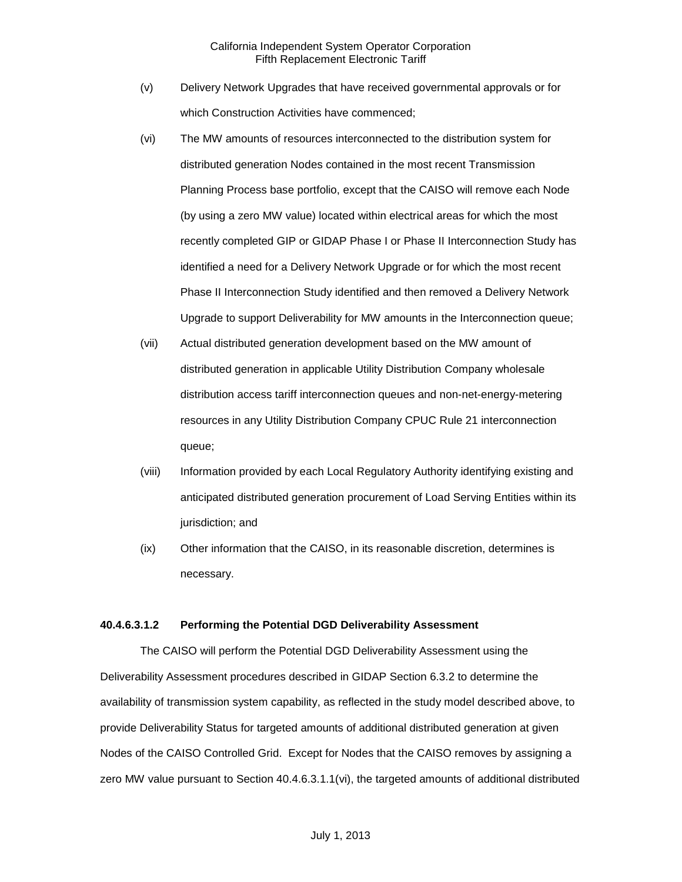- (v) Delivery Network Upgrades that have received governmental approvals or for which Construction Activities have commenced;
- (vi) The MW amounts of resources interconnected to the distribution system for distributed generation Nodes contained in the most recent Transmission Planning Process base portfolio, except that the CAISO will remove each Node (by using a zero MW value) located within electrical areas for which the most recently completed GIP or GIDAP Phase I or Phase II Interconnection Study has identified a need for a Delivery Network Upgrade or for which the most recent Phase II Interconnection Study identified and then removed a Delivery Network Upgrade to support Deliverability for MW amounts in the Interconnection queue;
- (vii) Actual distributed generation development based on the MW amount of distributed generation in applicable Utility Distribution Company wholesale distribution access tariff interconnection queues and non-net-energy-metering resources in any Utility Distribution Company CPUC Rule 21 interconnection queue;
- (viii) Information provided by each Local Regulatory Authority identifying existing and anticipated distributed generation procurement of Load Serving Entities within its jurisdiction; and
- (ix) Other information that the CAISO, in its reasonable discretion, determines is necessary.

#### **40.4.6.3.1.2 Performing the Potential DGD Deliverability Assessment**

The CAISO will perform the Potential DGD Deliverability Assessment using the Deliverability Assessment procedures described in GIDAP Section 6.3.2 to determine the availability of transmission system capability, as reflected in the study model described above, to provide Deliverability Status for targeted amounts of additional distributed generation at given Nodes of the CAISO Controlled Grid. Except for Nodes that the CAISO removes by assigning a zero MW value pursuant to Section 40.4.6.3.1.1(vi), the targeted amounts of additional distributed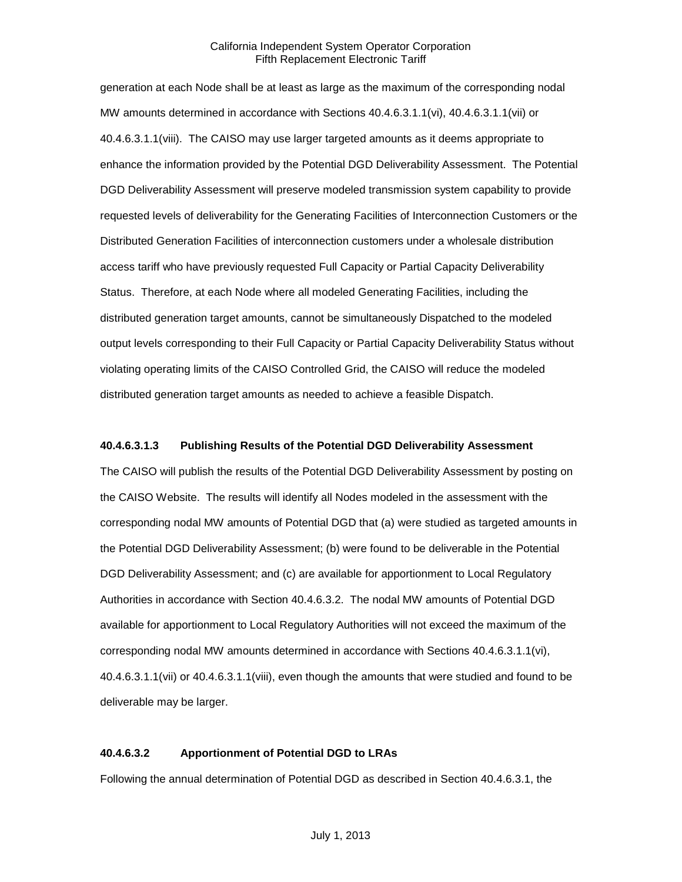generation at each Node shall be at least as large as the maximum of the corresponding nodal MW amounts determined in accordance with Sections 40.4.6.3.1.1(vi), 40.4.6.3.1.1(vii) or 40.4.6.3.1.1(viii). The CAISO may use larger targeted amounts as it deems appropriate to enhance the information provided by the Potential DGD Deliverability Assessment. The Potential DGD Deliverability Assessment will preserve modeled transmission system capability to provide requested levels of deliverability for the Generating Facilities of Interconnection Customers or the Distributed Generation Facilities of interconnection customers under a wholesale distribution access tariff who have previously requested Full Capacity or Partial Capacity Deliverability Status. Therefore, at each Node where all modeled Generating Facilities, including the distributed generation target amounts, cannot be simultaneously Dispatched to the modeled output levels corresponding to their Full Capacity or Partial Capacity Deliverability Status without violating operating limits of the CAISO Controlled Grid, the CAISO will reduce the modeled distributed generation target amounts as needed to achieve a feasible Dispatch.

#### **40.4.6.3.1.3 Publishing Results of the Potential DGD Deliverability Assessment**

The CAISO will publish the results of the Potential DGD Deliverability Assessment by posting on the CAISO Website. The results will identify all Nodes modeled in the assessment with the corresponding nodal MW amounts of Potential DGD that (a) were studied as targeted amounts in the Potential DGD Deliverability Assessment; (b) were found to be deliverable in the Potential DGD Deliverability Assessment; and (c) are available for apportionment to Local Regulatory Authorities in accordance with Section 40.4.6.3.2. The nodal MW amounts of Potential DGD available for apportionment to Local Regulatory Authorities will not exceed the maximum of the corresponding nodal MW amounts determined in accordance with Sections 40.4.6.3.1.1(vi), 40.4.6.3.1.1(vii) or 40.4.6.3.1.1(viii), even though the amounts that were studied and found to be deliverable may be larger.

#### **40.4.6.3.2 Apportionment of Potential DGD to LRAs**

Following the annual determination of Potential DGD as described in Section 40.4.6.3.1, the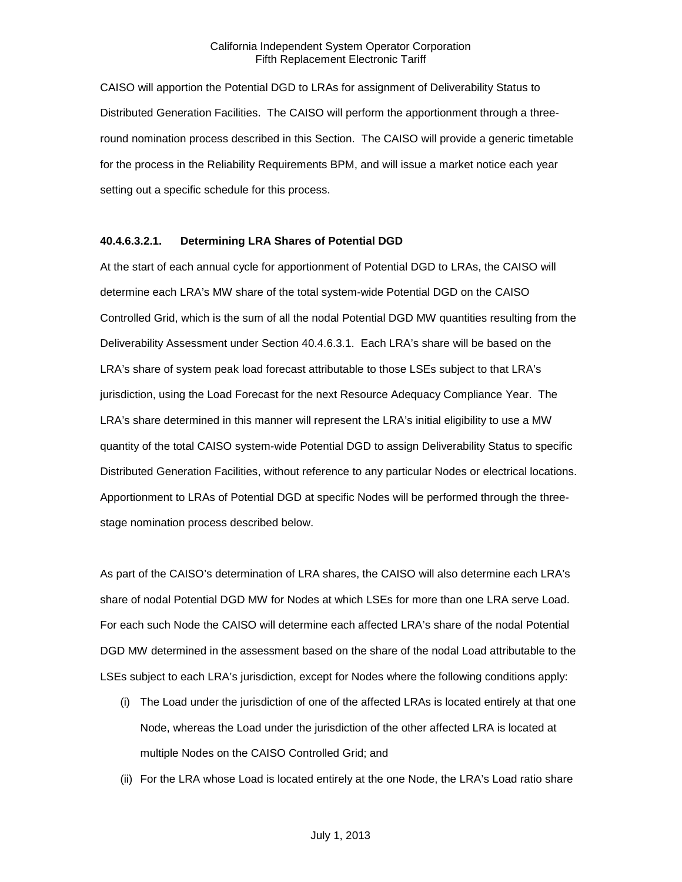CAISO will apportion the Potential DGD to LRAs for assignment of Deliverability Status to Distributed Generation Facilities. The CAISO will perform the apportionment through a threeround nomination process described in this Section. The CAISO will provide a generic timetable for the process in the Reliability Requirements BPM, and will issue a market notice each year setting out a specific schedule for this process.

#### **40.4.6.3.2.1. Determining LRA Shares of Potential DGD**

At the start of each annual cycle for apportionment of Potential DGD to LRAs, the CAISO will determine each LRA's MW share of the total system-wide Potential DGD on the CAISO Controlled Grid, which is the sum of all the nodal Potential DGD MW quantities resulting from the Deliverability Assessment under Section 40.4.6.3.1. Each LRA's share will be based on the LRA's share of system peak load forecast attributable to those LSEs subject to that LRA's jurisdiction, using the Load Forecast for the next Resource Adequacy Compliance Year. The LRA's share determined in this manner will represent the LRA's initial eligibility to use a MW quantity of the total CAISO system-wide Potential DGD to assign Deliverability Status to specific Distributed Generation Facilities, without reference to any particular Nodes or electrical locations. Apportionment to LRAs of Potential DGD at specific Nodes will be performed through the threestage nomination process described below.

As part of the CAISO's determination of LRA shares, the CAISO will also determine each LRA's share of nodal Potential DGD MW for Nodes at which LSEs for more than one LRA serve Load. For each such Node the CAISO will determine each affected LRA's share of the nodal Potential DGD MW determined in the assessment based on the share of the nodal Load attributable to the LSEs subject to each LRA's jurisdiction, except for Nodes where the following conditions apply:

- (i) The Load under the jurisdiction of one of the affected LRAs is located entirely at that one Node, whereas the Load under the jurisdiction of the other affected LRA is located at multiple Nodes on the CAISO Controlled Grid; and
- (ii) For the LRA whose Load is located entirely at the one Node, the LRA's Load ratio share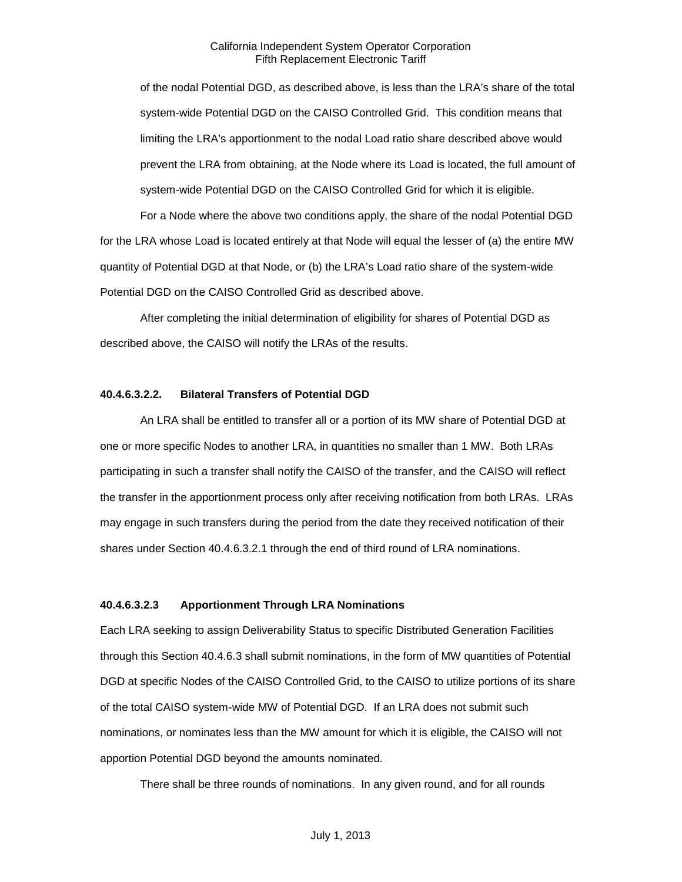of the nodal Potential DGD, as described above, is less than the LRA's share of the total system-wide Potential DGD on the CAISO Controlled Grid. This condition means that limiting the LRA's apportionment to the nodal Load ratio share described above would prevent the LRA from obtaining, at the Node where its Load is located, the full amount of system-wide Potential DGD on the CAISO Controlled Grid for which it is eligible.

For a Node where the above two conditions apply, the share of the nodal Potential DGD for the LRA whose Load is located entirely at that Node will equal the lesser of (a) the entire MW quantity of Potential DGD at that Node, or (b) the LRA's Load ratio share of the system-wide Potential DGD on the CAISO Controlled Grid as described above.

After completing the initial determination of eligibility for shares of Potential DGD as described above, the CAISO will notify the LRAs of the results.

#### **40.4.6.3.2.2. Bilateral Transfers of Potential DGD**

An LRA shall be entitled to transfer all or a portion of its MW share of Potential DGD at one or more specific Nodes to another LRA, in quantities no smaller than 1 MW. Both LRAs participating in such a transfer shall notify the CAISO of the transfer, and the CAISO will reflect the transfer in the apportionment process only after receiving notification from both LRAs. LRAs may engage in such transfers during the period from the date they received notification of their shares under Section 40.4.6.3.2.1 through the end of third round of LRA nominations.

#### **40.4.6.3.2.3 Apportionment Through LRA Nominations**

Each LRA seeking to assign Deliverability Status to specific Distributed Generation Facilities through this Section 40.4.6.3 shall submit nominations, in the form of MW quantities of Potential DGD at specific Nodes of the CAISO Controlled Grid, to the CAISO to utilize portions of its share of the total CAISO system-wide MW of Potential DGD. If an LRA does not submit such nominations, or nominates less than the MW amount for which it is eligible, the CAISO will not apportion Potential DGD beyond the amounts nominated.

There shall be three rounds of nominations. In any given round, and for all rounds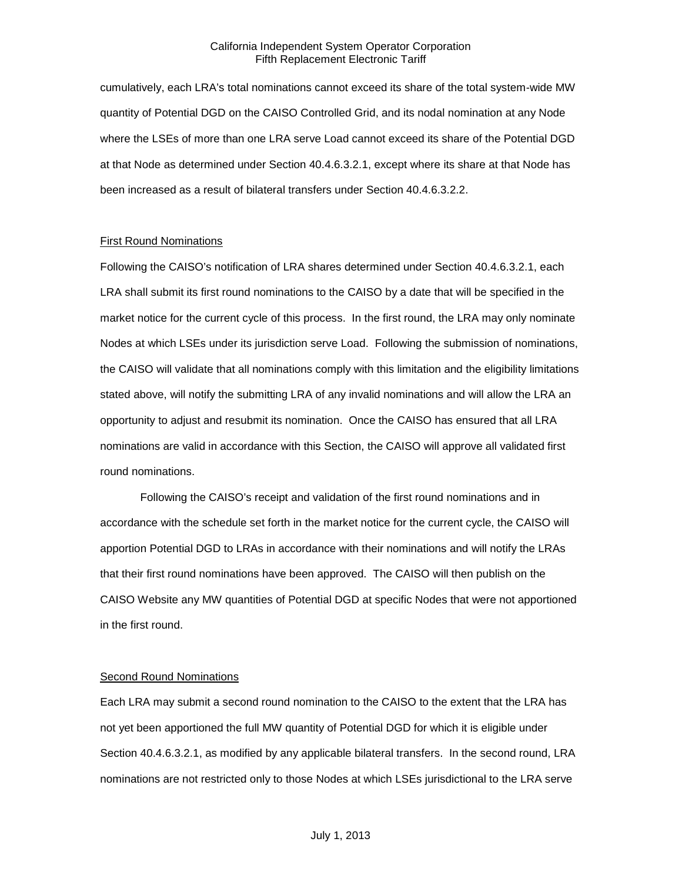cumulatively, each LRA's total nominations cannot exceed its share of the total system-wide MW quantity of Potential DGD on the CAISO Controlled Grid, and its nodal nomination at any Node where the LSEs of more than one LRA serve Load cannot exceed its share of the Potential DGD at that Node as determined under Section 40.4.6.3.2.1, except where its share at that Node has been increased as a result of bilateral transfers under Section 40.4.6.3.2.2.

#### First Round Nominations

Following the CAISO's notification of LRA shares determined under Section 40.4.6.3.2.1, each LRA shall submit its first round nominations to the CAISO by a date that will be specified in the market notice for the current cycle of this process. In the first round, the LRA may only nominate Nodes at which LSEs under its jurisdiction serve Load. Following the submission of nominations, the CAISO will validate that all nominations comply with this limitation and the eligibility limitations stated above, will notify the submitting LRA of any invalid nominations and will allow the LRA an opportunity to adjust and resubmit its nomination. Once the CAISO has ensured that all LRA nominations are valid in accordance with this Section, the CAISO will approve all validated first round nominations.

Following the CAISO's receipt and validation of the first round nominations and in accordance with the schedule set forth in the market notice for the current cycle, the CAISO will apportion Potential DGD to LRAs in accordance with their nominations and will notify the LRAs that their first round nominations have been approved. The CAISO will then publish on the CAISO Website any MW quantities of Potential DGD at specific Nodes that were not apportioned in the first round.

## Second Round Nominations

Each LRA may submit a second round nomination to the CAISO to the extent that the LRA has not yet been apportioned the full MW quantity of Potential DGD for which it is eligible under Section 40.4.6.3.2.1, as modified by any applicable bilateral transfers. In the second round, LRA nominations are not restricted only to those Nodes at which LSEs jurisdictional to the LRA serve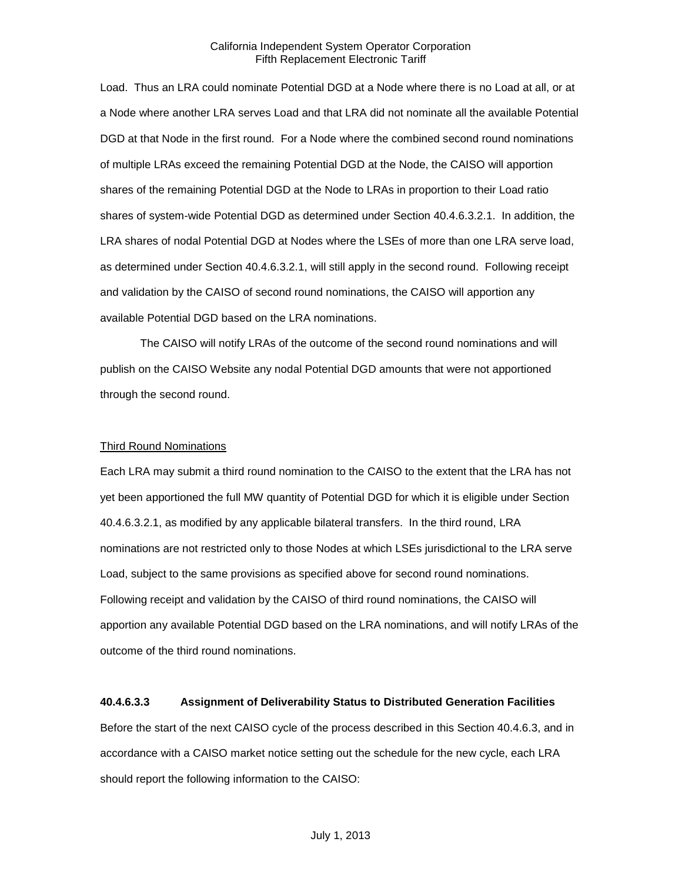Load. Thus an LRA could nominate Potential DGD at a Node where there is no Load at all, or at a Node where another LRA serves Load and that LRA did not nominate all the available Potential DGD at that Node in the first round. For a Node where the combined second round nominations of multiple LRAs exceed the remaining Potential DGD at the Node, the CAISO will apportion shares of the remaining Potential DGD at the Node to LRAs in proportion to their Load ratio shares of system-wide Potential DGD as determined under Section 40.4.6.3.2.1. In addition, the LRA shares of nodal Potential DGD at Nodes where the LSEs of more than one LRA serve load, as determined under Section 40.4.6.3.2.1, will still apply in the second round. Following receipt and validation by the CAISO of second round nominations, the CAISO will apportion any available Potential DGD based on the LRA nominations.

The CAISO will notify LRAs of the outcome of the second round nominations and will publish on the CAISO Website any nodal Potential DGD amounts that were not apportioned through the second round.

#### Third Round Nominations

Each LRA may submit a third round nomination to the CAISO to the extent that the LRA has not yet been apportioned the full MW quantity of Potential DGD for which it is eligible under Section 40.4.6.3.2.1, as modified by any applicable bilateral transfers. In the third round, LRA nominations are not restricted only to those Nodes at which LSEs jurisdictional to the LRA serve Load, subject to the same provisions as specified above for second round nominations. Following receipt and validation by the CAISO of third round nominations, the CAISO will apportion any available Potential DGD based on the LRA nominations, and will notify LRAs of the outcome of the third round nominations.

## **40.4.6.3.3 Assignment of Deliverability Status to Distributed Generation Facilities**

Before the start of the next CAISO cycle of the process described in this Section 40.4.6.3, and in accordance with a CAISO market notice setting out the schedule for the new cycle, each LRA should report the following information to the CAISO: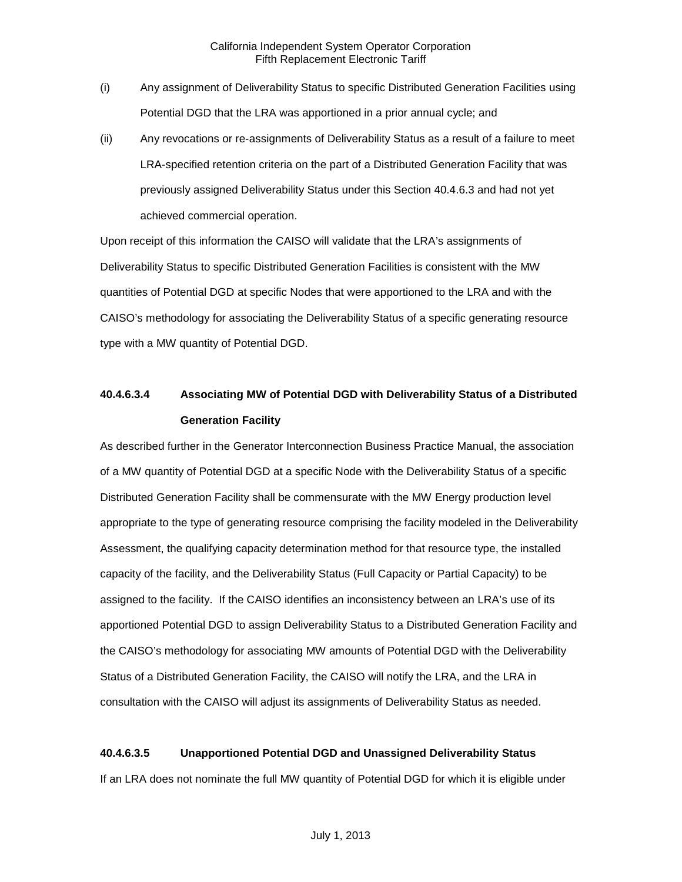- (i) Any assignment of Deliverability Status to specific Distributed Generation Facilities using Potential DGD that the LRA was apportioned in a prior annual cycle; and
- (ii) Any revocations or re-assignments of Deliverability Status as a result of a failure to meet LRA-specified retention criteria on the part of a Distributed Generation Facility that was previously assigned Deliverability Status under this Section 40.4.6.3 and had not yet achieved commercial operation.

Upon receipt of this information the CAISO will validate that the LRA's assignments of Deliverability Status to specific Distributed Generation Facilities is consistent with the MW quantities of Potential DGD at specific Nodes that were apportioned to the LRA and with the CAISO's methodology for associating the Deliverability Status of a specific generating resource type with a MW quantity of Potential DGD.

# **40.4.6.3.4 Associating MW of Potential DGD with Deliverability Status of a Distributed Generation Facility**

As described further in the Generator Interconnection Business Practice Manual, the association of a MW quantity of Potential DGD at a specific Node with the Deliverability Status of a specific Distributed Generation Facility shall be commensurate with the MW Energy production level appropriate to the type of generating resource comprising the facility modeled in the Deliverability Assessment, the qualifying capacity determination method for that resource type, the installed capacity of the facility, and the Deliverability Status (Full Capacity or Partial Capacity) to be assigned to the facility. If the CAISO identifies an inconsistency between an LRA's use of its apportioned Potential DGD to assign Deliverability Status to a Distributed Generation Facility and the CAISO's methodology for associating MW amounts of Potential DGD with the Deliverability Status of a Distributed Generation Facility, the CAISO will notify the LRA, and the LRA in consultation with the CAISO will adjust its assignments of Deliverability Status as needed.

## **40.4.6.3.5 Unapportioned Potential DGD and Unassigned Deliverability Status**

If an LRA does not nominate the full MW quantity of Potential DGD for which it is eligible under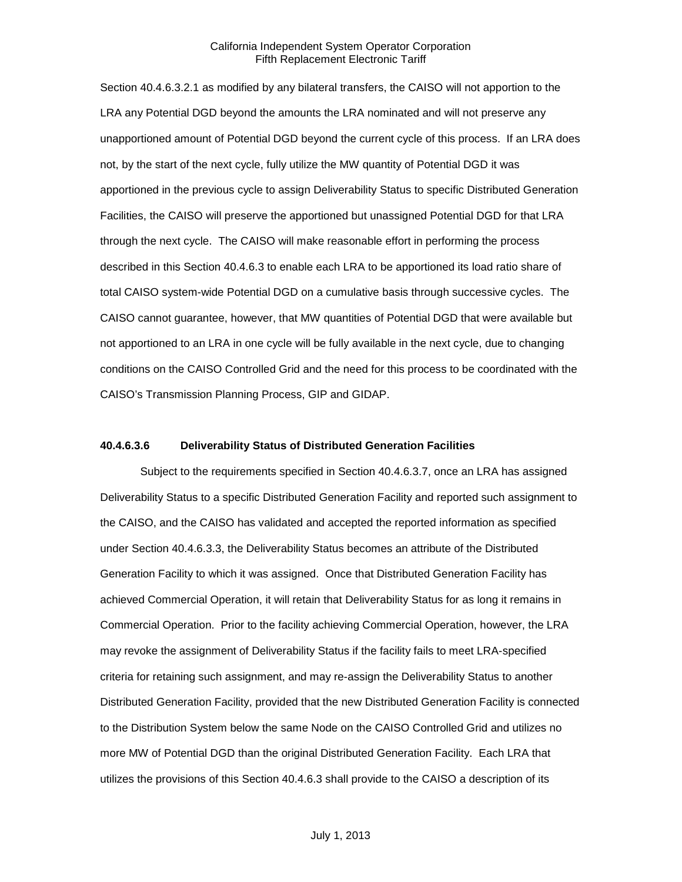Section 40.4.6.3.2.1 as modified by any bilateral transfers, the CAISO will not apportion to the LRA any Potential DGD beyond the amounts the LRA nominated and will not preserve any unapportioned amount of Potential DGD beyond the current cycle of this process. If an LRA does not, by the start of the next cycle, fully utilize the MW quantity of Potential DGD it was apportioned in the previous cycle to assign Deliverability Status to specific Distributed Generation Facilities, the CAISO will preserve the apportioned but unassigned Potential DGD for that LRA through the next cycle. The CAISO will make reasonable effort in performing the process described in this Section 40.4.6.3 to enable each LRA to be apportioned its load ratio share of total CAISO system-wide Potential DGD on a cumulative basis through successive cycles. The CAISO cannot guarantee, however, that MW quantities of Potential DGD that were available but not apportioned to an LRA in one cycle will be fully available in the next cycle, due to changing conditions on the CAISO Controlled Grid and the need for this process to be coordinated with the CAISO's Transmission Planning Process, GIP and GIDAP.

#### **40.4.6.3.6 Deliverability Status of Distributed Generation Facilities**

Subject to the requirements specified in Section 40.4.6.3.7, once an LRA has assigned Deliverability Status to a specific Distributed Generation Facility and reported such assignment to the CAISO, and the CAISO has validated and accepted the reported information as specified under Section 40.4.6.3.3, the Deliverability Status becomes an attribute of the Distributed Generation Facility to which it was assigned. Once that Distributed Generation Facility has achieved Commercial Operation, it will retain that Deliverability Status for as long it remains in Commercial Operation. Prior to the facility achieving Commercial Operation, however, the LRA may revoke the assignment of Deliverability Status if the facility fails to meet LRA-specified criteria for retaining such assignment, and may re-assign the Deliverability Status to another Distributed Generation Facility, provided that the new Distributed Generation Facility is connected to the Distribution System below the same Node on the CAISO Controlled Grid and utilizes no more MW of Potential DGD than the original Distributed Generation Facility. Each LRA that utilizes the provisions of this Section 40.4.6.3 shall provide to the CAISO a description of its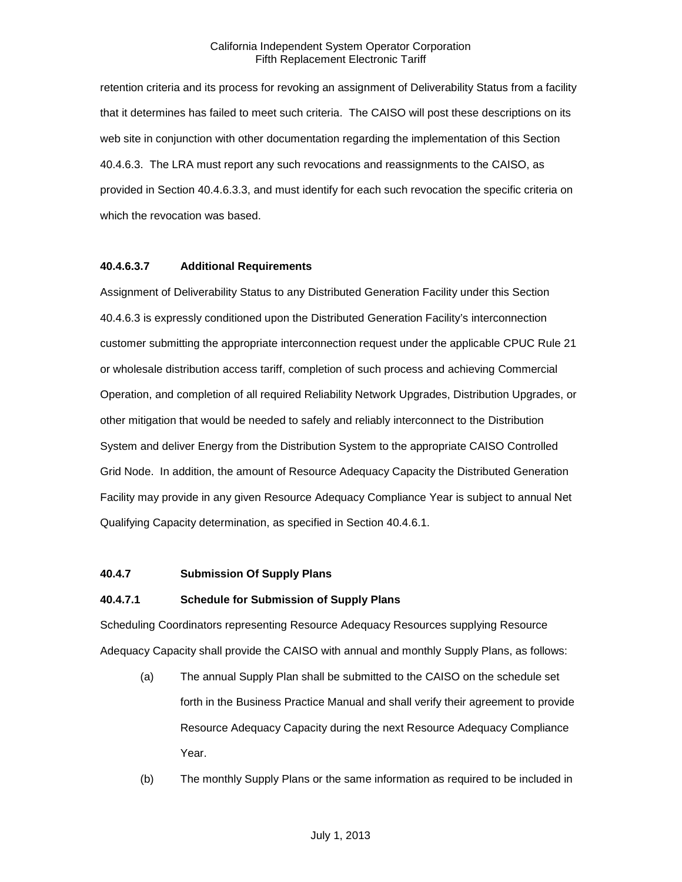retention criteria and its process for revoking an assignment of Deliverability Status from a facility that it determines has failed to meet such criteria. The CAISO will post these descriptions on its web site in conjunction with other documentation regarding the implementation of this Section 40.4.6.3. The LRA must report any such revocations and reassignments to the CAISO, as provided in Section 40.4.6.3.3, and must identify for each such revocation the specific criteria on which the revocation was based.

#### **40.4.6.3.7 Additional Requirements**

Assignment of Deliverability Status to any Distributed Generation Facility under this Section 40.4.6.3 is expressly conditioned upon the Distributed Generation Facility's interconnection customer submitting the appropriate interconnection request under the applicable CPUC Rule 21 or wholesale distribution access tariff, completion of such process and achieving Commercial Operation, and completion of all required Reliability Network Upgrades, Distribution Upgrades, or other mitigation that would be needed to safely and reliably interconnect to the Distribution System and deliver Energy from the Distribution System to the appropriate CAISO Controlled Grid Node. In addition, the amount of Resource Adequacy Capacity the Distributed Generation Facility may provide in any given Resource Adequacy Compliance Year is subject to annual Net Qualifying Capacity determination, as specified in Section 40.4.6.1.

#### **40.4.7 Submission Of Supply Plans**

#### **40.4.7.1 Schedule for Submission of Supply Plans**

Scheduling Coordinators representing Resource Adequacy Resources supplying Resource Adequacy Capacity shall provide the CAISO with annual and monthly Supply Plans, as follows:

- (a) The annual Supply Plan shall be submitted to the CAISO on the schedule set forth in the Business Practice Manual and shall verify their agreement to provide Resource Adequacy Capacity during the next Resource Adequacy Compliance Year.
- (b) The monthly Supply Plans or the same information as required to be included in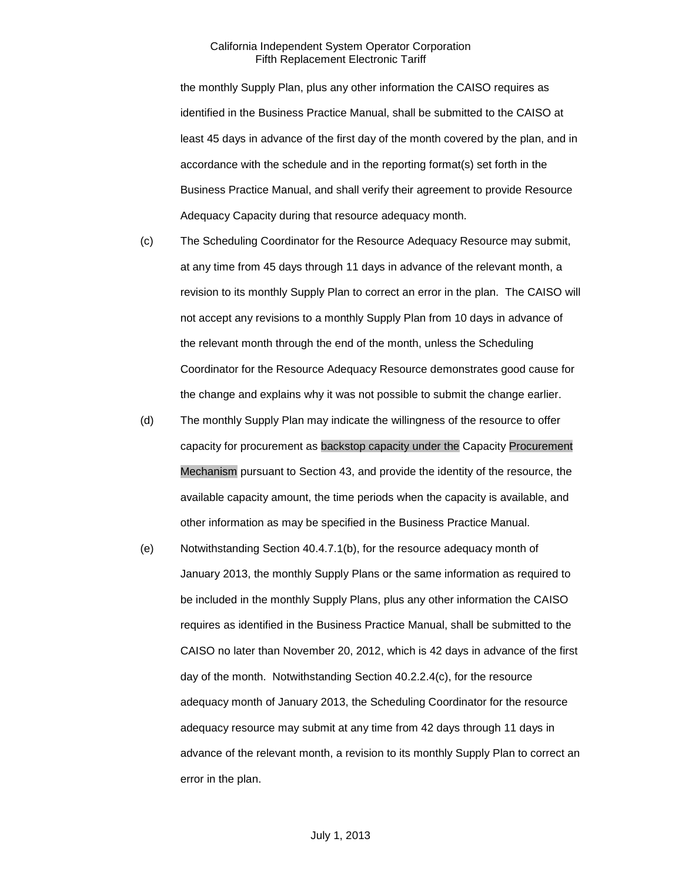the monthly Supply Plan, plus any other information the CAISO requires as identified in the Business Practice Manual, shall be submitted to the CAISO at least 45 days in advance of the first day of the month covered by the plan, and in accordance with the schedule and in the reporting format(s) set forth in the Business Practice Manual, and shall verify their agreement to provide Resource Adequacy Capacity during that resource adequacy month.

- (c) The Scheduling Coordinator for the Resource Adequacy Resource may submit, at any time from 45 days through 11 days in advance of the relevant month, a revision to its monthly Supply Plan to correct an error in the plan. The CAISO will not accept any revisions to a monthly Supply Plan from 10 days in advance of the relevant month through the end of the month, unless the Scheduling Coordinator for the Resource Adequacy Resource demonstrates good cause for the change and explains why it was not possible to submit the change earlier.
- (d) The monthly Supply Plan may indicate the willingness of the resource to offer capacity for procurement as backstop capacity under the Capacity Procurement Mechanism pursuant to Section 43, and provide the identity of the resource, the available capacity amount, the time periods when the capacity is available, and other information as may be specified in the Business Practice Manual.
- (e) Notwithstanding Section 40.4.7.1(b), for the resource adequacy month of January 2013, the monthly Supply Plans or the same information as required to be included in the monthly Supply Plans, plus any other information the CAISO requires as identified in the Business Practice Manual, shall be submitted to the CAISO no later than November 20, 2012, which is 42 days in advance of the first day of the month. Notwithstanding Section 40.2.2.4(c), for the resource adequacy month of January 2013, the Scheduling Coordinator for the resource adequacy resource may submit at any time from 42 days through 11 days in advance of the relevant month, a revision to its monthly Supply Plan to correct an error in the plan.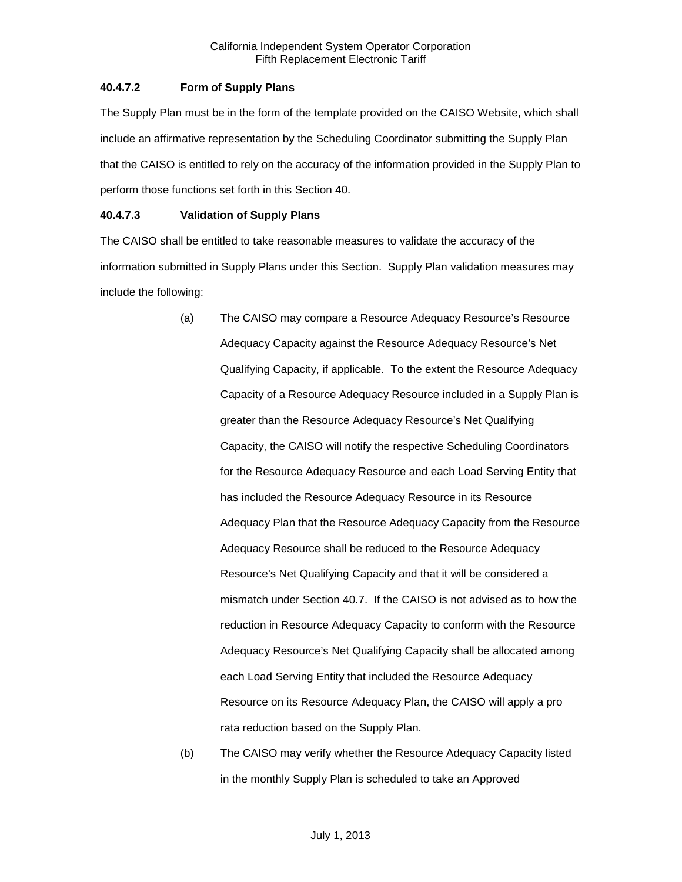# **40.4.7.2 Form of Supply Plans**

The Supply Plan must be in the form of the template provided on the CAISO Website, which shall include an affirmative representation by the Scheduling Coordinator submitting the Supply Plan that the CAISO is entitled to rely on the accuracy of the information provided in the Supply Plan to perform those functions set forth in this Section 40.

# **40.4.7.3 Validation of Supply Plans**

The CAISO shall be entitled to take reasonable measures to validate the accuracy of the information submitted in Supply Plans under this Section. Supply Plan validation measures may include the following:

- (a) The CAISO may compare a Resource Adequacy Resource's Resource Adequacy Capacity against the Resource Adequacy Resource's Net Qualifying Capacity, if applicable. To the extent the Resource Adequacy Capacity of a Resource Adequacy Resource included in a Supply Plan is greater than the Resource Adequacy Resource's Net Qualifying Capacity, the CAISO will notify the respective Scheduling Coordinators for the Resource Adequacy Resource and each Load Serving Entity that has included the Resource Adequacy Resource in its Resource Adequacy Plan that the Resource Adequacy Capacity from the Resource Adequacy Resource shall be reduced to the Resource Adequacy Resource's Net Qualifying Capacity and that it will be considered a mismatch under Section 40.7. If the CAISO is not advised as to how the reduction in Resource Adequacy Capacity to conform with the Resource Adequacy Resource's Net Qualifying Capacity shall be allocated among each Load Serving Entity that included the Resource Adequacy Resource on its Resource Adequacy Plan, the CAISO will apply a pro rata reduction based on the Supply Plan.
- (b) The CAISO may verify whether the Resource Adequacy Capacity listed in the monthly Supply Plan is scheduled to take an Approved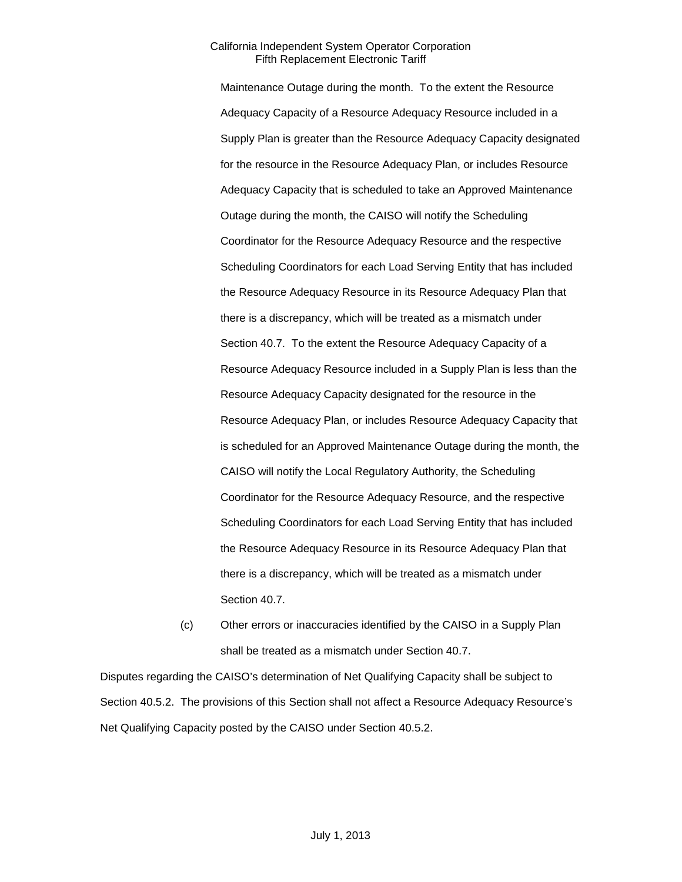Maintenance Outage during the month. To the extent the Resource Adequacy Capacity of a Resource Adequacy Resource included in a Supply Plan is greater than the Resource Adequacy Capacity designated for the resource in the Resource Adequacy Plan, or includes Resource Adequacy Capacity that is scheduled to take an Approved Maintenance Outage during the month, the CAISO will notify the Scheduling Coordinator for the Resource Adequacy Resource and the respective Scheduling Coordinators for each Load Serving Entity that has included the Resource Adequacy Resource in its Resource Adequacy Plan that there is a discrepancy, which will be treated as a mismatch under Section 40.7. To the extent the Resource Adequacy Capacity of a Resource Adequacy Resource included in a Supply Plan is less than the Resource Adequacy Capacity designated for the resource in the Resource Adequacy Plan, or includes Resource Adequacy Capacity that is scheduled for an Approved Maintenance Outage during the month, the CAISO will notify the Local Regulatory Authority, the Scheduling Coordinator for the Resource Adequacy Resource, and the respective Scheduling Coordinators for each Load Serving Entity that has included the Resource Adequacy Resource in its Resource Adequacy Plan that there is a discrepancy, which will be treated as a mismatch under Section 40.7.

(c) Other errors or inaccuracies identified by the CAISO in a Supply Plan shall be treated as a mismatch under Section 40.7.

Disputes regarding the CAISO's determination of Net Qualifying Capacity shall be subject to Section 40.5.2. The provisions of this Section shall not affect a Resource Adequacy Resource's Net Qualifying Capacity posted by the CAISO under Section 40.5.2.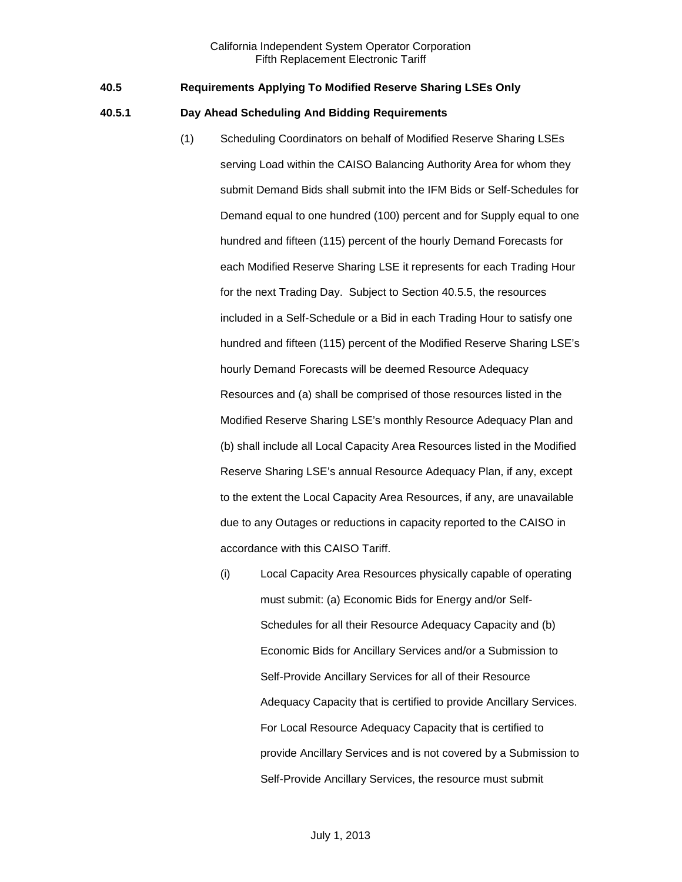### **40.5 Requirements Applying To Modified Reserve Sharing LSEs Only**

### **40.5.1 Day Ahead Scheduling And Bidding Requirements**

- (1) Scheduling Coordinators on behalf of Modified Reserve Sharing LSEs serving Load within the CAISO Balancing Authority Area for whom they submit Demand Bids shall submit into the IFM Bids or Self-Schedules for Demand equal to one hundred (100) percent and for Supply equal to one hundred and fifteen (115) percent of the hourly Demand Forecasts for each Modified Reserve Sharing LSE it represents for each Trading Hour for the next Trading Day. Subject to Section 40.5.5, the resources included in a Self-Schedule or a Bid in each Trading Hour to satisfy one hundred and fifteen (115) percent of the Modified Reserve Sharing LSE's hourly Demand Forecasts will be deemed Resource Adequacy Resources and (a) shall be comprised of those resources listed in the Modified Reserve Sharing LSE's monthly Resource Adequacy Plan and (b) shall include all Local Capacity Area Resources listed in the Modified Reserve Sharing LSE's annual Resource Adequacy Plan, if any, except to the extent the Local Capacity Area Resources, if any, are unavailable due to any Outages or reductions in capacity reported to the CAISO in accordance with this CAISO Tariff.
	- (i) Local Capacity Area Resources physically capable of operating must submit: (a) Economic Bids for Energy and/or Self-Schedules for all their Resource Adequacy Capacity and (b) Economic Bids for Ancillary Services and/or a Submission to Self-Provide Ancillary Services for all of their Resource Adequacy Capacity that is certified to provide Ancillary Services. For Local Resource Adequacy Capacity that is certified to provide Ancillary Services and is not covered by a Submission to Self-Provide Ancillary Services, the resource must submit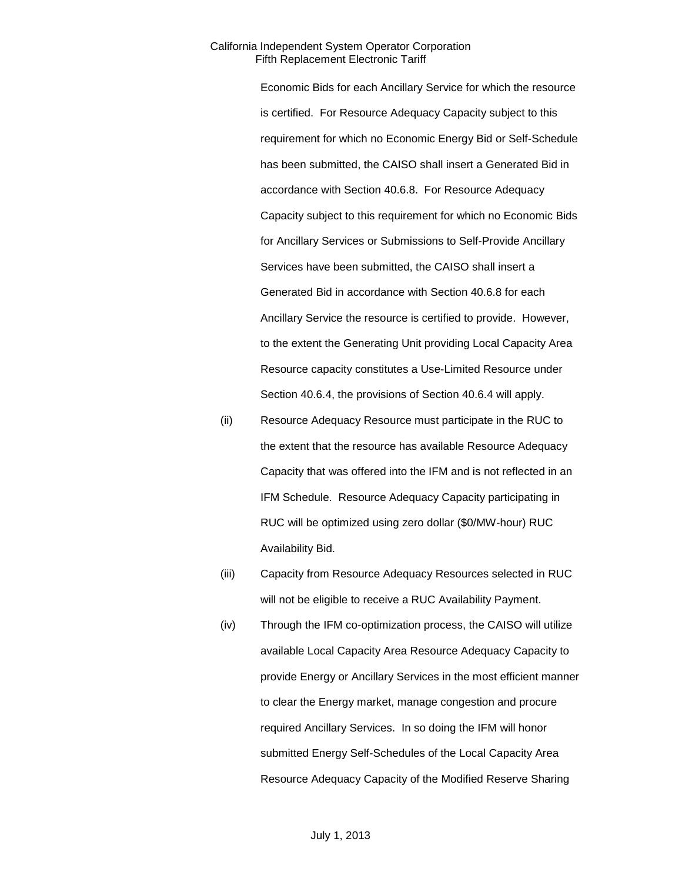Economic Bids for each Ancillary Service for which the resource is certified. For Resource Adequacy Capacity subject to this requirement for which no Economic Energy Bid or Self-Schedule has been submitted, the CAISO shall insert a Generated Bid in accordance with Section 40.6.8. For Resource Adequacy Capacity subject to this requirement for which no Economic Bids for Ancillary Services or Submissions to Self-Provide Ancillary Services have been submitted, the CAISO shall insert a Generated Bid in accordance with Section 40.6.8 for each Ancillary Service the resource is certified to provide. However, to the extent the Generating Unit providing Local Capacity Area Resource capacity constitutes a Use-Limited Resource under Section 40.6.4, the provisions of Section 40.6.4 will apply.

- (ii) Resource Adequacy Resource must participate in the RUC to the extent that the resource has available Resource Adequacy Capacity that was offered into the IFM and is not reflected in an IFM Schedule. Resource Adequacy Capacity participating in RUC will be optimized using zero dollar (\$0/MW-hour) RUC Availability Bid.
- (iii) Capacity from Resource Adequacy Resources selected in RUC will not be eligible to receive a RUC Availability Payment.
- (iv) Through the IFM co-optimization process, the CAISO will utilize available Local Capacity Area Resource Adequacy Capacity to provide Energy or Ancillary Services in the most efficient manner to clear the Energy market, manage congestion and procure required Ancillary Services. In so doing the IFM will honor submitted Energy Self-Schedules of the Local Capacity Area Resource Adequacy Capacity of the Modified Reserve Sharing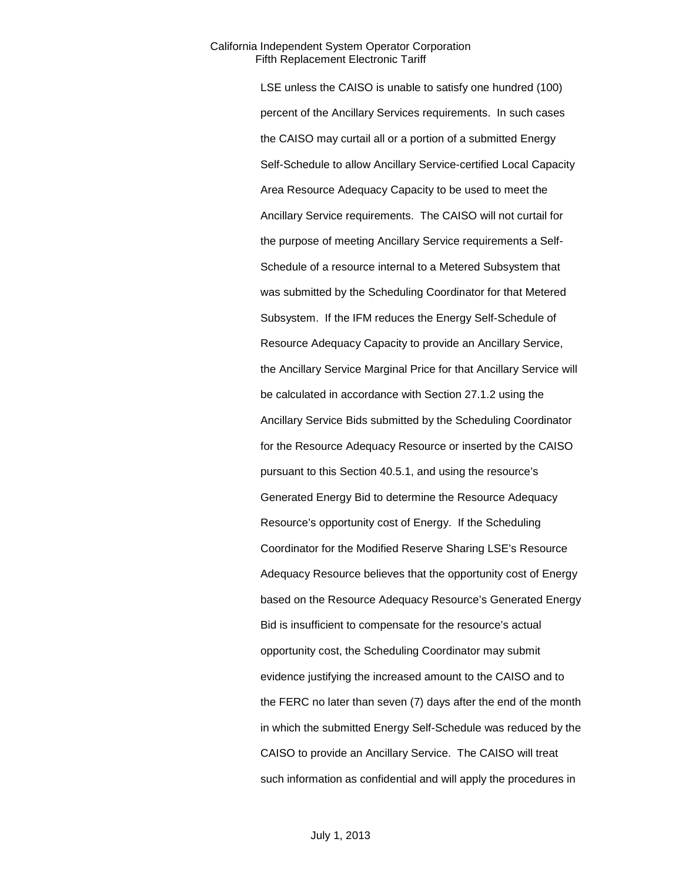LSE unless the CAISO is unable to satisfy one hundred (100) percent of the Ancillary Services requirements. In such cases the CAISO may curtail all or a portion of a submitted Energy Self-Schedule to allow Ancillary Service-certified Local Capacity Area Resource Adequacy Capacity to be used to meet the Ancillary Service requirements. The CAISO will not curtail for the purpose of meeting Ancillary Service requirements a Self-Schedule of a resource internal to a Metered Subsystem that was submitted by the Scheduling Coordinator for that Metered Subsystem. If the IFM reduces the Energy Self-Schedule of Resource Adequacy Capacity to provide an Ancillary Service, the Ancillary Service Marginal Price for that Ancillary Service will be calculated in accordance with Section 27.1.2 using the Ancillary Service Bids submitted by the Scheduling Coordinator for the Resource Adequacy Resource or inserted by the CAISO pursuant to this Section 40.5.1, and using the resource's Generated Energy Bid to determine the Resource Adequacy Resource's opportunity cost of Energy. If the Scheduling Coordinator for the Modified Reserve Sharing LSE's Resource Adequacy Resource believes that the opportunity cost of Energy based on the Resource Adequacy Resource's Generated Energy Bid is insufficient to compensate for the resource's actual opportunity cost, the Scheduling Coordinator may submit evidence justifying the increased amount to the CAISO and to the FERC no later than seven (7) days after the end of the month in which the submitted Energy Self-Schedule was reduced by the CAISO to provide an Ancillary Service. The CAISO will treat such information as confidential and will apply the procedures in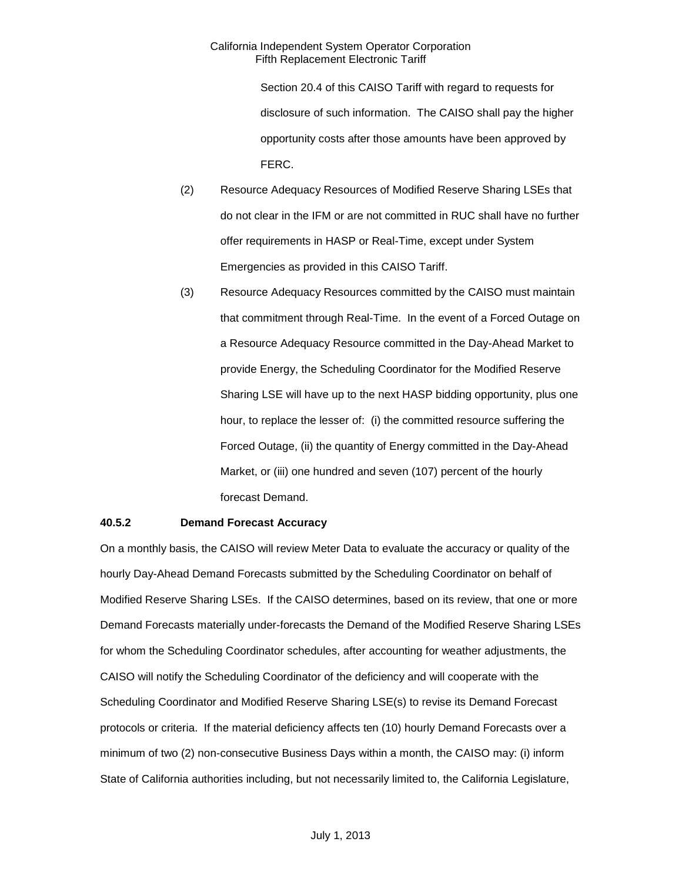Section 20.4 of this CAISO Tariff with regard to requests for disclosure of such information. The CAISO shall pay the higher opportunity costs after those amounts have been approved by FERC.

- (2) Resource Adequacy Resources of Modified Reserve Sharing LSEs that do not clear in the IFM or are not committed in RUC shall have no further offer requirements in HASP or Real-Time, except under System Emergencies as provided in this CAISO Tariff.
- (3) Resource Adequacy Resources committed by the CAISO must maintain that commitment through Real-Time. In the event of a Forced Outage on a Resource Adequacy Resource committed in the Day-Ahead Market to provide Energy, the Scheduling Coordinator for the Modified Reserve Sharing LSE will have up to the next HASP bidding opportunity, plus one hour, to replace the lesser of: (i) the committed resource suffering the Forced Outage, (ii) the quantity of Energy committed in the Day-Ahead Market, or (iii) one hundred and seven (107) percent of the hourly forecast Demand.

### **40.5.2 Demand Forecast Accuracy**

On a monthly basis, the CAISO will review Meter Data to evaluate the accuracy or quality of the hourly Day-Ahead Demand Forecasts submitted by the Scheduling Coordinator on behalf of Modified Reserve Sharing LSEs. If the CAISO determines, based on its review, that one or more Demand Forecasts materially under-forecasts the Demand of the Modified Reserve Sharing LSEs for whom the Scheduling Coordinator schedules, after accounting for weather adjustments, the CAISO will notify the Scheduling Coordinator of the deficiency and will cooperate with the Scheduling Coordinator and Modified Reserve Sharing LSE(s) to revise its Demand Forecast protocols or criteria. If the material deficiency affects ten (10) hourly Demand Forecasts over a minimum of two (2) non-consecutive Business Days within a month, the CAISO may: (i) inform State of California authorities including, but not necessarily limited to, the California Legislature,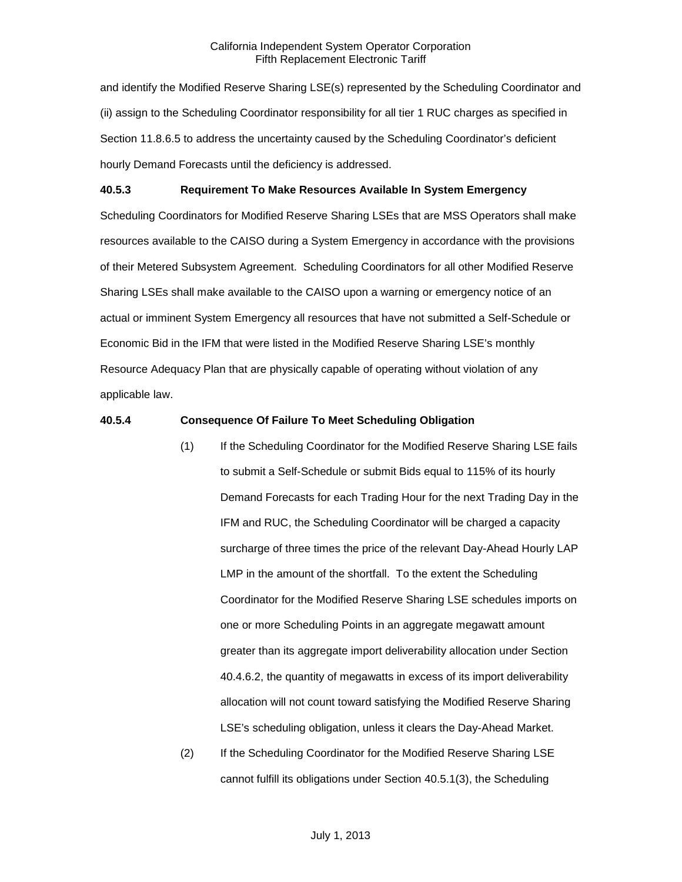and identify the Modified Reserve Sharing LSE(s) represented by the Scheduling Coordinator and (ii) assign to the Scheduling Coordinator responsibility for all tier 1 RUC charges as specified in Section 11.8.6.5 to address the uncertainty caused by the Scheduling Coordinator's deficient hourly Demand Forecasts until the deficiency is addressed.

#### **40.5.3 Requirement To Make Resources Available In System Emergency**

Scheduling Coordinators for Modified Reserve Sharing LSEs that are MSS Operators shall make resources available to the CAISO during a System Emergency in accordance with the provisions of their Metered Subsystem Agreement. Scheduling Coordinators for all other Modified Reserve Sharing LSEs shall make available to the CAISO upon a warning or emergency notice of an actual or imminent System Emergency all resources that have not submitted a Self-Schedule or Economic Bid in the IFM that were listed in the Modified Reserve Sharing LSE's monthly Resource Adequacy Plan that are physically capable of operating without violation of any applicable law.

#### **40.5.4 Consequence Of Failure To Meet Scheduling Obligation**

- (1) If the Scheduling Coordinator for the Modified Reserve Sharing LSE fails to submit a Self-Schedule or submit Bids equal to 115% of its hourly Demand Forecasts for each Trading Hour for the next Trading Day in the IFM and RUC, the Scheduling Coordinator will be charged a capacity surcharge of three times the price of the relevant Day-Ahead Hourly LAP LMP in the amount of the shortfall. To the extent the Scheduling Coordinator for the Modified Reserve Sharing LSE schedules imports on one or more Scheduling Points in an aggregate megawatt amount greater than its aggregate import deliverability allocation under Section 40.4.6.2, the quantity of megawatts in excess of its import deliverability allocation will not count toward satisfying the Modified Reserve Sharing LSE's scheduling obligation, unless it clears the Day-Ahead Market.
- (2) If the Scheduling Coordinator for the Modified Reserve Sharing LSE cannot fulfill its obligations under Section 40.5.1(3), the Scheduling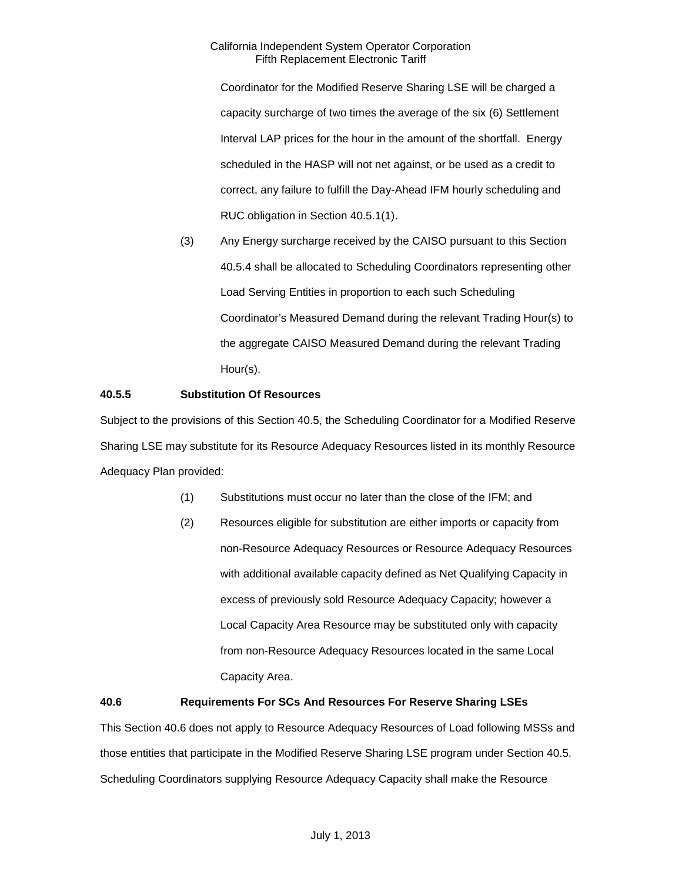Coordinator for the Modified Reserve Sharing LSE will be charged a capacity surcharge of two times the average of the six (6) Settlement Interval LAP prices for the hour in the amount of the shortfall. Energy scheduled in the HASP will not net against, or be used as a credit to correct, any failure to fulfill the Day-Ahead IFM hourly scheduling and RUC obligation in Section 40.5.1(1).

(3) Any Energy surcharge received by the CAISO pursuant to this Section 40.5.4 shall be allocated to Scheduling Coordinators representing other Load Serving Entities in proportion to each such Scheduling Coordinator's Measured Demand during the relevant Trading Hour(s) to the aggregate CAISO Measured Demand during the relevant Trading Hour(s).

# **40.5.5 Substitution Of Resources**

Subject to the provisions of this Section 40.5, the Scheduling Coordinator for a Modified Reserve Sharing LSE may substitute for its Resource Adequacy Resources listed in its monthly Resource Adequacy Plan provided:

- (1) Substitutions must occur no later than the close of the IFM; and
- (2) Resources eligible for substitution are either imports or capacity from non-Resource Adequacy Resources or Resource Adequacy Resources with additional available capacity defined as Net Qualifying Capacity in excess of previously sold Resource Adequacy Capacity; however a Local Capacity Area Resource may be substituted only with capacity from non-Resource Adequacy Resources located in the same Local Capacity Area.

# **40.6 Requirements For SCs And Resources For Reserve Sharing LSEs**

This Section 40.6 does not apply to Resource Adequacy Resources of Load following MSSs and those entities that participate in the Modified Reserve Sharing LSE program under Section 40.5. Scheduling Coordinators supplying Resource Adequacy Capacity shall make the Resource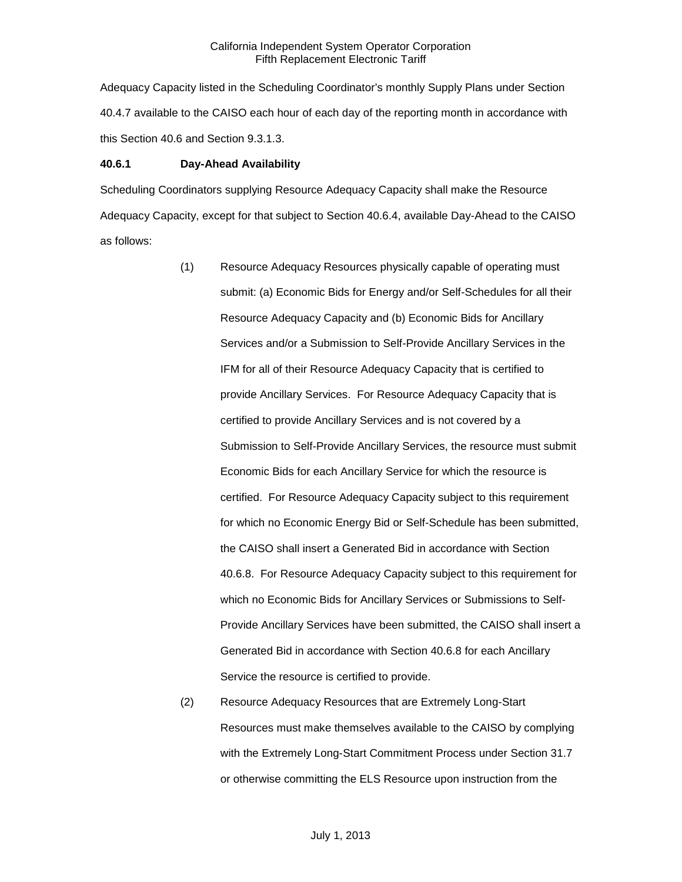Adequacy Capacity listed in the Scheduling Coordinator's monthly Supply Plans under Section 40.4.7 available to the CAISO each hour of each day of the reporting month in accordance with this Section 40.6 and Section 9.3.1.3.

#### **40.6.1 Day-Ahead Availability**

Scheduling Coordinators supplying Resource Adequacy Capacity shall make the Resource Adequacy Capacity, except for that subject to Section 40.6.4, available Day-Ahead to the CAISO as follows:

- (1) Resource Adequacy Resources physically capable of operating must submit: (a) Economic Bids for Energy and/or Self-Schedules for all their Resource Adequacy Capacity and (b) Economic Bids for Ancillary Services and/or a Submission to Self-Provide Ancillary Services in the IFM for all of their Resource Adequacy Capacity that is certified to provide Ancillary Services. For Resource Adequacy Capacity that is certified to provide Ancillary Services and is not covered by a Submission to Self-Provide Ancillary Services, the resource must submit Economic Bids for each Ancillary Service for which the resource is certified. For Resource Adequacy Capacity subject to this requirement for which no Economic Energy Bid or Self-Schedule has been submitted, the CAISO shall insert a Generated Bid in accordance with Section 40.6.8. For Resource Adequacy Capacity subject to this requirement for which no Economic Bids for Ancillary Services or Submissions to Self-Provide Ancillary Services have been submitted, the CAISO shall insert a Generated Bid in accordance with Section 40.6.8 for each Ancillary Service the resource is certified to provide.
- (2) Resource Adequacy Resources that are Extremely Long-Start Resources must make themselves available to the CAISO by complying with the Extremely Long-Start Commitment Process under Section 31.7 or otherwise committing the ELS Resource upon instruction from the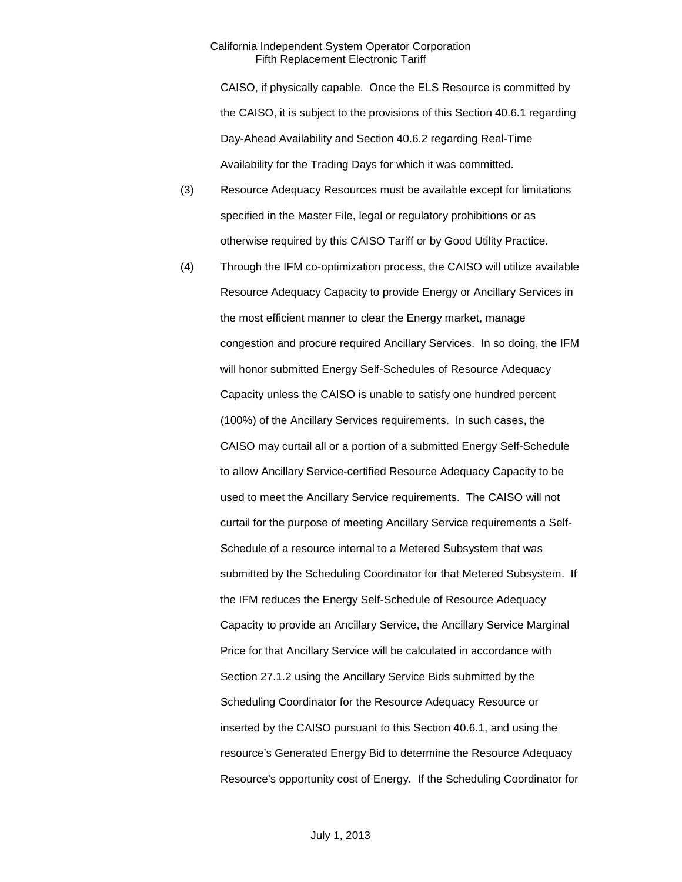CAISO, if physically capable. Once the ELS Resource is committed by the CAISO, it is subject to the provisions of this Section 40.6.1 regarding Day-Ahead Availability and Section 40.6.2 regarding Real-Time Availability for the Trading Days for which it was committed.

- (3) Resource Adequacy Resources must be available except for limitations specified in the Master File, legal or regulatory prohibitions or as otherwise required by this CAISO Tariff or by Good Utility Practice.
- (4) Through the IFM co-optimization process, the CAISO will utilize available Resource Adequacy Capacity to provide Energy or Ancillary Services in the most efficient manner to clear the Energy market, manage congestion and procure required Ancillary Services. In so doing, the IFM will honor submitted Energy Self-Schedules of Resource Adequacy Capacity unless the CAISO is unable to satisfy one hundred percent (100%) of the Ancillary Services requirements. In such cases, the CAISO may curtail all or a portion of a submitted Energy Self-Schedule to allow Ancillary Service-certified Resource Adequacy Capacity to be used to meet the Ancillary Service requirements. The CAISO will not curtail for the purpose of meeting Ancillary Service requirements a Self-Schedule of a resource internal to a Metered Subsystem that was submitted by the Scheduling Coordinator for that Metered Subsystem. If the IFM reduces the Energy Self-Schedule of Resource Adequacy Capacity to provide an Ancillary Service, the Ancillary Service Marginal Price for that Ancillary Service will be calculated in accordance with Section 27.1.2 using the Ancillary Service Bids submitted by the Scheduling Coordinator for the Resource Adequacy Resource or inserted by the CAISO pursuant to this Section 40.6.1, and using the resource's Generated Energy Bid to determine the Resource Adequacy Resource's opportunity cost of Energy. If the Scheduling Coordinator for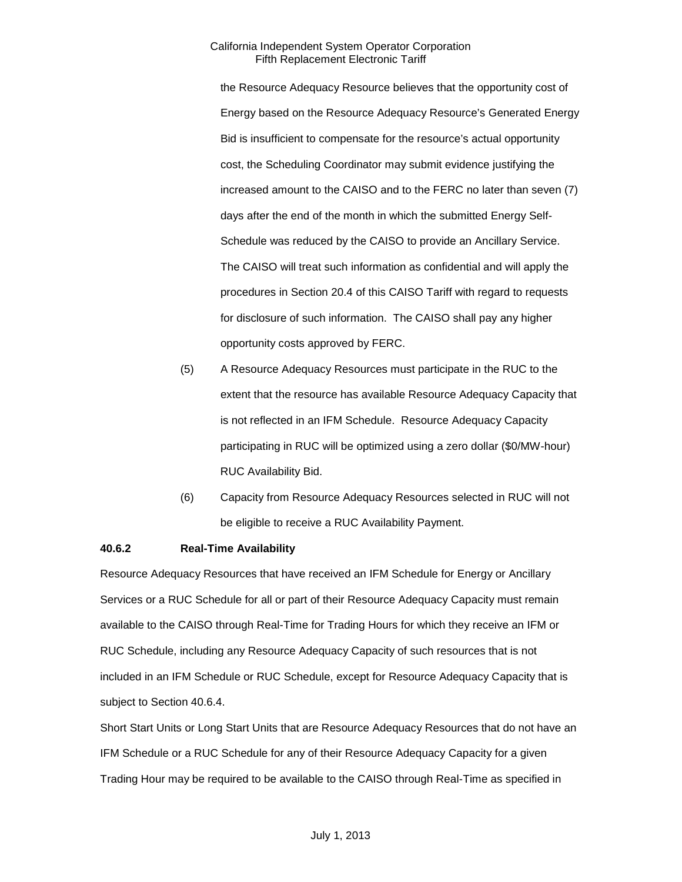the Resource Adequacy Resource believes that the opportunity cost of Energy based on the Resource Adequacy Resource's Generated Energy Bid is insufficient to compensate for the resource's actual opportunity cost, the Scheduling Coordinator may submit evidence justifying the increased amount to the CAISO and to the FERC no later than seven (7) days after the end of the month in which the submitted Energy Self-Schedule was reduced by the CAISO to provide an Ancillary Service. The CAISO will treat such information as confidential and will apply the procedures in Section 20.4 of this CAISO Tariff with regard to requests for disclosure of such information. The CAISO shall pay any higher opportunity costs approved by FERC.

- (5) A Resource Adequacy Resources must participate in the RUC to the extent that the resource has available Resource Adequacy Capacity that is not reflected in an IFM Schedule. Resource Adequacy Capacity participating in RUC will be optimized using a zero dollar (\$0/MW-hour) RUC Availability Bid.
- (6) Capacity from Resource Adequacy Resources selected in RUC will not be eligible to receive a RUC Availability Payment.

### **40.6.2 Real-Time Availability**

Resource Adequacy Resources that have received an IFM Schedule for Energy or Ancillary Services or a RUC Schedule for all or part of their Resource Adequacy Capacity must remain available to the CAISO through Real-Time for Trading Hours for which they receive an IFM or RUC Schedule, including any Resource Adequacy Capacity of such resources that is not included in an IFM Schedule or RUC Schedule, except for Resource Adequacy Capacity that is subject to Section 40.6.4.

Short Start Units or Long Start Units that are Resource Adequacy Resources that do not have an IFM Schedule or a RUC Schedule for any of their Resource Adequacy Capacity for a given Trading Hour may be required to be available to the CAISO through Real-Time as specified in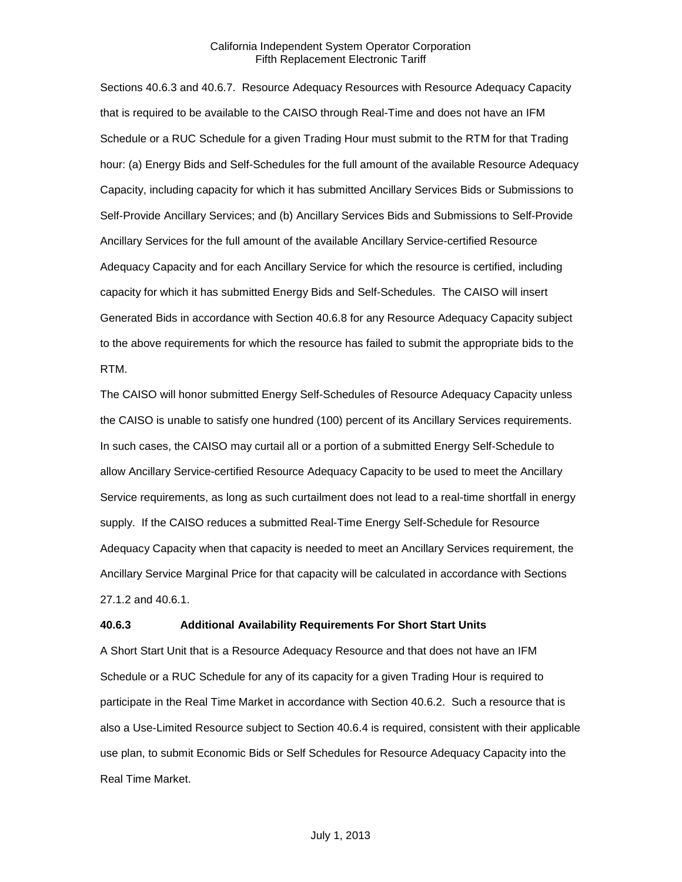Sections 40.6.3 and 40.6.7. Resource Adequacy Resources with Resource Adequacy Capacity that is required to be available to the CAISO through Real-Time and does not have an IFM Schedule or a RUC Schedule for a given Trading Hour must submit to the RTM for that Trading hour: (a) Energy Bids and Self-Schedules for the full amount of the available Resource Adequacy Capacity, including capacity for which it has submitted Ancillary Services Bids or Submissions to Self-Provide Ancillary Services; and (b) Ancillary Services Bids and Submissions to Self-Provide Ancillary Services for the full amount of the available Ancillary Service-certified Resource Adequacy Capacity and for each Ancillary Service for which the resource is certified, including capacity for which it has submitted Energy Bids and Self-Schedules. The CAISO will insert Generated Bids in accordance with Section 40.6.8 for any Resource Adequacy Capacity subject to the above requirements for which the resource has failed to submit the appropriate bids to the RTM.

The CAISO will honor submitted Energy Self-Schedules of Resource Adequacy Capacity unless the CAISO is unable to satisfy one hundred (100) percent of its Ancillary Services requirements. In such cases, the CAISO may curtail all or a portion of a submitted Energy Self-Schedule to allow Ancillary Service-certified Resource Adequacy Capacity to be used to meet the Ancillary Service requirements, as long as such curtailment does not lead to a real-time shortfall in energy supply. If the CAISO reduces a submitted Real-Time Energy Self-Schedule for Resource Adequacy Capacity when that capacity is needed to meet an Ancillary Services requirement, the Ancillary Service Marginal Price for that capacity will be calculated in accordance with Sections 27.1.2 and 40.6.1.

#### **40.6.3 Additional Availability Requirements For Short Start Units**

A Short Start Unit that is a Resource Adequacy Resource and that does not have an IFM Schedule or a RUC Schedule for any of its capacity for a given Trading Hour is required to participate in the Real Time Market in accordance with Section 40.6.2. Such a resource that is also a Use-Limited Resource subject to Section 40.6.4 is required, consistent with their applicable use plan, to submit Economic Bids or Self Schedules for Resource Adequacy Capacity into the Real Time Market.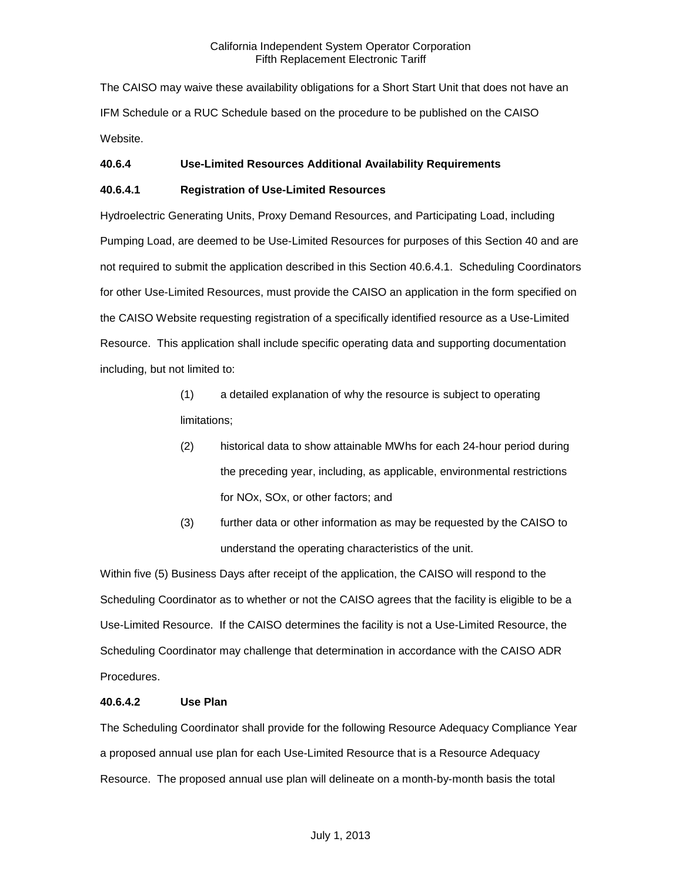The CAISO may waive these availability obligations for a Short Start Unit that does not have an IFM Schedule or a RUC Schedule based on the procedure to be published on the CAISO Website.

### **40.6.4 Use-Limited Resources Additional Availability Requirements**

### **40.6.4.1 Registration of Use-Limited Resources**

Hydroelectric Generating Units, Proxy Demand Resources, and Participating Load, including Pumping Load, are deemed to be Use-Limited Resources for purposes of this Section 40 and are not required to submit the application described in this Section 40.6.4.1. Scheduling Coordinators for other Use-Limited Resources, must provide the CAISO an application in the form specified on the CAISO Website requesting registration of a specifically identified resource as a Use-Limited Resource. This application shall include specific operating data and supporting documentation including, but not limited to:

- (1) a detailed explanation of why the resource is subject to operating limitations;
- (2) historical data to show attainable MWhs for each 24-hour period during the preceding year, including, as applicable, environmental restrictions for NOx, SOx, or other factors; and
- (3) further data or other information as may be requested by the CAISO to understand the operating characteristics of the unit.

Within five (5) Business Days after receipt of the application, the CAISO will respond to the Scheduling Coordinator as to whether or not the CAISO agrees that the facility is eligible to be a Use-Limited Resource. If the CAISO determines the facility is not a Use-Limited Resource, the Scheduling Coordinator may challenge that determination in accordance with the CAISO ADR Procedures.

### **40.6.4.2 Use Plan**

The Scheduling Coordinator shall provide for the following Resource Adequacy Compliance Year a proposed annual use plan for each Use-Limited Resource that is a Resource Adequacy Resource. The proposed annual use plan will delineate on a month-by-month basis the total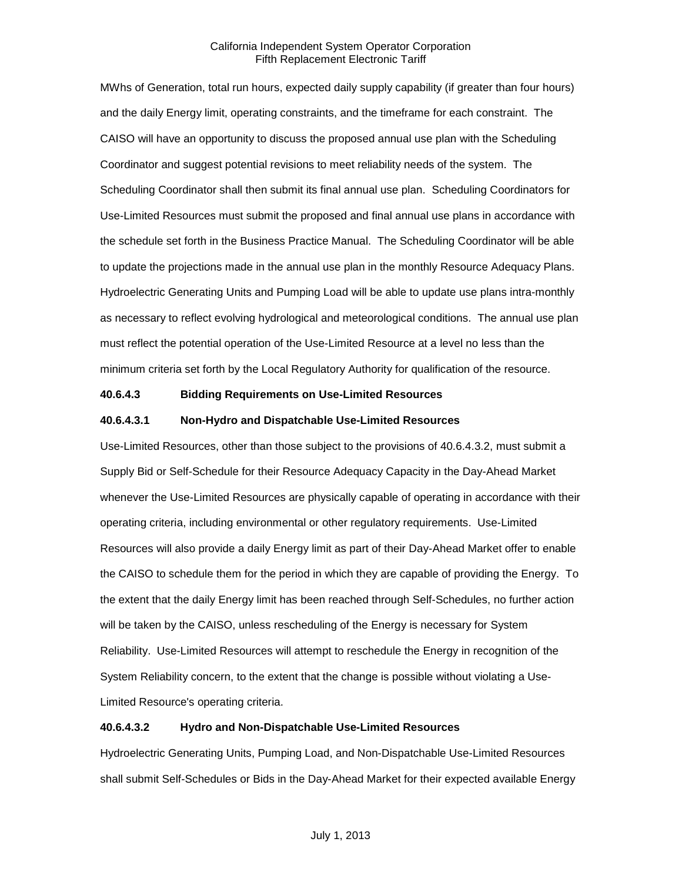MWhs of Generation, total run hours, expected daily supply capability (if greater than four hours) and the daily Energy limit, operating constraints, and the timeframe for each constraint. The CAISO will have an opportunity to discuss the proposed annual use plan with the Scheduling Coordinator and suggest potential revisions to meet reliability needs of the system. The Scheduling Coordinator shall then submit its final annual use plan. Scheduling Coordinators for Use-Limited Resources must submit the proposed and final annual use plans in accordance with the schedule set forth in the Business Practice Manual. The Scheduling Coordinator will be able to update the projections made in the annual use plan in the monthly Resource Adequacy Plans. Hydroelectric Generating Units and Pumping Load will be able to update use plans intra-monthly as necessary to reflect evolving hydrological and meteorological conditions. The annual use plan must reflect the potential operation of the Use-Limited Resource at a level no less than the minimum criteria set forth by the Local Regulatory Authority for qualification of the resource.

### **40.6.4.3 Bidding Requirements on Use-Limited Resources**

#### **40.6.4.3.1 Non-Hydro and Dispatchable Use-Limited Resources**

Use-Limited Resources, other than those subject to the provisions of 40.6.4.3.2, must submit a Supply Bid or Self-Schedule for their Resource Adequacy Capacity in the Day-Ahead Market whenever the Use-Limited Resources are physically capable of operating in accordance with their operating criteria, including environmental or other regulatory requirements. Use-Limited Resources will also provide a daily Energy limit as part of their Day-Ahead Market offer to enable the CAISO to schedule them for the period in which they are capable of providing the Energy. To the extent that the daily Energy limit has been reached through Self-Schedules, no further action will be taken by the CAISO, unless rescheduling of the Energy is necessary for System Reliability. Use-Limited Resources will attempt to reschedule the Energy in recognition of the System Reliability concern, to the extent that the change is possible without violating a Use-Limited Resource's operating criteria.

#### **40.6.4.3.2 Hydro and Non-Dispatchable Use-Limited Resources**

Hydroelectric Generating Units, Pumping Load, and Non-Dispatchable Use-Limited Resources shall submit Self-Schedules or Bids in the Day-Ahead Market for their expected available Energy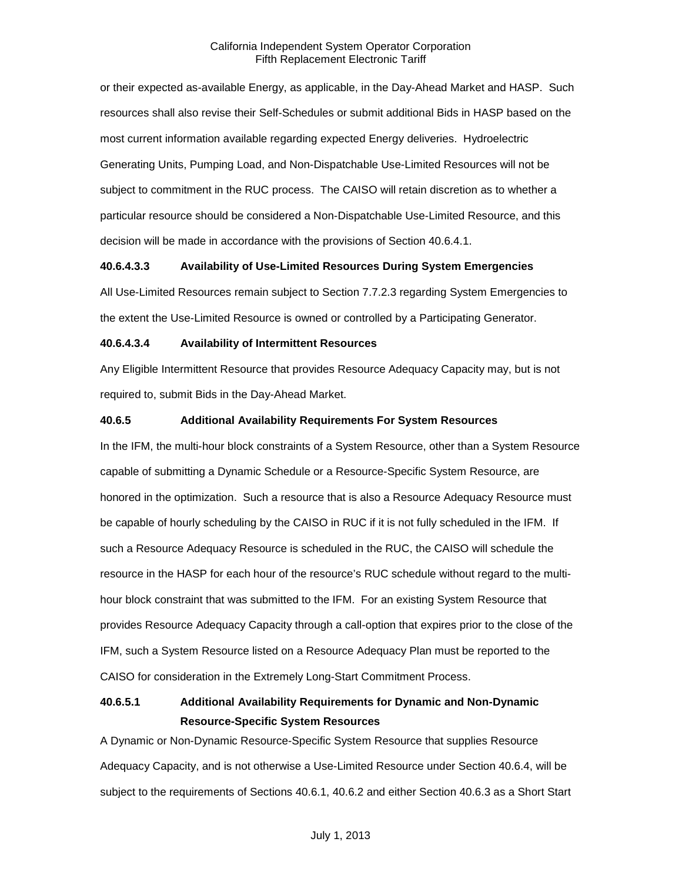or their expected as-available Energy, as applicable, in the Day-Ahead Market and HASP. Such resources shall also revise their Self-Schedules or submit additional Bids in HASP based on the most current information available regarding expected Energy deliveries. Hydroelectric Generating Units, Pumping Load, and Non-Dispatchable Use-Limited Resources will not be subject to commitment in the RUC process. The CAISO will retain discretion as to whether a particular resource should be considered a Non-Dispatchable Use-Limited Resource, and this decision will be made in accordance with the provisions of Section 40.6.4.1.

### **40.6.4.3.3 Availability of Use-Limited Resources During System Emergencies**

All Use-Limited Resources remain subject to Section 7.7.2.3 regarding System Emergencies to the extent the Use-Limited Resource is owned or controlled by a Participating Generator.

#### **40.6.4.3.4 Availability of Intermittent Resources**

Any Eligible Intermittent Resource that provides Resource Adequacy Capacity may, but is not required to, submit Bids in the Day-Ahead Market.

#### **40.6.5 Additional Availability Requirements For System Resources**

In the IFM, the multi-hour block constraints of a System Resource, other than a System Resource capable of submitting a Dynamic Schedule or a Resource-Specific System Resource, are honored in the optimization. Such a resource that is also a Resource Adequacy Resource must be capable of hourly scheduling by the CAISO in RUC if it is not fully scheduled in the IFM. If such a Resource Adequacy Resource is scheduled in the RUC, the CAISO will schedule the resource in the HASP for each hour of the resource's RUC schedule without regard to the multihour block constraint that was submitted to the IFM. For an existing System Resource that provides Resource Adequacy Capacity through a call-option that expires prior to the close of the IFM, such a System Resource listed on a Resource Adequacy Plan must be reported to the CAISO for consideration in the Extremely Long-Start Commitment Process.

# **40.6.5.1 Additional Availability Requirements for Dynamic and Non-Dynamic Resource-Specific System Resources**

A Dynamic or Non-Dynamic Resource-Specific System Resource that supplies Resource Adequacy Capacity, and is not otherwise a Use-Limited Resource under Section 40.6.4, will be subject to the requirements of Sections 40.6.1, 40.6.2 and either Section 40.6.3 as a Short Start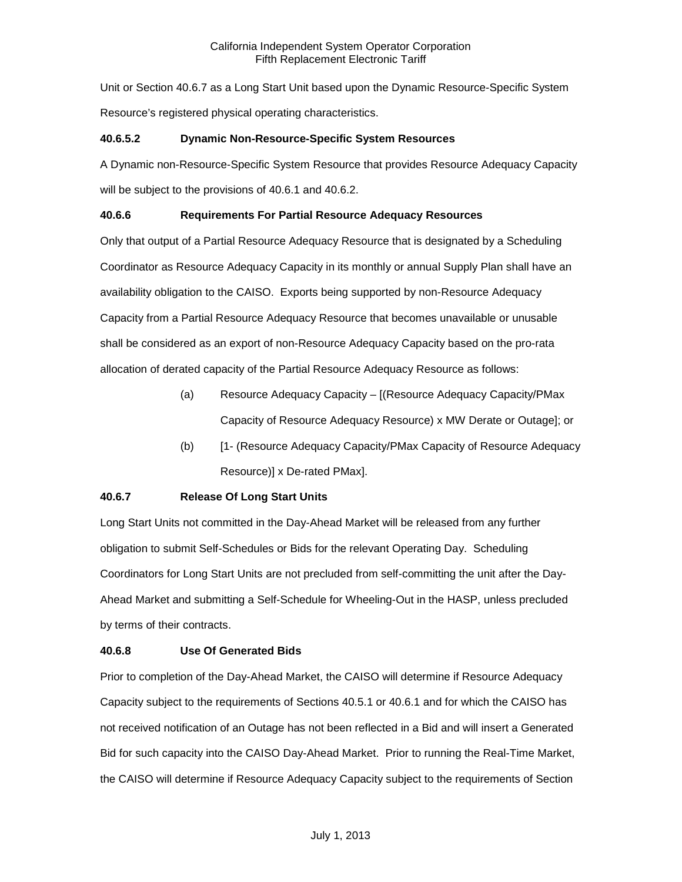Unit or Section 40.6.7 as a Long Start Unit based upon the Dynamic Resource-Specific System Resource's registered physical operating characteristics.

# **40.6.5.2 Dynamic Non-Resource-Specific System Resources**

A Dynamic non-Resource-Specific System Resource that provides Resource Adequacy Capacity will be subject to the provisions of 40.6.1 and 40.6.2.

# **40.6.6 Requirements For Partial Resource Adequacy Resources**

Only that output of a Partial Resource Adequacy Resource that is designated by a Scheduling Coordinator as Resource Adequacy Capacity in its monthly or annual Supply Plan shall have an availability obligation to the CAISO. Exports being supported by non-Resource Adequacy Capacity from a Partial Resource Adequacy Resource that becomes unavailable or unusable shall be considered as an export of non-Resource Adequacy Capacity based on the pro-rata allocation of derated capacity of the Partial Resource Adequacy Resource as follows:

- (a) Resource Adequacy Capacity [(Resource Adequacy Capacity/PMax Capacity of Resource Adequacy Resource) x MW Derate or Outage]; or
- (b) [1- (Resource Adequacy Capacity/PMax Capacity of Resource Adequacy Resource)] x De-rated PMax].

# **40.6.7 Release Of Long Start Units**

Long Start Units not committed in the Day-Ahead Market will be released from any further obligation to submit Self-Schedules or Bids for the relevant Operating Day. Scheduling Coordinators for Long Start Units are not precluded from self-committing the unit after the Day-Ahead Market and submitting a Self-Schedule for Wheeling-Out in the HASP, unless precluded by terms of their contracts.

# **40.6.8 Use Of Generated Bids**

Prior to completion of the Day-Ahead Market, the CAISO will determine if Resource Adequacy Capacity subject to the requirements of Sections 40.5.1 or 40.6.1 and for which the CAISO has not received notification of an Outage has not been reflected in a Bid and will insert a Generated Bid for such capacity into the CAISO Day-Ahead Market. Prior to running the Real-Time Market, the CAISO will determine if Resource Adequacy Capacity subject to the requirements of Section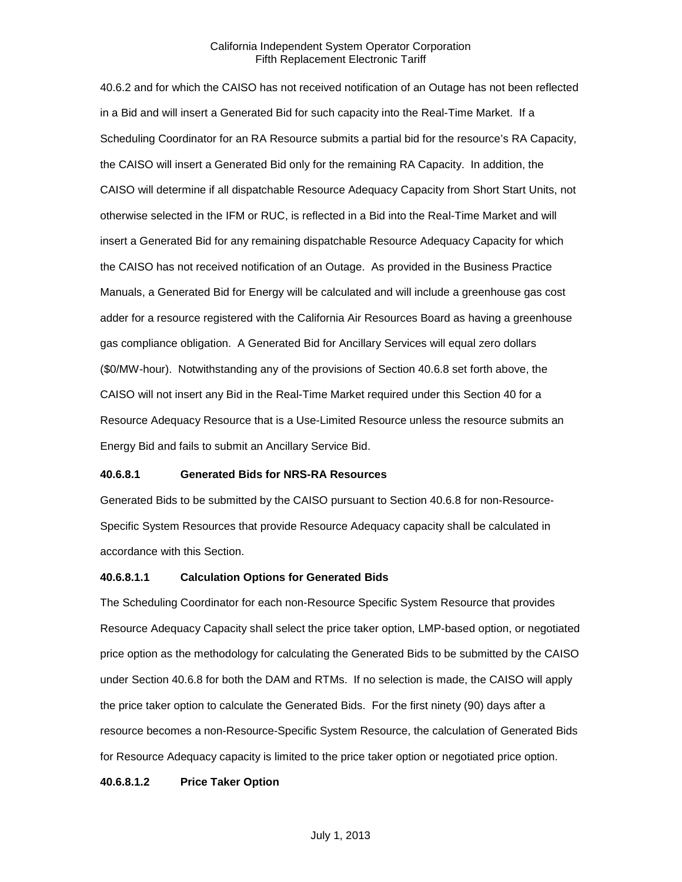40.6.2 and for which the CAISO has not received notification of an Outage has not been reflected in a Bid and will insert a Generated Bid for such capacity into the Real-Time Market. If a Scheduling Coordinator for an RA Resource submits a partial bid for the resource's RA Capacity, the CAISO will insert a Generated Bid only for the remaining RA Capacity. In addition, the CAISO will determine if all dispatchable Resource Adequacy Capacity from Short Start Units, not otherwise selected in the IFM or RUC, is reflected in a Bid into the Real-Time Market and will insert a Generated Bid for any remaining dispatchable Resource Adequacy Capacity for which the CAISO has not received notification of an Outage. As provided in the Business Practice Manuals, a Generated Bid for Energy will be calculated and will include a greenhouse gas cost adder for a resource registered with the California Air Resources Board as having a greenhouse gas compliance obligation. A Generated Bid for Ancillary Services will equal zero dollars (\$0/MW-hour). Notwithstanding any of the provisions of Section 40.6.8 set forth above, the CAISO will not insert any Bid in the Real-Time Market required under this Section 40 for a Resource Adequacy Resource that is a Use-Limited Resource unless the resource submits an Energy Bid and fails to submit an Ancillary Service Bid.

#### **40.6.8.1 Generated Bids for NRS-RA Resources**

Generated Bids to be submitted by the CAISO pursuant to Section 40.6.8 for non-Resource-Specific System Resources that provide Resource Adequacy capacity shall be calculated in accordance with this Section.

#### **40.6.8.1.1 Calculation Options for Generated Bids**

The Scheduling Coordinator for each non-Resource Specific System Resource that provides Resource Adequacy Capacity shall select the price taker option, LMP-based option, or negotiated price option as the methodology for calculating the Generated Bids to be submitted by the CAISO under Section 40.6.8 for both the DAM and RTMs. If no selection is made, the CAISO will apply the price taker option to calculate the Generated Bids. For the first ninety (90) days after a resource becomes a non-Resource-Specific System Resource, the calculation of Generated Bids for Resource Adequacy capacity is limited to the price taker option or negotiated price option.

#### **40.6.8.1.2 Price Taker Option**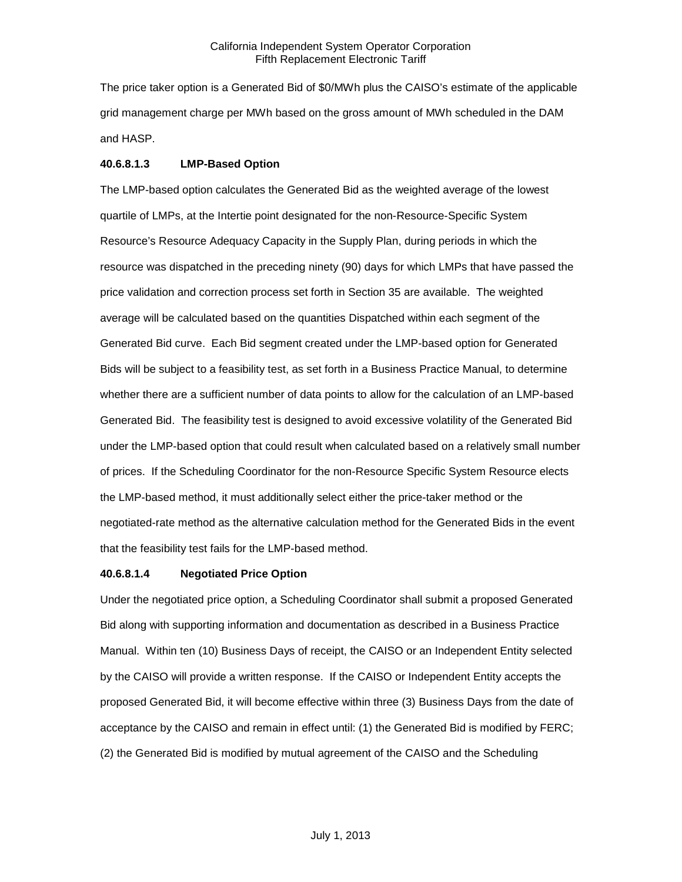The price taker option is a Generated Bid of \$0/MWh plus the CAISO's estimate of the applicable grid management charge per MWh based on the gross amount of MWh scheduled in the DAM and HASP.

#### **40.6.8.1.3 LMP-Based Option**

The LMP-based option calculates the Generated Bid as the weighted average of the lowest quartile of LMPs, at the Intertie point designated for the non-Resource-Specific System Resource's Resource Adequacy Capacity in the Supply Plan, during periods in which the resource was dispatched in the preceding ninety (90) days for which LMPs that have passed the price validation and correction process set forth in Section 35 are available. The weighted average will be calculated based on the quantities Dispatched within each segment of the Generated Bid curve. Each Bid segment created under the LMP-based option for Generated Bids will be subject to a feasibility test, as set forth in a Business Practice Manual, to determine whether there are a sufficient number of data points to allow for the calculation of an LMP-based Generated Bid. The feasibility test is designed to avoid excessive volatility of the Generated Bid under the LMP-based option that could result when calculated based on a relatively small number of prices. If the Scheduling Coordinator for the non-Resource Specific System Resource elects the LMP-based method, it must additionally select either the price-taker method or the negotiated-rate method as the alternative calculation method for the Generated Bids in the event that the feasibility test fails for the LMP-based method.

#### **40.6.8.1.4 Negotiated Price Option**

Under the negotiated price option, a Scheduling Coordinator shall submit a proposed Generated Bid along with supporting information and documentation as described in a Business Practice Manual. Within ten (10) Business Days of receipt, the CAISO or an Independent Entity selected by the CAISO will provide a written response. If the CAISO or Independent Entity accepts the proposed Generated Bid, it will become effective within three (3) Business Days from the date of acceptance by the CAISO and remain in effect until: (1) the Generated Bid is modified by FERC; (2) the Generated Bid is modified by mutual agreement of the CAISO and the Scheduling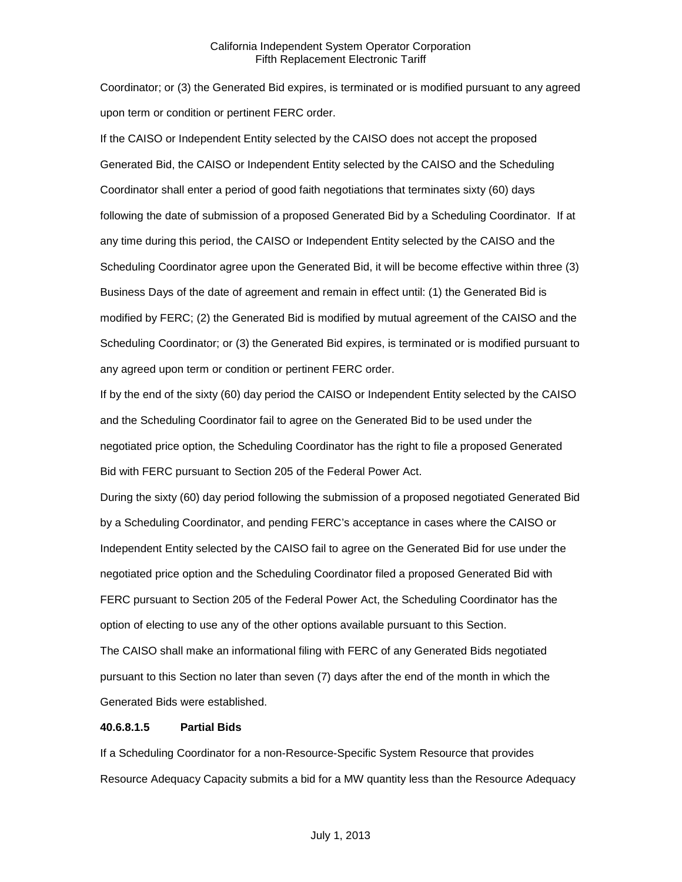Coordinator; or (3) the Generated Bid expires, is terminated or is modified pursuant to any agreed upon term or condition or pertinent FERC order.

If the CAISO or Independent Entity selected by the CAISO does not accept the proposed Generated Bid, the CAISO or Independent Entity selected by the CAISO and the Scheduling Coordinator shall enter a period of good faith negotiations that terminates sixty (60) days following the date of submission of a proposed Generated Bid by a Scheduling Coordinator. If at any time during this period, the CAISO or Independent Entity selected by the CAISO and the Scheduling Coordinator agree upon the Generated Bid, it will be become effective within three (3) Business Days of the date of agreement and remain in effect until: (1) the Generated Bid is modified by FERC; (2) the Generated Bid is modified by mutual agreement of the CAISO and the Scheduling Coordinator; or (3) the Generated Bid expires, is terminated or is modified pursuant to any agreed upon term or condition or pertinent FERC order.

If by the end of the sixty (60) day period the CAISO or Independent Entity selected by the CAISO and the Scheduling Coordinator fail to agree on the Generated Bid to be used under the negotiated price option, the Scheduling Coordinator has the right to file a proposed Generated Bid with FERC pursuant to Section 205 of the Federal Power Act.

During the sixty (60) day period following the submission of a proposed negotiated Generated Bid by a Scheduling Coordinator, and pending FERC's acceptance in cases where the CAISO or Independent Entity selected by the CAISO fail to agree on the Generated Bid for use under the negotiated price option and the Scheduling Coordinator filed a proposed Generated Bid with FERC pursuant to Section 205 of the Federal Power Act, the Scheduling Coordinator has the option of electing to use any of the other options available pursuant to this Section. The CAISO shall make an informational filing with FERC of any Generated Bids negotiated pursuant to this Section no later than seven (7) days after the end of the month in which the

Generated Bids were established.

#### **40.6.8.1.5 Partial Bids**

If a Scheduling Coordinator for a non-Resource-Specific System Resource that provides Resource Adequacy Capacity submits a bid for a MW quantity less than the Resource Adequacy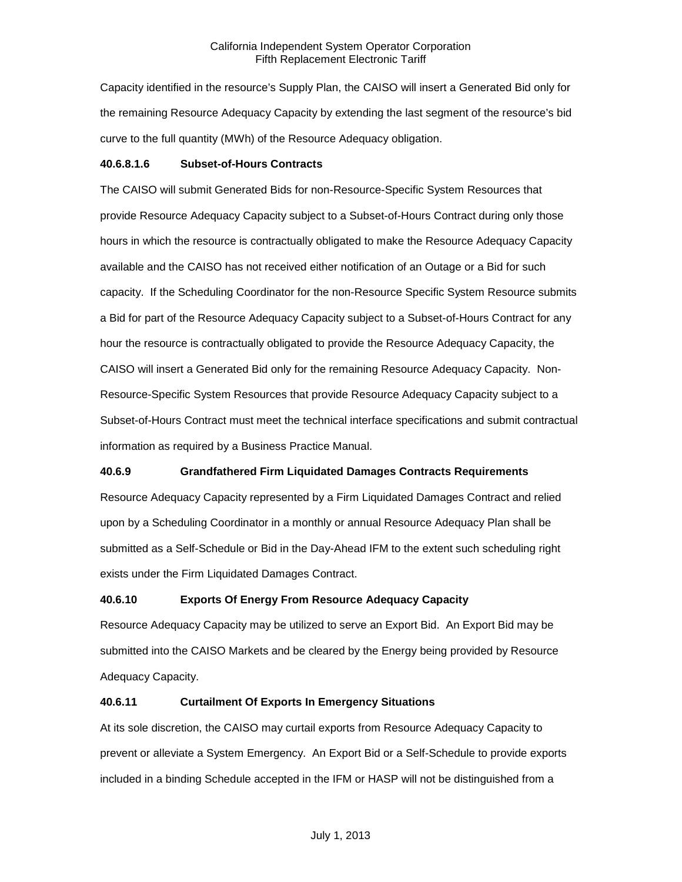Capacity identified in the resource's Supply Plan, the CAISO will insert a Generated Bid only for the remaining Resource Adequacy Capacity by extending the last segment of the resource's bid curve to the full quantity (MWh) of the Resource Adequacy obligation.

### **40.6.8.1.6 Subset-of-Hours Contracts**

The CAISO will submit Generated Bids for non-Resource-Specific System Resources that provide Resource Adequacy Capacity subject to a Subset-of-Hours Contract during only those hours in which the resource is contractually obligated to make the Resource Adequacy Capacity available and the CAISO has not received either notification of an Outage or a Bid for such capacity. If the Scheduling Coordinator for the non-Resource Specific System Resource submits a Bid for part of the Resource Adequacy Capacity subject to a Subset-of-Hours Contract for any hour the resource is contractually obligated to provide the Resource Adequacy Capacity, the CAISO will insert a Generated Bid only for the remaining Resource Adequacy Capacity. Non-Resource-Specific System Resources that provide Resource Adequacy Capacity subject to a Subset-of-Hours Contract must meet the technical interface specifications and submit contractual information as required by a Business Practice Manual.

# **40.6.9 Grandfathered Firm Liquidated Damages Contracts Requirements**

Resource Adequacy Capacity represented by a Firm Liquidated Damages Contract and relied upon by a Scheduling Coordinator in a monthly or annual Resource Adequacy Plan shall be submitted as a Self-Schedule or Bid in the Day-Ahead IFM to the extent such scheduling right exists under the Firm Liquidated Damages Contract.

# **40.6.10 Exports Of Energy From Resource Adequacy Capacity**

Resource Adequacy Capacity may be utilized to serve an Export Bid. An Export Bid may be submitted into the CAISO Markets and be cleared by the Energy being provided by Resource Adequacy Capacity.

# **40.6.11 Curtailment Of Exports In Emergency Situations**

At its sole discretion, the CAISO may curtail exports from Resource Adequacy Capacity to prevent or alleviate a System Emergency. An Export Bid or a Self-Schedule to provide exports included in a binding Schedule accepted in the IFM or HASP will not be distinguished from a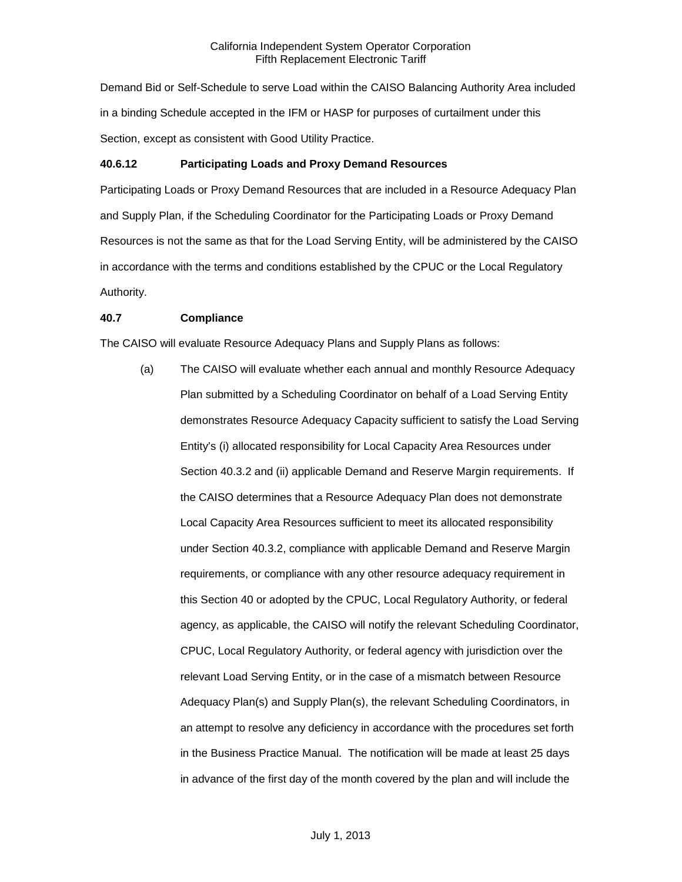Demand Bid or Self-Schedule to serve Load within the CAISO Balancing Authority Area included in a binding Schedule accepted in the IFM or HASP for purposes of curtailment under this Section, except as consistent with Good Utility Practice.

### **40.6.12 Participating Loads and Proxy Demand Resources**

Participating Loads or Proxy Demand Resources that are included in a Resource Adequacy Plan and Supply Plan, if the Scheduling Coordinator for the Participating Loads or Proxy Demand Resources is not the same as that for the Load Serving Entity, will be administered by the CAISO in accordance with the terms and conditions established by the CPUC or the Local Regulatory Authority.

# **40.7 Compliance**

The CAISO will evaluate Resource Adequacy Plans and Supply Plans as follows:

(a) The CAISO will evaluate whether each annual and monthly Resource Adequacy Plan submitted by a Scheduling Coordinator on behalf of a Load Serving Entity demonstrates Resource Adequacy Capacity sufficient to satisfy the Load Serving Entity's (i) allocated responsibility for Local Capacity Area Resources under Section 40.3.2 and (ii) applicable Demand and Reserve Margin requirements. If the CAISO determines that a Resource Adequacy Plan does not demonstrate Local Capacity Area Resources sufficient to meet its allocated responsibility under Section 40.3.2, compliance with applicable Demand and Reserve Margin requirements, or compliance with any other resource adequacy requirement in this Section 40 or adopted by the CPUC, Local Regulatory Authority, or federal agency, as applicable, the CAISO will notify the relevant Scheduling Coordinator, CPUC, Local Regulatory Authority, or federal agency with jurisdiction over the relevant Load Serving Entity, or in the case of a mismatch between Resource Adequacy Plan(s) and Supply Plan(s), the relevant Scheduling Coordinators, in an attempt to resolve any deficiency in accordance with the procedures set forth in the Business Practice Manual. The notification will be made at least 25 days in advance of the first day of the month covered by the plan and will include the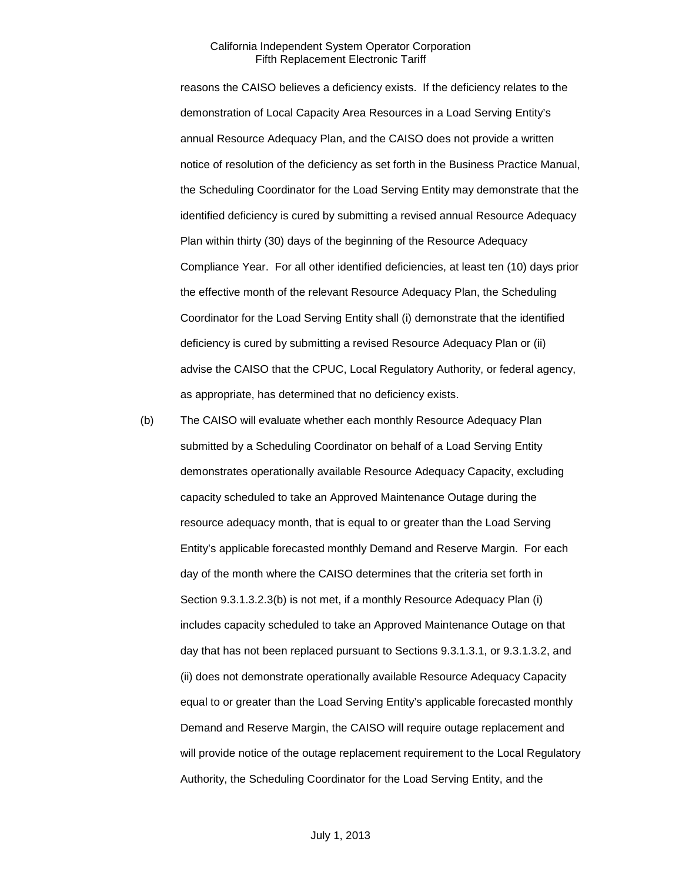reasons the CAISO believes a deficiency exists. If the deficiency relates to the demonstration of Local Capacity Area Resources in a Load Serving Entity's annual Resource Adequacy Plan, and the CAISO does not provide a written notice of resolution of the deficiency as set forth in the Business Practice Manual, the Scheduling Coordinator for the Load Serving Entity may demonstrate that the identified deficiency is cured by submitting a revised annual Resource Adequacy Plan within thirty (30) days of the beginning of the Resource Adequacy Compliance Year. For all other identified deficiencies, at least ten (10) days prior the effective month of the relevant Resource Adequacy Plan, the Scheduling Coordinator for the Load Serving Entity shall (i) demonstrate that the identified deficiency is cured by submitting a revised Resource Adequacy Plan or (ii) advise the CAISO that the CPUC, Local Regulatory Authority, or federal agency, as appropriate, has determined that no deficiency exists.

(b) The CAISO will evaluate whether each monthly Resource Adequacy Plan submitted by a Scheduling Coordinator on behalf of a Load Serving Entity demonstrates operationally available Resource Adequacy Capacity, excluding capacity scheduled to take an Approved Maintenance Outage during the resource adequacy month, that is equal to or greater than the Load Serving Entity's applicable forecasted monthly Demand and Reserve Margin. For each day of the month where the CAISO determines that the criteria set forth in Section 9.3.1.3.2.3(b) is not met, if a monthly Resource Adequacy Plan (i) includes capacity scheduled to take an Approved Maintenance Outage on that day that has not been replaced pursuant to Sections 9.3.1.3.1, or 9.3.1.3.2, and (ii) does not demonstrate operationally available Resource Adequacy Capacity equal to or greater than the Load Serving Entity's applicable forecasted monthly Demand and Reserve Margin, the CAISO will require outage replacement and will provide notice of the outage replacement requirement to the Local Regulatory Authority, the Scheduling Coordinator for the Load Serving Entity, and the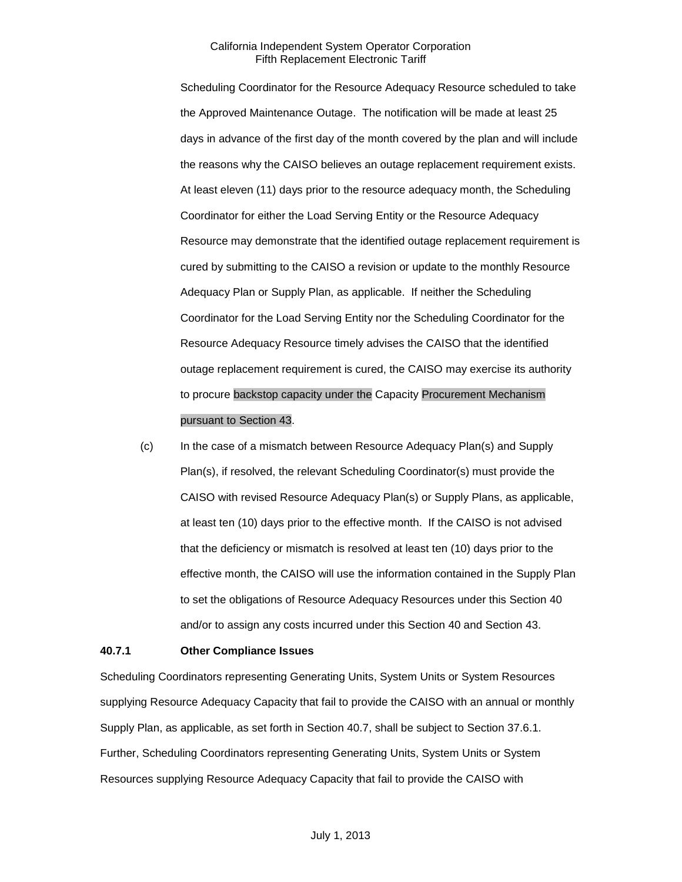Scheduling Coordinator for the Resource Adequacy Resource scheduled to take the Approved Maintenance Outage. The notification will be made at least 25 days in advance of the first day of the month covered by the plan and will include the reasons why the CAISO believes an outage replacement requirement exists. At least eleven (11) days prior to the resource adequacy month, the Scheduling Coordinator for either the Load Serving Entity or the Resource Adequacy Resource may demonstrate that the identified outage replacement requirement is cured by submitting to the CAISO a revision or update to the monthly Resource Adequacy Plan or Supply Plan, as applicable. If neither the Scheduling Coordinator for the Load Serving Entity nor the Scheduling Coordinator for the Resource Adequacy Resource timely advises the CAISO that the identified outage replacement requirement is cured, the CAISO may exercise its authority to procure backstop capacity under the Capacity Procurement Mechanism pursuant to Section 43.

(c) In the case of a mismatch between Resource Adequacy Plan(s) and Supply Plan(s), if resolved, the relevant Scheduling Coordinator(s) must provide the CAISO with revised Resource Adequacy Plan(s) or Supply Plans, as applicable, at least ten (10) days prior to the effective month. If the CAISO is not advised that the deficiency or mismatch is resolved at least ten (10) days prior to the effective month, the CAISO will use the information contained in the Supply Plan to set the obligations of Resource Adequacy Resources under this Section 40 and/or to assign any costs incurred under this Section 40 and Section 43.

#### **40.7.1 Other Compliance Issues**

Scheduling Coordinators representing Generating Units, System Units or System Resources supplying Resource Adequacy Capacity that fail to provide the CAISO with an annual or monthly Supply Plan, as applicable, as set forth in Section 40.7, shall be subject to Section 37.6.1. Further, Scheduling Coordinators representing Generating Units, System Units or System Resources supplying Resource Adequacy Capacity that fail to provide the CAISO with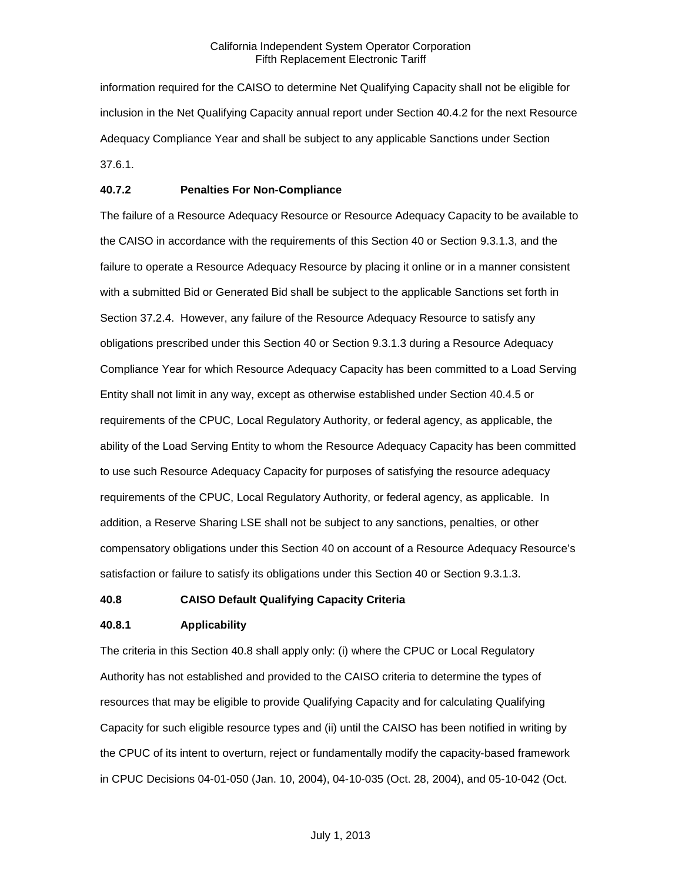information required for the CAISO to determine Net Qualifying Capacity shall not be eligible for inclusion in the Net Qualifying Capacity annual report under Section 40.4.2 for the next Resource Adequacy Compliance Year and shall be subject to any applicable Sanctions under Section 37.6.1.

# **40.7.2 Penalties For Non-Compliance**

The failure of a Resource Adequacy Resource or Resource Adequacy Capacity to be available to the CAISO in accordance with the requirements of this Section 40 or Section 9.3.1.3, and the failure to operate a Resource Adequacy Resource by placing it online or in a manner consistent with a submitted Bid or Generated Bid shall be subject to the applicable Sanctions set forth in Section 37.2.4. However, any failure of the Resource Adequacy Resource to satisfy any obligations prescribed under this Section 40 or Section 9.3.1.3 during a Resource Adequacy Compliance Year for which Resource Adequacy Capacity has been committed to a Load Serving Entity shall not limit in any way, except as otherwise established under Section 40.4.5 or requirements of the CPUC, Local Regulatory Authority, or federal agency, as applicable, the ability of the Load Serving Entity to whom the Resource Adequacy Capacity has been committed to use such Resource Adequacy Capacity for purposes of satisfying the resource adequacy requirements of the CPUC, Local Regulatory Authority, or federal agency, as applicable. In addition, a Reserve Sharing LSE shall not be subject to any sanctions, penalties, or other compensatory obligations under this Section 40 on account of a Resource Adequacy Resource's satisfaction or failure to satisfy its obligations under this Section 40 or Section 9.3.1.3.

### **40.8 CAISO Default Qualifying Capacity Criteria**

#### **40.8.1 Applicability**

The criteria in this Section 40.8 shall apply only: (i) where the CPUC or Local Regulatory Authority has not established and provided to the CAISO criteria to determine the types of resources that may be eligible to provide Qualifying Capacity and for calculating Qualifying Capacity for such eligible resource types and (ii) until the CAISO has been notified in writing by the CPUC of its intent to overturn, reject or fundamentally modify the capacity-based framework in CPUC Decisions 04-01-050 (Jan. 10, 2004), 04-10-035 (Oct. 28, 2004), and 05-10-042 (Oct.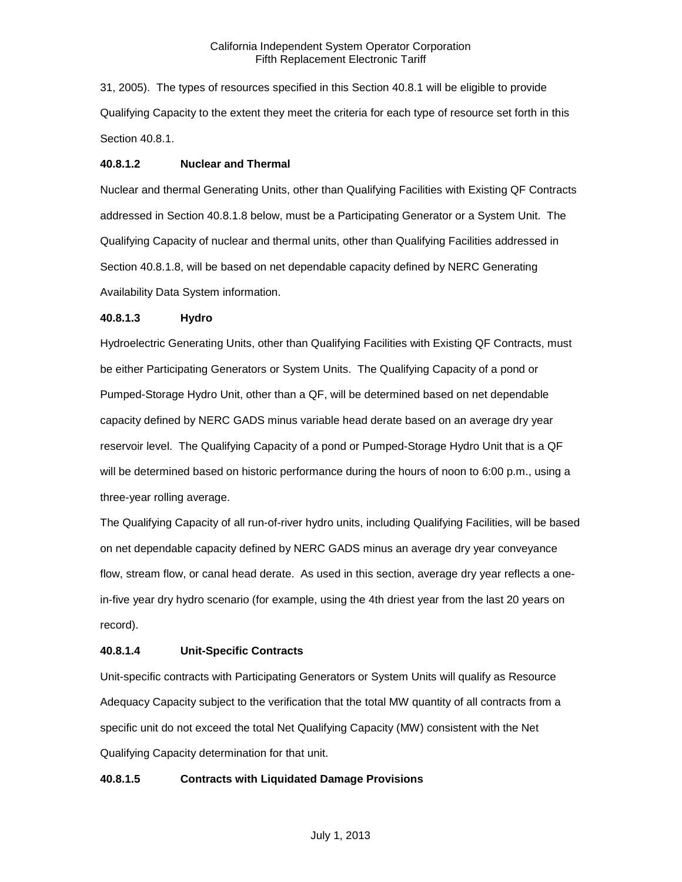31, 2005). The types of resources specified in this Section 40.8.1 will be eligible to provide Qualifying Capacity to the extent they meet the criteria for each type of resource set forth in this Section 40.8.1.

#### **40.8.1.2 Nuclear and Thermal**

Nuclear and thermal Generating Units, other than Qualifying Facilities with Existing QF Contracts addressed in Section 40.8.1.8 below, must be a Participating Generator or a System Unit. The Qualifying Capacity of nuclear and thermal units, other than Qualifying Facilities addressed in Section 40.8.1.8, will be based on net dependable capacity defined by NERC Generating Availability Data System information.

#### **40.8.1.3 Hydro**

Hydroelectric Generating Units, other than Qualifying Facilities with Existing QF Contracts, must be either Participating Generators or System Units. The Qualifying Capacity of a pond or Pumped-Storage Hydro Unit, other than a QF, will be determined based on net dependable capacity defined by NERC GADS minus variable head derate based on an average dry year reservoir level. The Qualifying Capacity of a pond or Pumped-Storage Hydro Unit that is a QF will be determined based on historic performance during the hours of noon to 6:00 p.m., using a three-year rolling average.

The Qualifying Capacity of all run-of-river hydro units, including Qualifying Facilities, will be based on net dependable capacity defined by NERC GADS minus an average dry year conveyance flow, stream flow, or canal head derate. As used in this section, average dry year reflects a onein-five year dry hydro scenario (for example, using the 4th driest year from the last 20 years on record).

### **40.8.1.4 Unit-Specific Contracts**

Unit-specific contracts with Participating Generators or System Units will qualify as Resource Adequacy Capacity subject to the verification that the total MW quantity of all contracts from a specific unit do not exceed the total Net Qualifying Capacity (MW) consistent with the Net Qualifying Capacity determination for that unit.

### **40.8.1.5 Contracts with Liquidated Damage Provisions**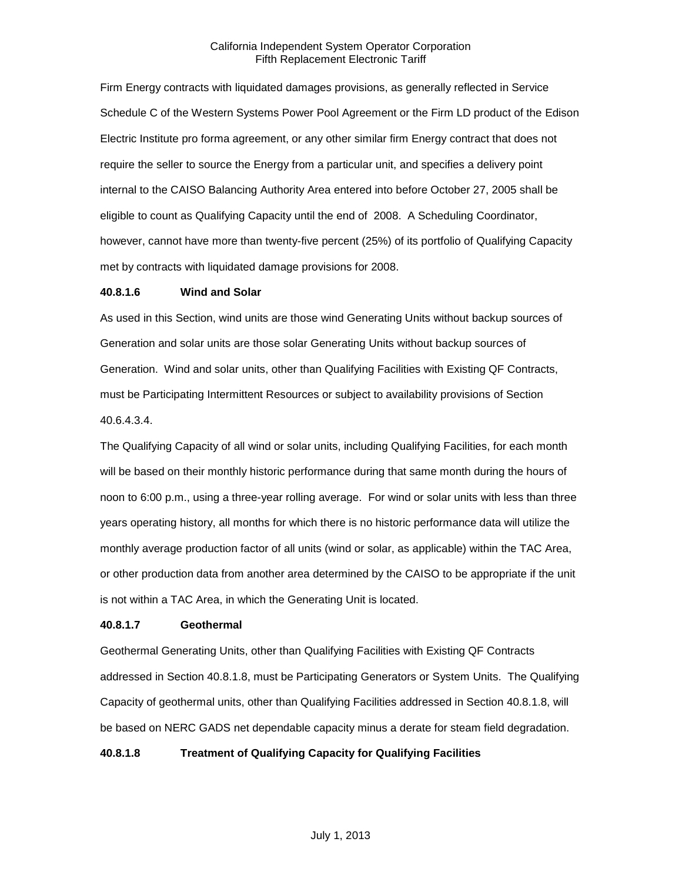Firm Energy contracts with liquidated damages provisions, as generally reflected in Service Schedule C of the Western Systems Power Pool Agreement or the Firm LD product of the Edison Electric Institute pro forma agreement, or any other similar firm Energy contract that does not require the seller to source the Energy from a particular unit, and specifies a delivery point internal to the CAISO Balancing Authority Area entered into before October 27, 2005 shall be eligible to count as Qualifying Capacity until the end of 2008. A Scheduling Coordinator, however, cannot have more than twenty-five percent (25%) of its portfolio of Qualifying Capacity met by contracts with liquidated damage provisions for 2008.

#### **40.8.1.6 Wind and Solar**

As used in this Section, wind units are those wind Generating Units without backup sources of Generation and solar units are those solar Generating Units without backup sources of Generation. Wind and solar units, other than Qualifying Facilities with Existing QF Contracts, must be Participating Intermittent Resources or subject to availability provisions of Section 40.6.4.3.4.

The Qualifying Capacity of all wind or solar units, including Qualifying Facilities, for each month will be based on their monthly historic performance during that same month during the hours of noon to 6:00 p.m., using a three-year rolling average. For wind or solar units with less than three years operating history, all months for which there is no historic performance data will utilize the monthly average production factor of all units (wind or solar, as applicable) within the TAC Area, or other production data from another area determined by the CAISO to be appropriate if the unit is not within a TAC Area, in which the Generating Unit is located.

### **40.8.1.7 Geothermal**

Geothermal Generating Units, other than Qualifying Facilities with Existing QF Contracts addressed in Section 40.8.1.8, must be Participating Generators or System Units. The Qualifying Capacity of geothermal units, other than Qualifying Facilities addressed in Section 40.8.1.8, will be based on NERC GADS net dependable capacity minus a derate for steam field degradation.

**40.8.1.8 Treatment of Qualifying Capacity for Qualifying Facilities**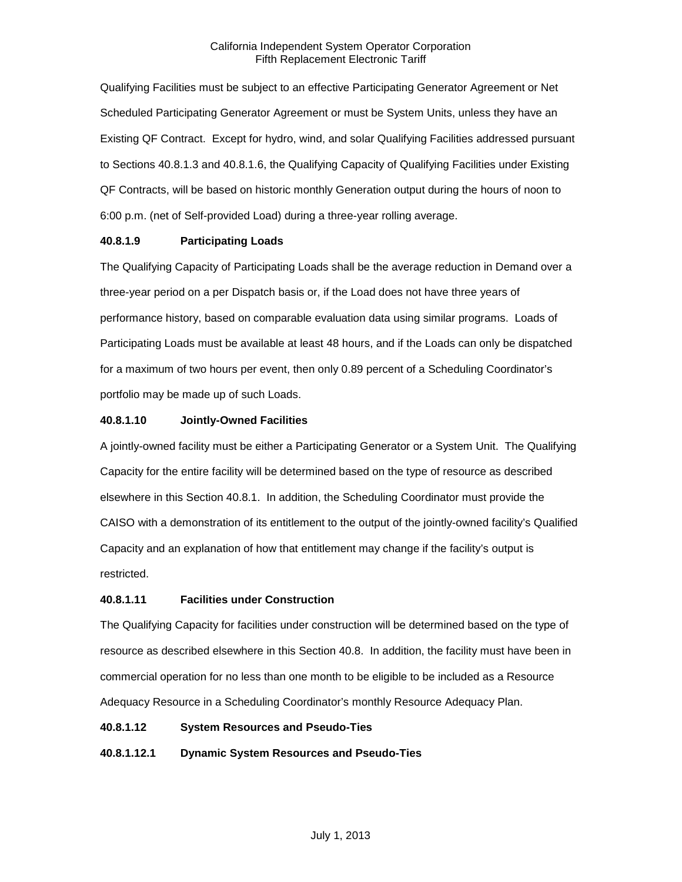Qualifying Facilities must be subject to an effective Participating Generator Agreement or Net Scheduled Participating Generator Agreement or must be System Units, unless they have an Existing QF Contract. Except for hydro, wind, and solar Qualifying Facilities addressed pursuant to Sections 40.8.1.3 and 40.8.1.6, the Qualifying Capacity of Qualifying Facilities under Existing QF Contracts, will be based on historic monthly Generation output during the hours of noon to 6:00 p.m. (net of Self-provided Load) during a three-year rolling average.

# **40.8.1.9 Participating Loads**

The Qualifying Capacity of Participating Loads shall be the average reduction in Demand over a three-year period on a per Dispatch basis or, if the Load does not have three years of performance history, based on comparable evaluation data using similar programs. Loads of Participating Loads must be available at least 48 hours, and if the Loads can only be dispatched for a maximum of two hours per event, then only 0.89 percent of a Scheduling Coordinator's portfolio may be made up of such Loads.

# **40.8.1.10 Jointly-Owned Facilities**

A jointly-owned facility must be either a Participating Generator or a System Unit. The Qualifying Capacity for the entire facility will be determined based on the type of resource as described elsewhere in this Section 40.8.1. In addition, the Scheduling Coordinator must provide the CAISO with a demonstration of its entitlement to the output of the jointly-owned facility's Qualified Capacity and an explanation of how that entitlement may change if the facility's output is restricted.

# **40.8.1.11 Facilities under Construction**

The Qualifying Capacity for facilities under construction will be determined based on the type of resource as described elsewhere in this Section 40.8. In addition, the facility must have been in commercial operation for no less than one month to be eligible to be included as a Resource Adequacy Resource in a Scheduling Coordinator's monthly Resource Adequacy Plan.

### **40.8.1.12 System Resources and Pseudo-Ties**

# **40.8.1.12.1 Dynamic System Resources and Pseudo-Ties**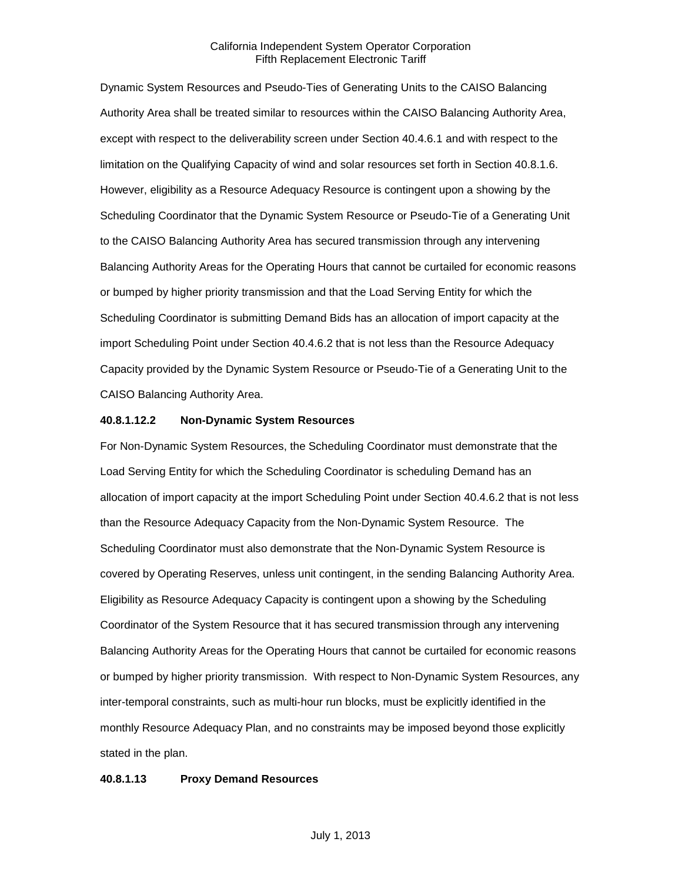Dynamic System Resources and Pseudo-Ties of Generating Units to the CAISO Balancing Authority Area shall be treated similar to resources within the CAISO Balancing Authority Area, except with respect to the deliverability screen under Section 40.4.6.1 and with respect to the limitation on the Qualifying Capacity of wind and solar resources set forth in Section 40.8.1.6. However, eligibility as a Resource Adequacy Resource is contingent upon a showing by the Scheduling Coordinator that the Dynamic System Resource or Pseudo-Tie of a Generating Unit to the CAISO Balancing Authority Area has secured transmission through any intervening Balancing Authority Areas for the Operating Hours that cannot be curtailed for economic reasons or bumped by higher priority transmission and that the Load Serving Entity for which the Scheduling Coordinator is submitting Demand Bids has an allocation of import capacity at the import Scheduling Point under Section 40.4.6.2 that is not less than the Resource Adequacy Capacity provided by the Dynamic System Resource or Pseudo-Tie of a Generating Unit to the CAISO Balancing Authority Area.

#### **40.8.1.12.2 Non-Dynamic System Resources**

For Non-Dynamic System Resources, the Scheduling Coordinator must demonstrate that the Load Serving Entity for which the Scheduling Coordinator is scheduling Demand has an allocation of import capacity at the import Scheduling Point under Section 40.4.6.2 that is not less than the Resource Adequacy Capacity from the Non-Dynamic System Resource. The Scheduling Coordinator must also demonstrate that the Non-Dynamic System Resource is covered by Operating Reserves, unless unit contingent, in the sending Balancing Authority Area. Eligibility as Resource Adequacy Capacity is contingent upon a showing by the Scheduling Coordinator of the System Resource that it has secured transmission through any intervening Balancing Authority Areas for the Operating Hours that cannot be curtailed for economic reasons or bumped by higher priority transmission. With respect to Non-Dynamic System Resources, any inter-temporal constraints, such as multi-hour run blocks, must be explicitly identified in the monthly Resource Adequacy Plan, and no constraints may be imposed beyond those explicitly stated in the plan.

#### **40.8.1.13 Proxy Demand Resources**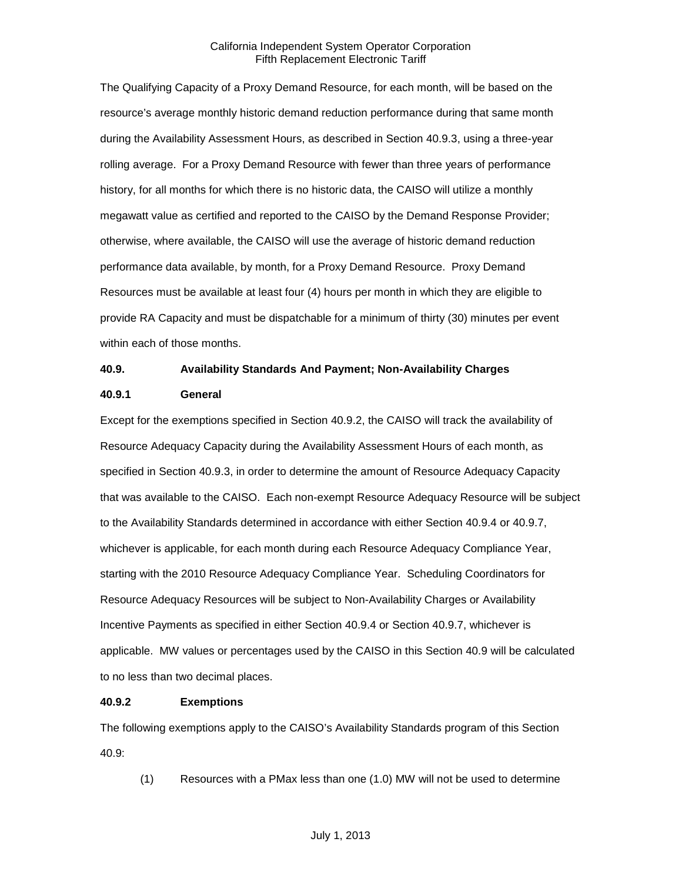The Qualifying Capacity of a Proxy Demand Resource, for each month, will be based on the resource's average monthly historic demand reduction performance during that same month during the Availability Assessment Hours, as described in Section 40.9.3, using a three-year rolling average. For a Proxy Demand Resource with fewer than three years of performance history, for all months for which there is no historic data, the CAISO will utilize a monthly megawatt value as certified and reported to the CAISO by the Demand Response Provider; otherwise, where available, the CAISO will use the average of historic demand reduction performance data available, by month, for a Proxy Demand Resource. Proxy Demand Resources must be available at least four (4) hours per month in which they are eligible to provide RA Capacity and must be dispatchable for a minimum of thirty (30) minutes per event within each of those months.

#### **40.9. Availability Standards And Payment; Non-Availability Charges**

#### **40.9.1 General**

Except for the exemptions specified in Section 40.9.2, the CAISO will track the availability of Resource Adequacy Capacity during the Availability Assessment Hours of each month, as specified in Section 40.9.3, in order to determine the amount of Resource Adequacy Capacity that was available to the CAISO. Each non-exempt Resource Adequacy Resource will be subject to the Availability Standards determined in accordance with either Section 40.9.4 or 40.9.7, whichever is applicable, for each month during each Resource Adequacy Compliance Year, starting with the 2010 Resource Adequacy Compliance Year. Scheduling Coordinators for Resource Adequacy Resources will be subject to Non-Availability Charges or Availability Incentive Payments as specified in either Section 40.9.4 or Section 40.9.7, whichever is applicable. MW values or percentages used by the CAISO in this Section 40.9 will be calculated to no less than two decimal places.

### **40.9.2 Exemptions**

The following exemptions apply to the CAISO's Availability Standards program of this Section 40.9:

(1) Resources with a PMax less than one (1.0) MW will not be used to determine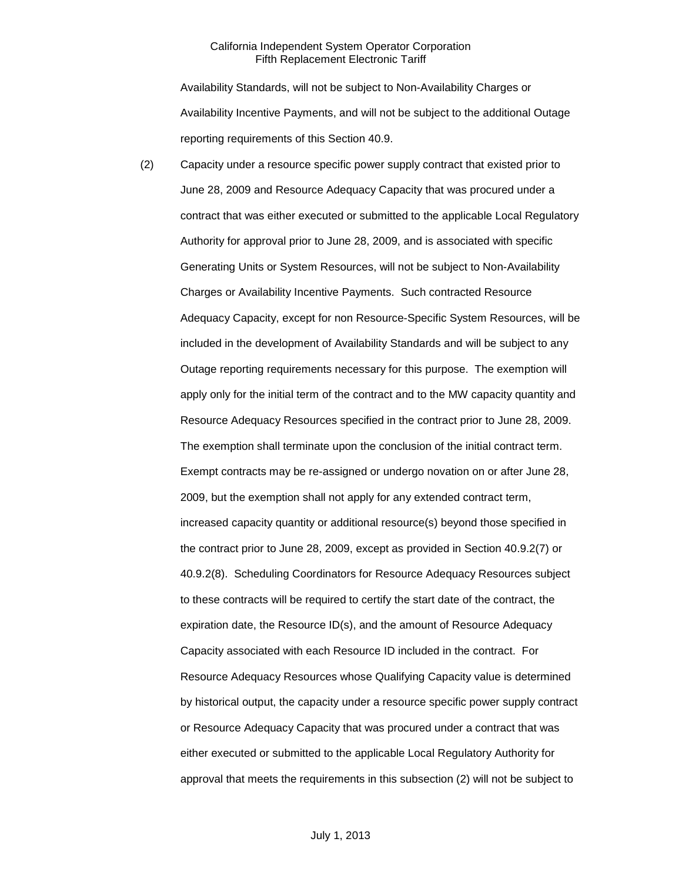Availability Standards, will not be subject to Non-Availability Charges or Availability Incentive Payments, and will not be subject to the additional Outage reporting requirements of this Section 40.9.

(2) Capacity under a resource specific power supply contract that existed prior to June 28, 2009 and Resource Adequacy Capacity that was procured under a contract that was either executed or submitted to the applicable Local Regulatory Authority for approval prior to June 28, 2009, and is associated with specific Generating Units or System Resources, will not be subject to Non-Availability Charges or Availability Incentive Payments. Such contracted Resource Adequacy Capacity, except for non Resource-Specific System Resources, will be included in the development of Availability Standards and will be subject to any Outage reporting requirements necessary for this purpose. The exemption will apply only for the initial term of the contract and to the MW capacity quantity and Resource Adequacy Resources specified in the contract prior to June 28, 2009. The exemption shall terminate upon the conclusion of the initial contract term. Exempt contracts may be re-assigned or undergo novation on or after June 28, 2009, but the exemption shall not apply for any extended contract term, increased capacity quantity or additional resource(s) beyond those specified in the contract prior to June 28, 2009, except as provided in Section 40.9.2(7) or 40.9.2(8). Scheduling Coordinators for Resource Adequacy Resources subject to these contracts will be required to certify the start date of the contract, the expiration date, the Resource ID(s), and the amount of Resource Adequacy Capacity associated with each Resource ID included in the contract. For Resource Adequacy Resources whose Qualifying Capacity value is determined by historical output, the capacity under a resource specific power supply contract or Resource Adequacy Capacity that was procured under a contract that was either executed or submitted to the applicable Local Regulatory Authority for approval that meets the requirements in this subsection (2) will not be subject to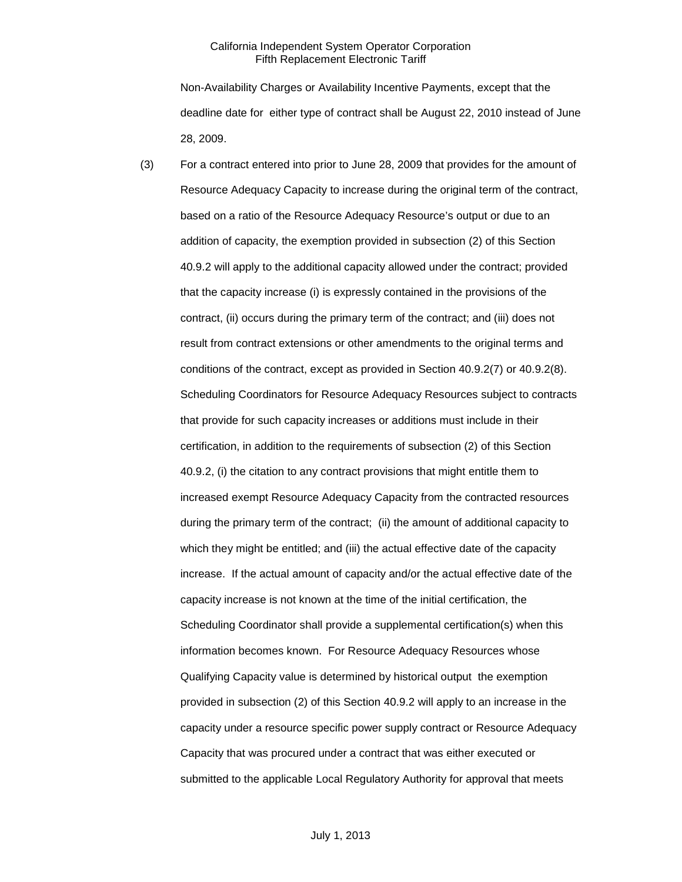Non-Availability Charges or Availability Incentive Payments, except that the deadline date for either type of contract shall be August 22, 2010 instead of June 28, 2009.

(3) For a contract entered into prior to June 28, 2009 that provides for the amount of Resource Adequacy Capacity to increase during the original term of the contract, based on a ratio of the Resource Adequacy Resource's output or due to an addition of capacity, the exemption provided in subsection (2) of this Section 40.9.2 will apply to the additional capacity allowed under the contract; provided that the capacity increase (i) is expressly contained in the provisions of the contract, (ii) occurs during the primary term of the contract; and (iii) does not result from contract extensions or other amendments to the original terms and conditions of the contract, except as provided in Section 40.9.2(7) or 40.9.2(8). Scheduling Coordinators for Resource Adequacy Resources subject to contracts that provide for such capacity increases or additions must include in their certification, in addition to the requirements of subsection (2) of this Section 40.9.2, (i) the citation to any contract provisions that might entitle them to increased exempt Resource Adequacy Capacity from the contracted resources during the primary term of the contract; (ii) the amount of additional capacity to which they might be entitled; and (iii) the actual effective date of the capacity increase. If the actual amount of capacity and/or the actual effective date of the capacity increase is not known at the time of the initial certification, the Scheduling Coordinator shall provide a supplemental certification(s) when this information becomes known. For Resource Adequacy Resources whose Qualifying Capacity value is determined by historical output the exemption provided in subsection (2) of this Section 40.9.2 will apply to an increase in the capacity under a resource specific power supply contract or Resource Adequacy Capacity that was procured under a contract that was either executed or submitted to the applicable Local Regulatory Authority for approval that meets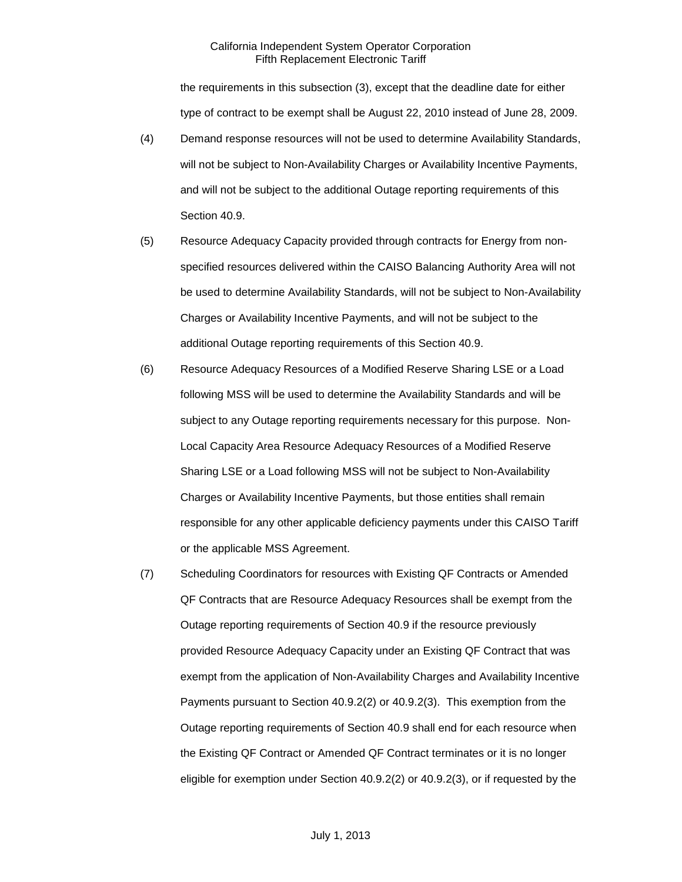the requirements in this subsection (3), except that the deadline date for either type of contract to be exempt shall be August 22, 2010 instead of June 28, 2009.

- (4) Demand response resources will not be used to determine Availability Standards, will not be subject to Non-Availability Charges or Availability Incentive Payments, and will not be subject to the additional Outage reporting requirements of this Section 40.9.
- (5) Resource Adequacy Capacity provided through contracts for Energy from nonspecified resources delivered within the CAISO Balancing Authority Area will not be used to determine Availability Standards, will not be subject to Non-Availability Charges or Availability Incentive Payments, and will not be subject to the additional Outage reporting requirements of this Section 40.9.
- (6) Resource Adequacy Resources of a Modified Reserve Sharing LSE or a Load following MSS will be used to determine the Availability Standards and will be subject to any Outage reporting requirements necessary for this purpose. Non-Local Capacity Area Resource Adequacy Resources of a Modified Reserve Sharing LSE or a Load following MSS will not be subject to Non-Availability Charges or Availability Incentive Payments, but those entities shall remain responsible for any other applicable deficiency payments under this CAISO Tariff or the applicable MSS Agreement.
- (7) Scheduling Coordinators for resources with Existing QF Contracts or Amended QF Contracts that are Resource Adequacy Resources shall be exempt from the Outage reporting requirements of Section 40.9 if the resource previously provided Resource Adequacy Capacity under an Existing QF Contract that was exempt from the application of Non-Availability Charges and Availability Incentive Payments pursuant to Section 40.9.2(2) or 40.9.2(3). This exemption from the Outage reporting requirements of Section 40.9 shall end for each resource when the Existing QF Contract or Amended QF Contract terminates or it is no longer eligible for exemption under Section 40.9.2(2) or 40.9.2(3), or if requested by the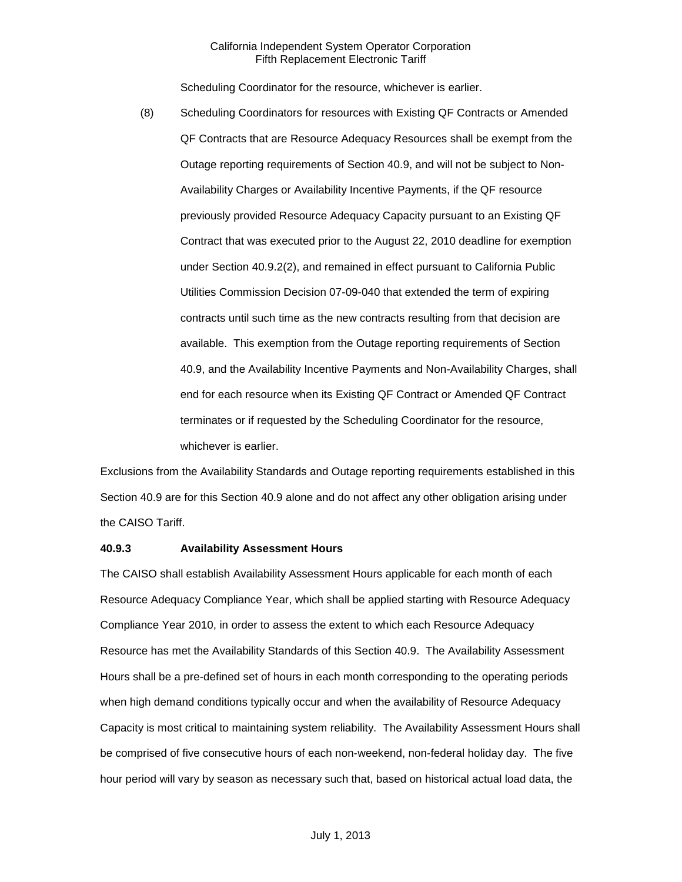Scheduling Coordinator for the resource, whichever is earlier.

(8) Scheduling Coordinators for resources with Existing QF Contracts or Amended QF Contracts that are Resource Adequacy Resources shall be exempt from the Outage reporting requirements of Section 40.9, and will not be subject to Non-Availability Charges or Availability Incentive Payments, if the QF resource previously provided Resource Adequacy Capacity pursuant to an Existing QF Contract that was executed prior to the August 22, 2010 deadline for exemption under Section 40.9.2(2), and remained in effect pursuant to California Public Utilities Commission Decision 07-09-040 that extended the term of expiring contracts until such time as the new contracts resulting from that decision are available. This exemption from the Outage reporting requirements of Section 40.9, and the Availability Incentive Payments and Non-Availability Charges, shall end for each resource when its Existing QF Contract or Amended QF Contract terminates or if requested by the Scheduling Coordinator for the resource, whichever is earlier.

Exclusions from the Availability Standards and Outage reporting requirements established in this Section 40.9 are for this Section 40.9 alone and do not affect any other obligation arising under the CAISO Tariff.

# **40.9.3 Availability Assessment Hours**

The CAISO shall establish Availability Assessment Hours applicable for each month of each Resource Adequacy Compliance Year, which shall be applied starting with Resource Adequacy Compliance Year 2010, in order to assess the extent to which each Resource Adequacy Resource has met the Availability Standards of this Section 40.9. The Availability Assessment Hours shall be a pre-defined set of hours in each month corresponding to the operating periods when high demand conditions typically occur and when the availability of Resource Adequacy Capacity is most critical to maintaining system reliability. The Availability Assessment Hours shall be comprised of five consecutive hours of each non-weekend, non-federal holiday day. The five hour period will vary by season as necessary such that, based on historical actual load data, the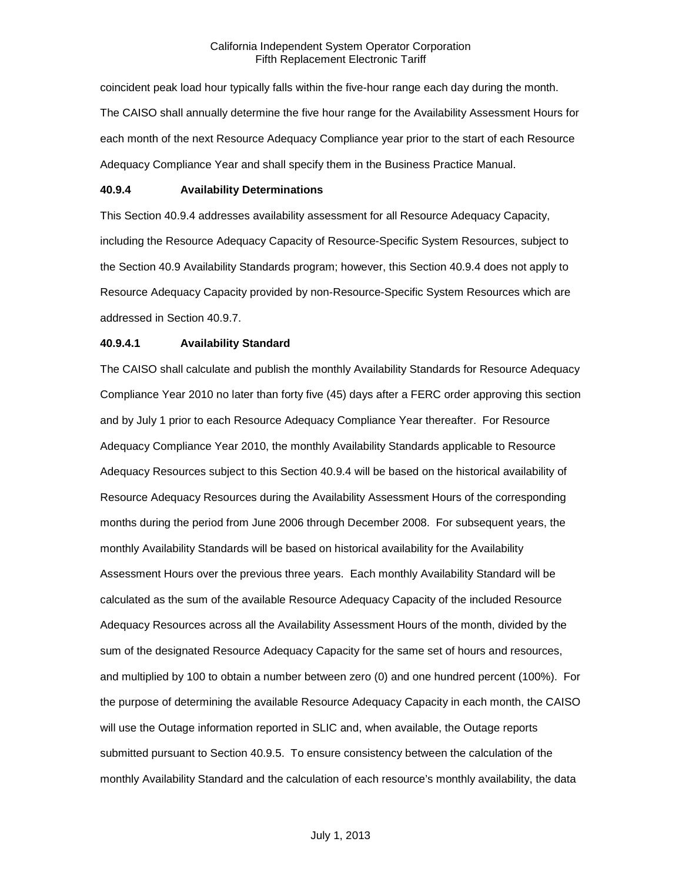coincident peak load hour typically falls within the five-hour range each day during the month. The CAISO shall annually determine the five hour range for the Availability Assessment Hours for each month of the next Resource Adequacy Compliance year prior to the start of each Resource Adequacy Compliance Year and shall specify them in the Business Practice Manual.

### **40.9.4 Availability Determinations**

This Section 40.9.4 addresses availability assessment for all Resource Adequacy Capacity, including the Resource Adequacy Capacity of Resource-Specific System Resources, subject to the Section 40.9 Availability Standards program; however, this Section 40.9.4 does not apply to Resource Adequacy Capacity provided by non-Resource-Specific System Resources which are addressed in Section 40.9.7.

#### **40.9.4.1 Availability Standard**

The CAISO shall calculate and publish the monthly Availability Standards for Resource Adequacy Compliance Year 2010 no later than forty five (45) days after a FERC order approving this section and by July 1 prior to each Resource Adequacy Compliance Year thereafter. For Resource Adequacy Compliance Year 2010, the monthly Availability Standards applicable to Resource Adequacy Resources subject to this Section 40.9.4 will be based on the historical availability of Resource Adequacy Resources during the Availability Assessment Hours of the corresponding months during the period from June 2006 through December 2008. For subsequent years, the monthly Availability Standards will be based on historical availability for the Availability Assessment Hours over the previous three years. Each monthly Availability Standard will be calculated as the sum of the available Resource Adequacy Capacity of the included Resource Adequacy Resources across all the Availability Assessment Hours of the month, divided by the sum of the designated Resource Adequacy Capacity for the same set of hours and resources, and multiplied by 100 to obtain a number between zero (0) and one hundred percent (100%). For the purpose of determining the available Resource Adequacy Capacity in each month, the CAISO will use the Outage information reported in SLIC and, when available, the Outage reports submitted pursuant to Section 40.9.5. To ensure consistency between the calculation of the monthly Availability Standard and the calculation of each resource's monthly availability, the data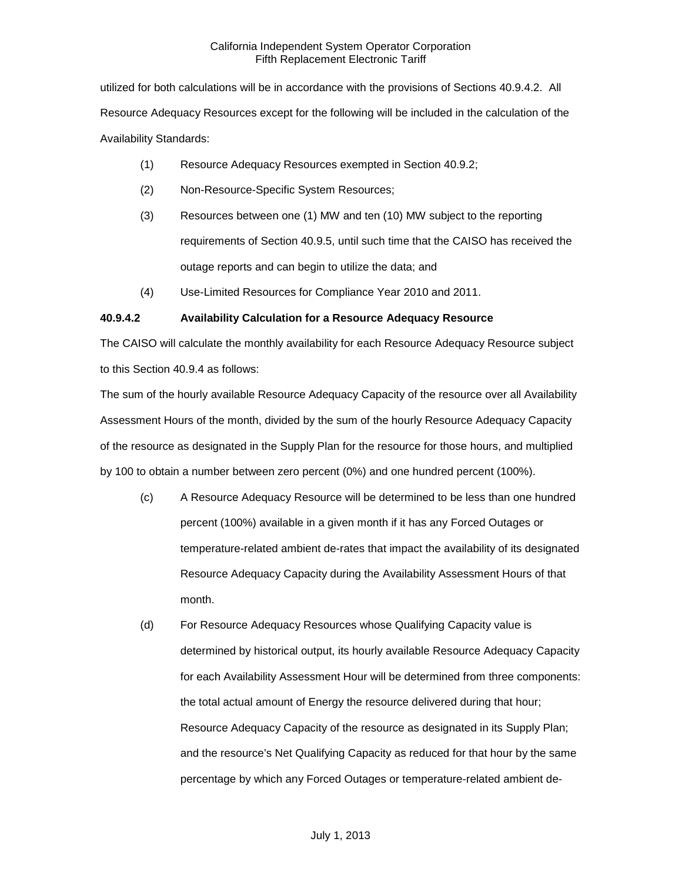utilized for both calculations will be in accordance with the provisions of Sections 40.9.4.2. All Resource Adequacy Resources except for the following will be included in the calculation of the Availability Standards:

- (1) Resource Adequacy Resources exempted in Section 40.9.2;
- (2) Non-Resource-Specific System Resources;
- (3) Resources between one (1) MW and ten (10) MW subject to the reporting requirements of Section 40.9.5, until such time that the CAISO has received the outage reports and can begin to utilize the data; and
- (4) Use-Limited Resources for Compliance Year 2010 and 2011.

# **40.9.4.2 Availability Calculation for a Resource Adequacy Resource**

The CAISO will calculate the monthly availability for each Resource Adequacy Resource subject to this Section 40.9.4 as follows:

The sum of the hourly available Resource Adequacy Capacity of the resource over all Availability Assessment Hours of the month, divided by the sum of the hourly Resource Adequacy Capacity of the resource as designated in the Supply Plan for the resource for those hours, and multiplied by 100 to obtain a number between zero percent (0%) and one hundred percent (100%).

- (c) A Resource Adequacy Resource will be determined to be less than one hundred percent (100%) available in a given month if it has any Forced Outages or temperature-related ambient de-rates that impact the availability of its designated Resource Adequacy Capacity during the Availability Assessment Hours of that month.
- (d) For Resource Adequacy Resources whose Qualifying Capacity value is determined by historical output, its hourly available Resource Adequacy Capacity for each Availability Assessment Hour will be determined from three components: the total actual amount of Energy the resource delivered during that hour; Resource Adequacy Capacity of the resource as designated in its Supply Plan; and the resource's Net Qualifying Capacity as reduced for that hour by the same percentage by which any Forced Outages or temperature-related ambient de-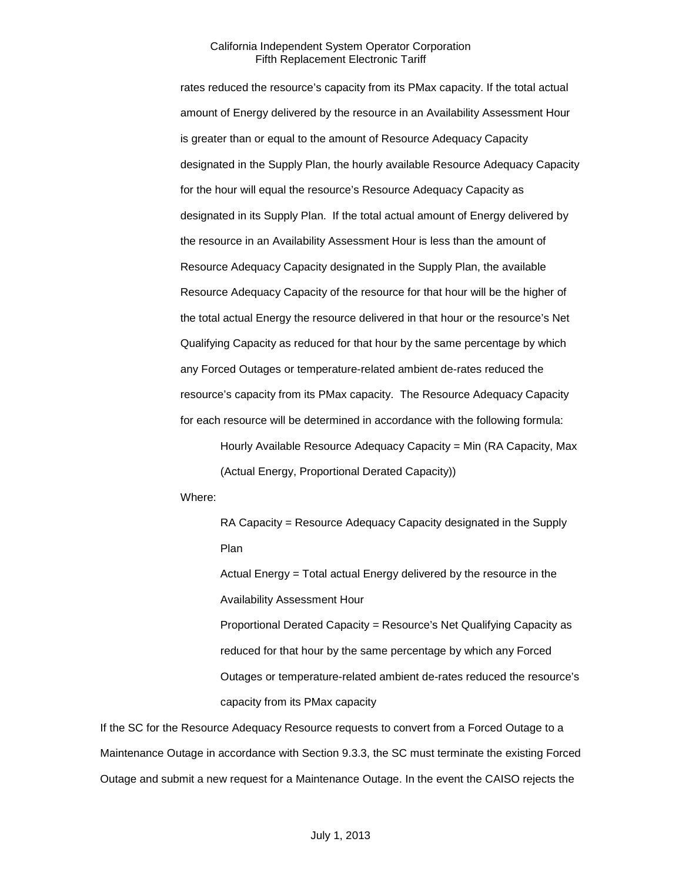rates reduced the resource's capacity from its PMax capacity. If the total actual amount of Energy delivered by the resource in an Availability Assessment Hour is greater than or equal to the amount of Resource Adequacy Capacity designated in the Supply Plan, the hourly available Resource Adequacy Capacity for the hour will equal the resource's Resource Adequacy Capacity as designated in its Supply Plan. If the total actual amount of Energy delivered by the resource in an Availability Assessment Hour is less than the amount of Resource Adequacy Capacity designated in the Supply Plan, the available Resource Adequacy Capacity of the resource for that hour will be the higher of the total actual Energy the resource delivered in that hour or the resource's Net Qualifying Capacity as reduced for that hour by the same percentage by which any Forced Outages or temperature-related ambient de-rates reduced the resource's capacity from its PMax capacity. The Resource Adequacy Capacity for each resource will be determined in accordance with the following formula:

Hourly Available Resource Adequacy Capacity = Min (RA Capacity, Max (Actual Energy, Proportional Derated Capacity))

Where:

RA Capacity = Resource Adequacy Capacity designated in the Supply Plan

Actual Energy = Total actual Energy delivered by the resource in the Availability Assessment Hour

Proportional Derated Capacity = Resource's Net Qualifying Capacity as reduced for that hour by the same percentage by which any Forced Outages or temperature-related ambient de-rates reduced the resource's capacity from its PMax capacity

If the SC for the Resource Adequacy Resource requests to convert from a Forced Outage to a Maintenance Outage in accordance with Section 9.3.3, the SC must terminate the existing Forced Outage and submit a new request for a Maintenance Outage. In the event the CAISO rejects the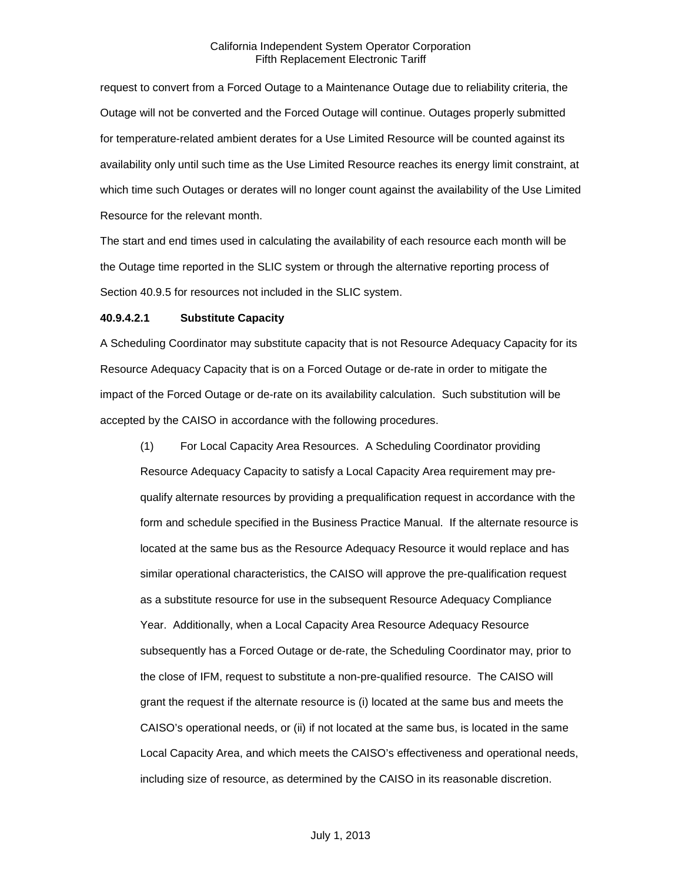request to convert from a Forced Outage to a Maintenance Outage due to reliability criteria, the Outage will not be converted and the Forced Outage will continue. Outages properly submitted for temperature-related ambient derates for a Use Limited Resource will be counted against its availability only until such time as the Use Limited Resource reaches its energy limit constraint, at which time such Outages or derates will no longer count against the availability of the Use Limited Resource for the relevant month.

The start and end times used in calculating the availability of each resource each month will be the Outage time reported in the SLIC system or through the alternative reporting process of Section 40.9.5 for resources not included in the SLIC system.

# **40.9.4.2.1 Substitute Capacity**

A Scheduling Coordinator may substitute capacity that is not Resource Adequacy Capacity for its Resource Adequacy Capacity that is on a Forced Outage or de-rate in order to mitigate the impact of the Forced Outage or de-rate on its availability calculation. Such substitution will be accepted by the CAISO in accordance with the following procedures.

(1) For Local Capacity Area Resources. A Scheduling Coordinator providing Resource Adequacy Capacity to satisfy a Local Capacity Area requirement may prequalify alternate resources by providing a prequalification request in accordance with the form and schedule specified in the Business Practice Manual. If the alternate resource is located at the same bus as the Resource Adequacy Resource it would replace and has similar operational characteristics, the CAISO will approve the pre-qualification request as a substitute resource for use in the subsequent Resource Adequacy Compliance Year. Additionally, when a Local Capacity Area Resource Adequacy Resource subsequently has a Forced Outage or de-rate, the Scheduling Coordinator may, prior to the close of IFM, request to substitute a non-pre-qualified resource. The CAISO will grant the request if the alternate resource is (i) located at the same bus and meets the CAISO's operational needs, or (ii) if not located at the same bus, is located in the same Local Capacity Area, and which meets the CAISO's effectiveness and operational needs, including size of resource, as determined by the CAISO in its reasonable discretion.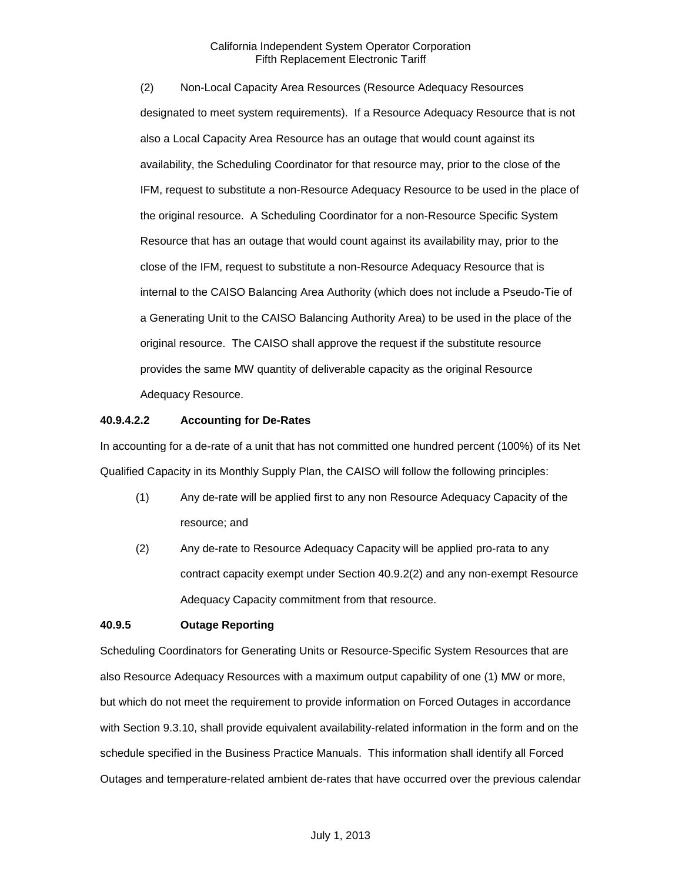(2) Non-Local Capacity Area Resources (Resource Adequacy Resources designated to meet system requirements). If a Resource Adequacy Resource that is not also a Local Capacity Area Resource has an outage that would count against its availability, the Scheduling Coordinator for that resource may, prior to the close of the IFM, request to substitute a non-Resource Adequacy Resource to be used in the place of the original resource. A Scheduling Coordinator for a non-Resource Specific System Resource that has an outage that would count against its availability may, prior to the close of the IFM, request to substitute a non-Resource Adequacy Resource that is internal to the CAISO Balancing Area Authority (which does not include a Pseudo-Tie of a Generating Unit to the CAISO Balancing Authority Area) to be used in the place of the original resource. The CAISO shall approve the request if the substitute resource provides the same MW quantity of deliverable capacity as the original Resource Adequacy Resource.

# **40.9.4.2.2 Accounting for De-Rates**

In accounting for a de-rate of a unit that has not committed one hundred percent (100%) of its Net Qualified Capacity in its Monthly Supply Plan, the CAISO will follow the following principles:

- (1) Any de-rate will be applied first to any non Resource Adequacy Capacity of the resource; and
- (2) Any de-rate to Resource Adequacy Capacity will be applied pro-rata to any contract capacity exempt under Section 40.9.2(2) and any non-exempt Resource Adequacy Capacity commitment from that resource.

# **40.9.5 Outage Reporting**

Scheduling Coordinators for Generating Units or Resource-Specific System Resources that are also Resource Adequacy Resources with a maximum output capability of one (1) MW or more, but which do not meet the requirement to provide information on Forced Outages in accordance with Section 9.3.10, shall provide equivalent availability-related information in the form and on the schedule specified in the Business Practice Manuals. This information shall identify all Forced Outages and temperature-related ambient de-rates that have occurred over the previous calendar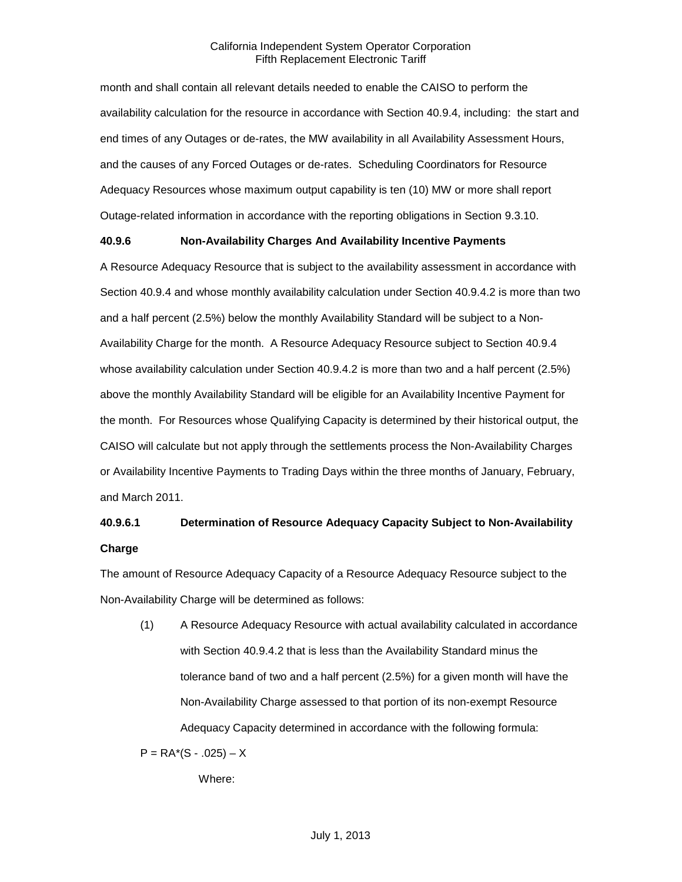month and shall contain all relevant details needed to enable the CAISO to perform the availability calculation for the resource in accordance with Section 40.9.4, including: the start and end times of any Outages or de-rates, the MW availability in all Availability Assessment Hours, and the causes of any Forced Outages or de-rates. Scheduling Coordinators for Resource Adequacy Resources whose maximum output capability is ten (10) MW or more shall report Outage-related information in accordance with the reporting obligations in Section 9.3.10.

# **40.9.6 Non-Availability Charges And Availability Incentive Payments**

A Resource Adequacy Resource that is subject to the availability assessment in accordance with Section 40.9.4 and whose monthly availability calculation under Section 40.9.4.2 is more than two and a half percent (2.5%) below the monthly Availability Standard will be subject to a Non-Availability Charge for the month. A Resource Adequacy Resource subject to Section 40.9.4 whose availability calculation under Section 40.9.4.2 is more than two and a half percent (2.5%) above the monthly Availability Standard will be eligible for an Availability Incentive Payment for the month. For Resources whose Qualifying Capacity is determined by their historical output, the CAISO will calculate but not apply through the settlements process the Non-Availability Charges or Availability Incentive Payments to Trading Days within the three months of January, February, and March 2011.

# **40.9.6.1 Determination of Resource Adequacy Capacity Subject to Non-Availability Charge**

The amount of Resource Adequacy Capacity of a Resource Adequacy Resource subject to the Non-Availability Charge will be determined as follows:

(1) A Resource Adequacy Resource with actual availability calculated in accordance with Section 40.9.4.2 that is less than the Availability Standard minus the tolerance band of two and a half percent (2.5%) for a given month will have the Non-Availability Charge assessed to that portion of its non-exempt Resource Adequacy Capacity determined in accordance with the following formula:

 $P = RA*(S - .025) - X$ 

Where: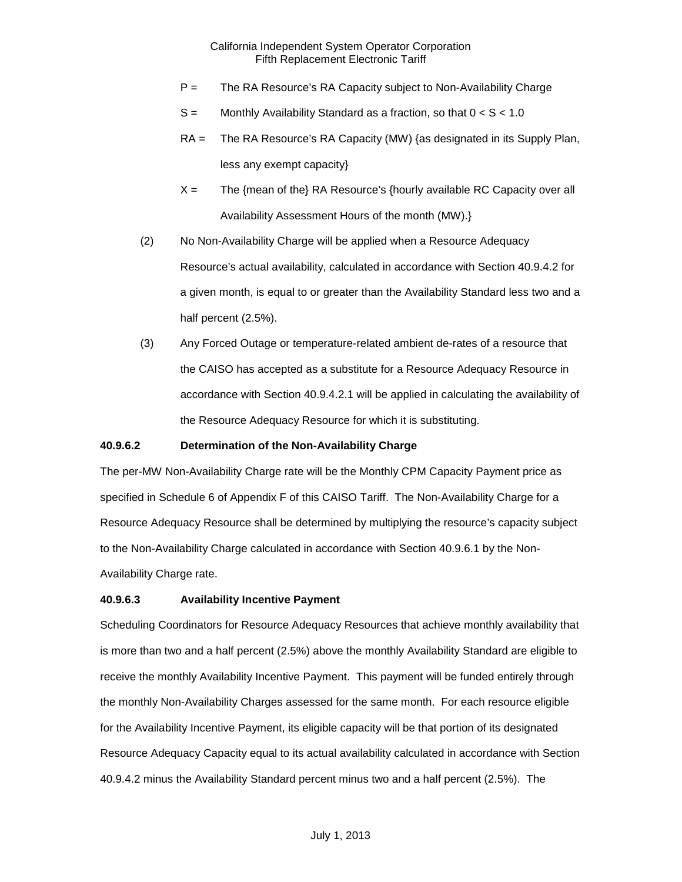- P = The RA Resource's RA Capacity subject to Non-Availability Charge
- $S =$  Monthly Availability Standard as a fraction, so that  $0 < S < 1.0$
- RA = The RA Resource's RA Capacity (MW) {as designated in its Supply Plan, less any exempt capacity}
- $X =$  The {mean of the} RA Resource's {hourly available RC Capacity over all Availability Assessment Hours of the month (MW).}
- (2) No Non-Availability Charge will be applied when a Resource Adequacy Resource's actual availability, calculated in accordance with Section 40.9.4.2 for a given month, is equal to or greater than the Availability Standard less two and a half percent (2.5%).
- (3) Any Forced Outage or temperature-related ambient de-rates of a resource that the CAISO has accepted as a substitute for a Resource Adequacy Resource in accordance with Section 40.9.4.2.1 will be applied in calculating the availability of the Resource Adequacy Resource for which it is substituting.

# **40.9.6.2 Determination of the Non-Availability Charge**

The per-MW Non-Availability Charge rate will be the Monthly CPM Capacity Payment price as specified in Schedule 6 of Appendix F of this CAISO Tariff. The Non-Availability Charge for a Resource Adequacy Resource shall be determined by multiplying the resource's capacity subject to the Non-Availability Charge calculated in accordance with Section 40.9.6.1 by the Non-Availability Charge rate.

# **40.9.6.3 Availability Incentive Payment**

Scheduling Coordinators for Resource Adequacy Resources that achieve monthly availability that is more than two and a half percent (2.5%) above the monthly Availability Standard are eligible to receive the monthly Availability Incentive Payment. This payment will be funded entirely through the monthly Non-Availability Charges assessed for the same month. For each resource eligible for the Availability Incentive Payment, its eligible capacity will be that portion of its designated Resource Adequacy Capacity equal to its actual availability calculated in accordance with Section 40.9.4.2 minus the Availability Standard percent minus two and a half percent (2.5%). The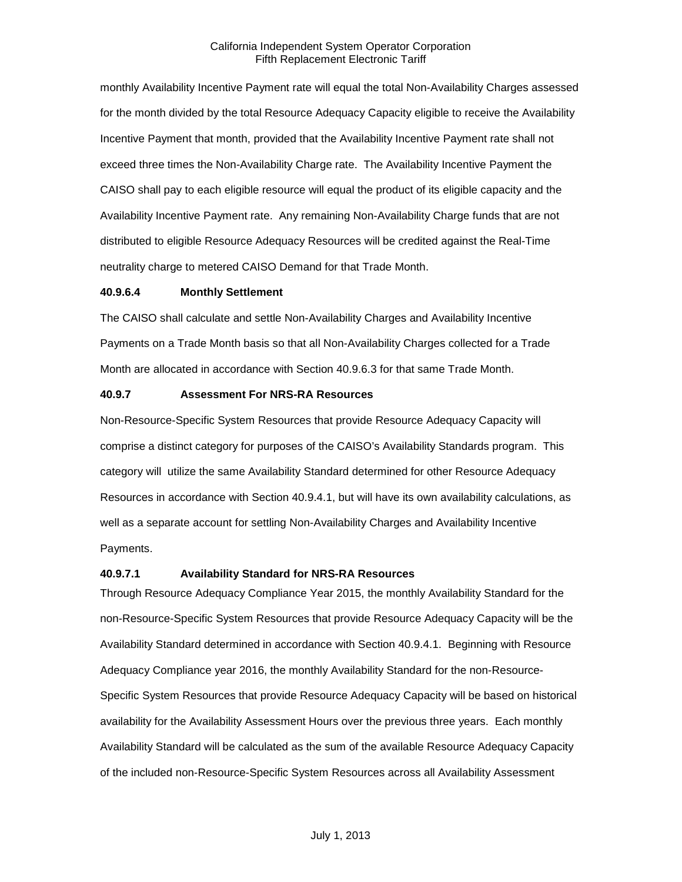monthly Availability Incentive Payment rate will equal the total Non-Availability Charges assessed for the month divided by the total Resource Adequacy Capacity eligible to receive the Availability Incentive Payment that month, provided that the Availability Incentive Payment rate shall not exceed three times the Non-Availability Charge rate. The Availability Incentive Payment the CAISO shall pay to each eligible resource will equal the product of its eligible capacity and the Availability Incentive Payment rate. Any remaining Non-Availability Charge funds that are not distributed to eligible Resource Adequacy Resources will be credited against the Real-Time neutrality charge to metered CAISO Demand for that Trade Month.

# **40.9.6.4 Monthly Settlement**

The CAISO shall calculate and settle Non-Availability Charges and Availability Incentive Payments on a Trade Month basis so that all Non-Availability Charges collected for a Trade Month are allocated in accordance with Section 40.9.6.3 for that same Trade Month.

# **40.9.7 Assessment For NRS-RA Resources**

Non-Resource-Specific System Resources that provide Resource Adequacy Capacity will comprise a distinct category for purposes of the CAISO's Availability Standards program. This category will utilize the same Availability Standard determined for other Resource Adequacy Resources in accordance with Section 40.9.4.1, but will have its own availability calculations, as well as a separate account for settling Non-Availability Charges and Availability Incentive Payments.

#### **40.9.7.1 Availability Standard for NRS-RA Resources**

Through Resource Adequacy Compliance Year 2015, the monthly Availability Standard for the non-Resource-Specific System Resources that provide Resource Adequacy Capacity will be the Availability Standard determined in accordance with Section 40.9.4.1. Beginning with Resource Adequacy Compliance year 2016, the monthly Availability Standard for the non-Resource-Specific System Resources that provide Resource Adequacy Capacity will be based on historical availability for the Availability Assessment Hours over the previous three years. Each monthly Availability Standard will be calculated as the sum of the available Resource Adequacy Capacity of the included non-Resource-Specific System Resources across all Availability Assessment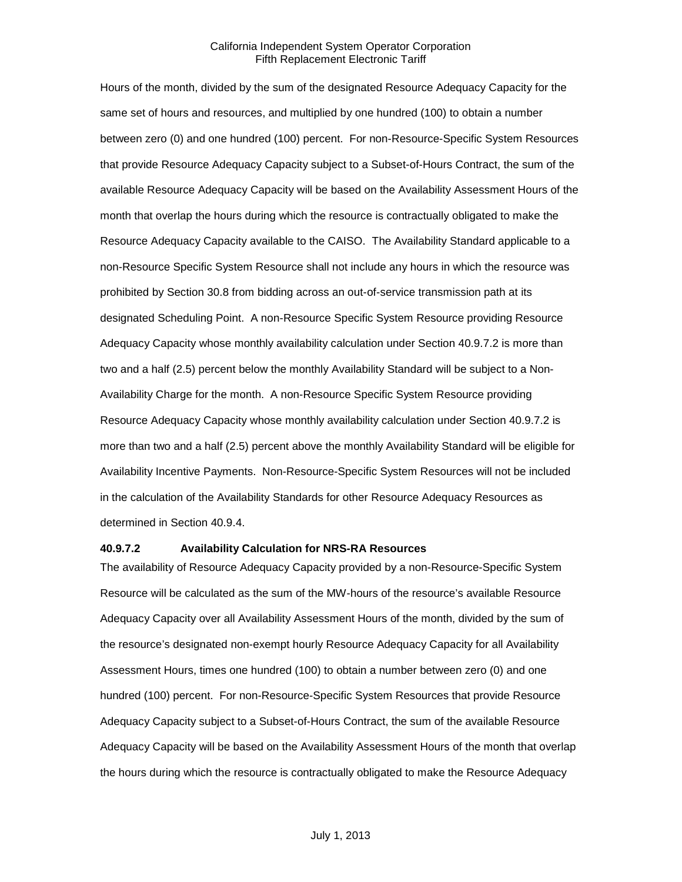Hours of the month, divided by the sum of the designated Resource Adequacy Capacity for the same set of hours and resources, and multiplied by one hundred (100) to obtain a number between zero (0) and one hundred (100) percent. For non-Resource-Specific System Resources that provide Resource Adequacy Capacity subject to a Subset-of-Hours Contract, the sum of the available Resource Adequacy Capacity will be based on the Availability Assessment Hours of the month that overlap the hours during which the resource is contractually obligated to make the Resource Adequacy Capacity available to the CAISO. The Availability Standard applicable to a non-Resource Specific System Resource shall not include any hours in which the resource was prohibited by Section 30.8 from bidding across an out-of-service transmission path at its designated Scheduling Point. A non-Resource Specific System Resource providing Resource Adequacy Capacity whose monthly availability calculation under Section 40.9.7.2 is more than two and a half (2.5) percent below the monthly Availability Standard will be subject to a Non-Availability Charge for the month. A non-Resource Specific System Resource providing Resource Adequacy Capacity whose monthly availability calculation under Section 40.9.7.2 is more than two and a half (2.5) percent above the monthly Availability Standard will be eligible for Availability Incentive Payments. Non-Resource-Specific System Resources will not be included in the calculation of the Availability Standards for other Resource Adequacy Resources as determined in Section 40.9.4.

#### **40.9.7.2 Availability Calculation for NRS-RA Resources**

The availability of Resource Adequacy Capacity provided by a non-Resource-Specific System Resource will be calculated as the sum of the MW-hours of the resource's available Resource Adequacy Capacity over all Availability Assessment Hours of the month, divided by the sum of the resource's designated non-exempt hourly Resource Adequacy Capacity for all Availability Assessment Hours, times one hundred (100) to obtain a number between zero (0) and one hundred (100) percent. For non-Resource-Specific System Resources that provide Resource Adequacy Capacity subject to a Subset-of-Hours Contract, the sum of the available Resource Adequacy Capacity will be based on the Availability Assessment Hours of the month that overlap the hours during which the resource is contractually obligated to make the Resource Adequacy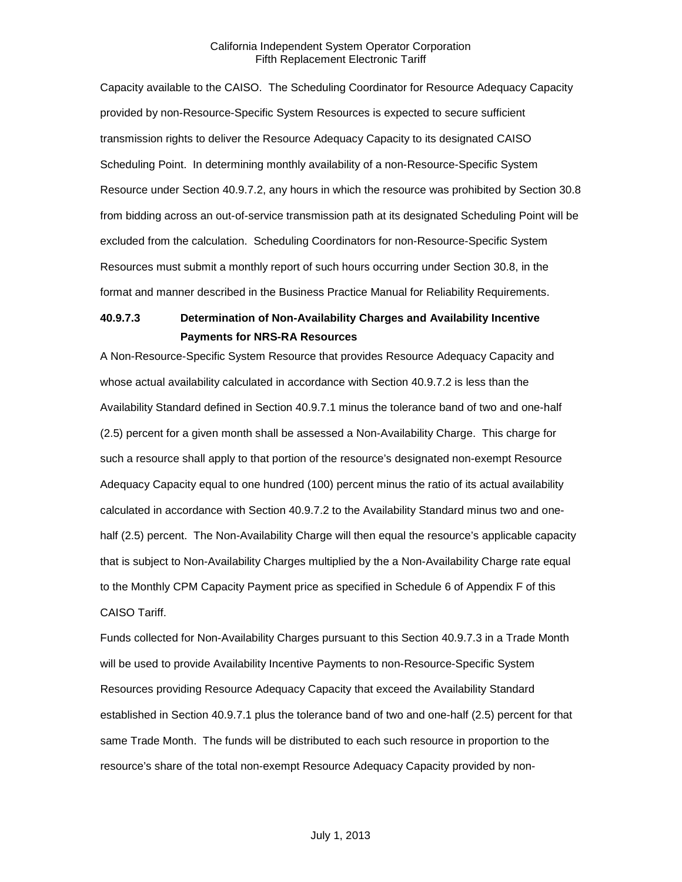Capacity available to the CAISO. The Scheduling Coordinator for Resource Adequacy Capacity provided by non-Resource-Specific System Resources is expected to secure sufficient transmission rights to deliver the Resource Adequacy Capacity to its designated CAISO Scheduling Point. In determining monthly availability of a non-Resource-Specific System Resource under Section 40.9.7.2, any hours in which the resource was prohibited by Section 30.8 from bidding across an out-of-service transmission path at its designated Scheduling Point will be excluded from the calculation. Scheduling Coordinators for non-Resource-Specific System Resources must submit a monthly report of such hours occurring under Section 30.8, in the format and manner described in the Business Practice Manual for Reliability Requirements.

# **40.9.7.3 Determination of Non-Availability Charges and Availability Incentive Payments for NRS-RA Resources**

A Non-Resource-Specific System Resource that provides Resource Adequacy Capacity and whose actual availability calculated in accordance with Section 40.9.7.2 is less than the Availability Standard defined in Section 40.9.7.1 minus the tolerance band of two and one-half (2.5) percent for a given month shall be assessed a Non-Availability Charge. This charge for such a resource shall apply to that portion of the resource's designated non-exempt Resource Adequacy Capacity equal to one hundred (100) percent minus the ratio of its actual availability calculated in accordance with Section 40.9.7.2 to the Availability Standard minus two and onehalf (2.5) percent. The Non-Availability Charge will then equal the resource's applicable capacity that is subject to Non-Availability Charges multiplied by the a Non-Availability Charge rate equal to the Monthly CPM Capacity Payment price as specified in Schedule 6 of Appendix F of this CAISO Tariff.

Funds collected for Non-Availability Charges pursuant to this Section 40.9.7.3 in a Trade Month will be used to provide Availability Incentive Payments to non-Resource-Specific System Resources providing Resource Adequacy Capacity that exceed the Availability Standard established in Section 40.9.7.1 plus the tolerance band of two and one-half (2.5) percent for that same Trade Month. The funds will be distributed to each such resource in proportion to the resource's share of the total non-exempt Resource Adequacy Capacity provided by non